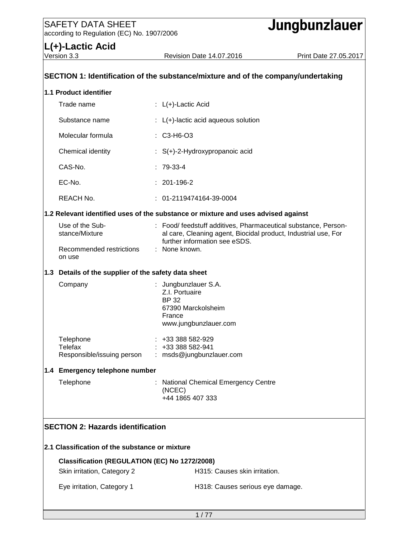# L(+)-Lactic Acid

|  | SECTION 1: Identification of the substance/mixture and of the company/undertaking           |               |                                                                                                                                                                   |  |  |  |
|--|---------------------------------------------------------------------------------------------|---------------|-------------------------------------------------------------------------------------------------------------------------------------------------------------------|--|--|--|
|  | 1.1 Product identifier                                                                      |               |                                                                                                                                                                   |  |  |  |
|  | Trade name                                                                                  |               | : $L(+)$ -Lactic Acid                                                                                                                                             |  |  |  |
|  | Substance name                                                                              |               | $\therefore$ L(+)-lactic acid aqueous solution                                                                                                                    |  |  |  |
|  | Molecular formula<br>Chemical identity                                                      |               | : C3-H6-O3                                                                                                                                                        |  |  |  |
|  |                                                                                             |               | : $S(+)$ -2-Hydroxypropanoic acid                                                                                                                                 |  |  |  |
|  | CAS-No.                                                                                     |               | $: 79-33-4$                                                                                                                                                       |  |  |  |
|  | EC-No.                                                                                      |               | $: 201 - 196 - 2$                                                                                                                                                 |  |  |  |
|  | REACH No.                                                                                   |               | $: 01-2119474164-39-0004$                                                                                                                                         |  |  |  |
|  |                                                                                             |               | 1.2 Relevant identified uses of the substance or mixture and uses advised against                                                                                 |  |  |  |
|  | Use of the Sub-<br>stance/Mixture                                                           |               | : Food/ feedstuff additives, Pharmaceutical substance, Person-<br>al care, Cleaning agent, Biocidal product, Industrial use, For<br>further information see eSDS. |  |  |  |
|  | Recommended restrictions<br>on use                                                          | : None known. |                                                                                                                                                                   |  |  |  |
|  | 1.3 Details of the supplier of the safety data sheet                                        |               |                                                                                                                                                                   |  |  |  |
|  | <b>Gracefruit Limited</b><br>209 Glasgow Road<br>Longcroft<br>Bonnybridge<br><b>FK4 100</b> |               |                                                                                                                                                                   |  |  |  |
|  | 01324 841353<br>1.4 Emergency telephone number                                              |               |                                                                                                                                                                   |  |  |  |
|  |                                                                                             |               |                                                                                                                                                                   |  |  |  |
|  | <b>SECTION 2: Hazards identification</b>                                                    |               |                                                                                                                                                                   |  |  |  |
|  | 2.1 Classification of the substance or mixture                                              |               |                                                                                                                                                                   |  |  |  |
|  | Classification (REGULATION (EC) No 1272/2008)                                               |               |                                                                                                                                                                   |  |  |  |
|  | Skin irritation, Category 2                                                                 |               | H315: Causes skin irritation.                                                                                                                                     |  |  |  |
|  | Eye irritation, Category 1                                                                  |               | H318: Causes serious eye damage.                                                                                                                                  |  |  |  |
|  |                                                                                             |               |                                                                                                                                                                   |  |  |  |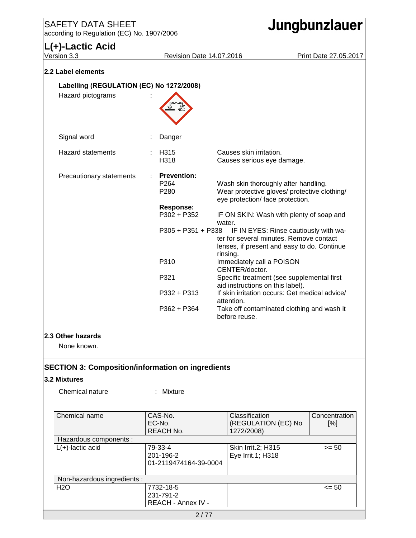| L(+)-Lactic Acid<br>Version 3.3                                                              | <b>Revision Date 14.07.2016</b>                            |                                                                                                                          |                                       | Print Date 27.05.2017   |
|----------------------------------------------------------------------------------------------|------------------------------------------------------------|--------------------------------------------------------------------------------------------------------------------------|---------------------------------------|-------------------------|
| 2.2 Label elements                                                                           |                                                            |                                                                                                                          |                                       |                         |
| Labelling (REGULATION (EC) No 1272/2008)<br>Hazard pictograms                                |                                                            |                                                                                                                          |                                       |                         |
| Signal word                                                                                  | Danger                                                     |                                                                                                                          |                                       |                         |
| <b>Hazard statements</b>                                                                     | H315<br>H318                                               | Causes skin irritation.<br>Causes serious eye damage.                                                                    |                                       |                         |
| Precautionary statements                                                                     | <b>Prevention:</b><br>P <sub>264</sub><br>P <sub>280</sub> | Wash skin thoroughly after handling.<br>Wear protective gloves/ protective clothing/<br>eye protection/ face protection. |                                       |                         |
|                                                                                              | <b>Response:</b><br>P302 + P352                            | IF ON SKIN: Wash with plenty of soap and                                                                                 |                                       |                         |
|                                                                                              | $P305 + P351 + P338$                                       | water.<br>ter for several minutes. Remove contact<br>lenses, if present and easy to do. Continue<br>rinsing.             | IF IN EYES: Rinse cautiously with wa- |                         |
|                                                                                              | P310                                                       | Immediately call a POISON<br>CENTER/doctor.                                                                              |                                       |                         |
|                                                                                              | P321                                                       | Specific treatment (see supplemental first<br>aid instructions on this label).                                           |                                       |                         |
|                                                                                              | $P332 + P313$                                              | If skin irritation occurs: Get medical advice/<br>attention.                                                             |                                       |                         |
|                                                                                              | $P362 + P364$                                              | Take off contaminated clothing and wash it<br>betore reuse.                                                              |                                       |                         |
| 2.3 Other hazards<br>None known.<br><b>SECTION 3: Composition/information on ingredients</b> |                                                            |                                                                                                                          |                                       |                         |
|                                                                                              |                                                            |                                                                                                                          |                                       |                         |
| 3.2 Mixtures                                                                                 |                                                            |                                                                                                                          |                                       |                         |
| Chemical nature                                                                              | : Mixture                                                  |                                                                                                                          |                                       |                         |
| Chemical name                                                                                | CAS-No.<br>EC-No.<br>REACH No.                             | Classification<br>1272/2008)                                                                                             | (REGULATION (EC) No                   | Concentration<br>$[\%]$ |
| Hazardous components :<br>$L(+)$ -lactic acid                                                | 79-33-4                                                    | Skin Irrit.2; H315                                                                                                       |                                       | $>= 50$                 |
|                                                                                              | 201-196-2<br>01-2119474164-39-0004                         | Eye Irrit.1; H318                                                                                                        |                                       |                         |
| Non-hazardous ingredients :<br><b>H2O</b>                                                    | 7732-18-5                                                  |                                                                                                                          |                                       |                         |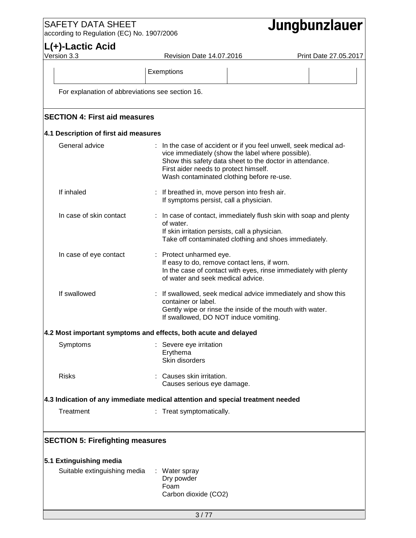| <b>SAFETY DATA SHEET</b><br>according to Regulation (EC) No. 1907/2006         |                                                                                                                                                                                                                                                                          |  |                                                             |  |
|--------------------------------------------------------------------------------|--------------------------------------------------------------------------------------------------------------------------------------------------------------------------------------------------------------------------------------------------------------------------|--|-------------------------------------------------------------|--|
| L(+)-Lactic Acid<br>Version 3.3                                                | Revision Date 14.07.2016                                                                                                                                                                                                                                                 |  | Print Date 27.05.2017                                       |  |
|                                                                                |                                                                                                                                                                                                                                                                          |  |                                                             |  |
|                                                                                | Exemptions                                                                                                                                                                                                                                                               |  |                                                             |  |
| For explanation of abbreviations see section 16.                               |                                                                                                                                                                                                                                                                          |  |                                                             |  |
| <b>SECTION 4: First aid measures</b>                                           |                                                                                                                                                                                                                                                                          |  |                                                             |  |
| 4.1 Description of first aid measures                                          |                                                                                                                                                                                                                                                                          |  |                                                             |  |
| General advice                                                                 | : In the case of accident or if you feel unwell, seek medical ad-<br>vice immediately (show the label where possible).<br>Show this safety data sheet to the doctor in attendance.<br>First aider needs to protect himself.<br>Wash contaminated clothing before re-use. |  |                                                             |  |
| If inhaled                                                                     | If breathed in, move person into fresh air.<br>If symptoms persist, call a physician.                                                                                                                                                                                    |  |                                                             |  |
| In case of skin contact                                                        | : In case of contact, immediately flush skin with soap and plenty<br>of water.<br>If skin irritation persists, call a physician.<br>Take off contaminated clothing and shoes immediately.                                                                                |  |                                                             |  |
| In case of eye contact                                                         | Protect unharmed eye.<br>If easy to do, remove contact lens, if worn.<br>In the case of contact with eyes, rinse immediately with plenty<br>of water and seek medical advice.                                                                                            |  |                                                             |  |
| If swallowed                                                                   | container or label.<br>Gently wipe or rinse the inside of the mouth with water.<br>If swallowed, DO NOT induce vomiting.                                                                                                                                                 |  | If swallowed, seek medical advice immediately and show this |  |
| 4.2 Most important symptoms and effects, both acute and delayed                |                                                                                                                                                                                                                                                                          |  |                                                             |  |
| Symptoms                                                                       | : Severe eye irritation<br>Erythema<br>Skin disorders                                                                                                                                                                                                                    |  |                                                             |  |
| <b>Risks</b>                                                                   | Causes skin irritation.<br>Causes serious eye damage.                                                                                                                                                                                                                    |  |                                                             |  |
| 4.3 Indication of any immediate medical attention and special treatment needed |                                                                                                                                                                                                                                                                          |  |                                                             |  |
| Treatment                                                                      | : Treat symptomatically.                                                                                                                                                                                                                                                 |  |                                                             |  |
| <b>SECTION 5: Firefighting measures</b>                                        |                                                                                                                                                                                                                                                                          |  |                                                             |  |
| 5.1 Extinguishing media                                                        |                                                                                                                                                                                                                                                                          |  |                                                             |  |
|                                                                                |                                                                                                                                                                                                                                                                          |  |                                                             |  |
| Suitable extinguishing media                                                   | : Water spray<br>Dry powder                                                                                                                                                                                                                                              |  |                                                             |  |
|                                                                                | Foam<br>Carbon dioxide (CO2)                                                                                                                                                                                                                                             |  |                                                             |  |
|                                                                                |                                                                                                                                                                                                                                                                          |  |                                                             |  |
|                                                                                | 3/77                                                                                                                                                                                                                                                                     |  |                                                             |  |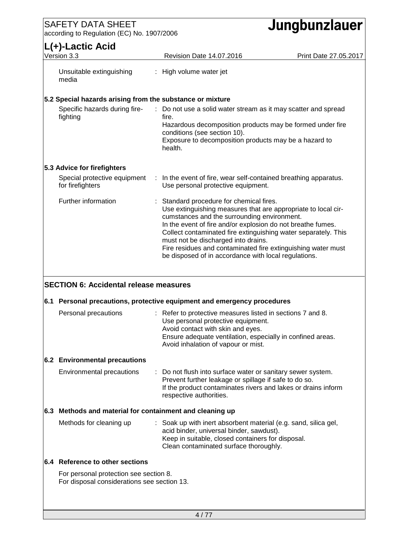| <b>SAFETY DATA SHEET</b><br>according to Regulation (EC) No. 1907/2006                |                                                                                                                                                                                                                                                                                                                                                                                                                                                        |                       |
|---------------------------------------------------------------------------------------|--------------------------------------------------------------------------------------------------------------------------------------------------------------------------------------------------------------------------------------------------------------------------------------------------------------------------------------------------------------------------------------------------------------------------------------------------------|-----------------------|
| L(+)-Lactic Acid<br>Version 3.3                                                       | Revision Date 14.07.2016                                                                                                                                                                                                                                                                                                                                                                                                                               | Print Date 27.05.2017 |
| Unsuitable extinguishing<br>media                                                     | : High volume water jet                                                                                                                                                                                                                                                                                                                                                                                                                                |                       |
| 5.2 Special hazards arising from the substance or mixture                             |                                                                                                                                                                                                                                                                                                                                                                                                                                                        |                       |
| Specific hazards during fire-<br>fighting                                             | : Do not use a solid water stream as it may scatter and spread<br>fire.<br>Hazardous decomposition products may be formed under fire<br>conditions (see section 10).<br>Exposure to decomposition products may be a hazard to<br>health.                                                                                                                                                                                                               |                       |
| 5.3 Advice for firefighters                                                           |                                                                                                                                                                                                                                                                                                                                                                                                                                                        |                       |
| Special protective equipment<br>for firefighters                                      | : In the event of fire, wear self-contained breathing apparatus.<br>Use personal protective equipment.                                                                                                                                                                                                                                                                                                                                                 |                       |
| Further information                                                                   | Standard procedure for chemical fires.<br>Use extinguishing measures that are appropriate to local cir-<br>cumstances and the surrounding environment.<br>In the event of fire and/or explosion do not breathe fumes.<br>Collect contaminated fire extinguishing water separately. This<br>must not be discharged into drains.<br>Fire residues and contaminated fire extinguishing water must<br>be disposed of in accordance with local regulations. |                       |
| <b>SECTION 6: Accidental release measures</b>                                         | 6.1 Personal precautions, protective equipment and emergency procedures                                                                                                                                                                                                                                                                                                                                                                                |                       |
| Personal precautions                                                                  | : Refer to protective measures listed in sections 7 and 8.<br>Use personal protective equipment.<br>Avoid contact with skin and eyes.<br>Ensure adequate ventilation, especially in confined areas.<br>Avoid inhalation of vapour or mist.                                                                                                                                                                                                             |                       |
| 6.2 Environmental precautions                                                         |                                                                                                                                                                                                                                                                                                                                                                                                                                                        |                       |
| Environmental precautions                                                             | Do not flush into surface water or sanitary sewer system.<br>Prevent further leakage or spillage if safe to do so.<br>If the product contaminates rivers and lakes or drains inform<br>respective authorities.                                                                                                                                                                                                                                         |                       |
| 6.3 Methods and material for containment and cleaning up                              |                                                                                                                                                                                                                                                                                                                                                                                                                                                        |                       |
| Methods for cleaning up                                                               | : Soak up with inert absorbent material (e.g. sand, silica gel,<br>acid binder, universal binder, sawdust).<br>Keep in suitable, closed containers for disposal.<br>Clean contaminated surface thoroughly.                                                                                                                                                                                                                                             |                       |
| 6.4 Reference to other sections                                                       |                                                                                                                                                                                                                                                                                                                                                                                                                                                        |                       |
| For personal protection see section 8.<br>For disposal considerations see section 13. |                                                                                                                                                                                                                                                                                                                                                                                                                                                        |                       |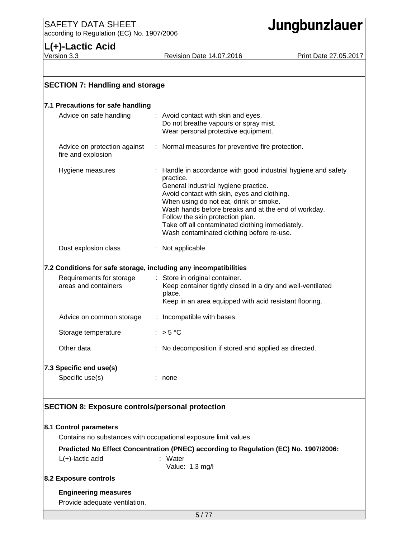L(+)-Lactic Acid

| <b>SECTION 7: Handling and storage</b>                           |                                                                                                                                                                                                                                                                                                                                                                                                         |
|------------------------------------------------------------------|---------------------------------------------------------------------------------------------------------------------------------------------------------------------------------------------------------------------------------------------------------------------------------------------------------------------------------------------------------------------------------------------------------|
| 7.1 Precautions for safe handling<br>Advice on safe handling     | : Avoid contact with skin and eyes.<br>Do not breathe vapours or spray mist.<br>Wear personal protective equipment.                                                                                                                                                                                                                                                                                     |
| Advice on protection against<br>fire and explosion               | : Normal measures for preventive fire protection.                                                                                                                                                                                                                                                                                                                                                       |
| Hygiene measures                                                 | : Handle in accordance with good industrial hygiene and safety<br>practice.<br>General industrial hygiene practice.<br>Avoid contact with skin, eyes and clothing.<br>When using do not eat, drink or smoke.<br>Wash hands before breaks and at the end of workday.<br>Follow the skin protection plan.<br>Take off all contaminated clothing immediately.<br>Wash contaminated clothing before re-use. |
| Dust explosion class                                             | : Not applicable                                                                                                                                                                                                                                                                                                                                                                                        |
| 7.2 Conditions for safe storage, including any incompatibilities |                                                                                                                                                                                                                                                                                                                                                                                                         |
| Requirements for storage<br>areas and containers                 | : Store in original container.<br>Keep container tightly closed in a dry and well-ventilated<br>place.<br>Keep in an area equipped with acid resistant flooring.                                                                                                                                                                                                                                        |
| Advice on common storage                                         | : Incompatible with bases.                                                                                                                                                                                                                                                                                                                                                                              |
| Storage temperature                                              | : $>5^{\circ}$ C                                                                                                                                                                                                                                                                                                                                                                                        |
| Other data                                                       | No decomposition if stored and applied as directed.                                                                                                                                                                                                                                                                                                                                                     |
| 7.3 Specific end use(s)                                          |                                                                                                                                                                                                                                                                                                                                                                                                         |
| Specific use(s)                                                  | : none                                                                                                                                                                                                                                                                                                                                                                                                  |
| <b>SECTION 8: Exposure controls/personal protection</b>          |                                                                                                                                                                                                                                                                                                                                                                                                         |
| 8.1 Control parameters                                           |                                                                                                                                                                                                                                                                                                                                                                                                         |
|                                                                  | Contains no substances with occupational exposure limit values.                                                                                                                                                                                                                                                                                                                                         |
|                                                                  | Predicted No Effect Concentration (PNEC) according to Regulation (EC) No. 1907/2006:                                                                                                                                                                                                                                                                                                                    |
| $L(+)$ -lactic acid                                              | : Water<br>Value: 1,3 mg/l                                                                                                                                                                                                                                                                                                                                                                              |
| 8.2 Exposure controls                                            |                                                                                                                                                                                                                                                                                                                                                                                                         |
| <b>Engineering measures</b><br>Provide adequate ventilation.     |                                                                                                                                                                                                                                                                                                                                                                                                         |
|                                                                  | 5/77                                                                                                                                                                                                                                                                                                                                                                                                    |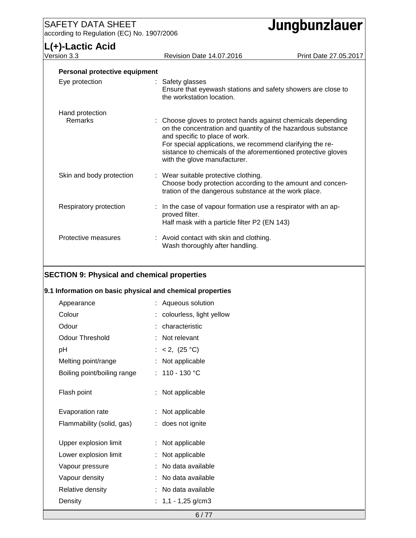| L(+)-Lactic Acid<br>Version 3.3                    | Revision Date 14.07.2016                                                                                                                                                                                                                                                                                                     | Print Date 27.05.2017 |
|----------------------------------------------------|------------------------------------------------------------------------------------------------------------------------------------------------------------------------------------------------------------------------------------------------------------------------------------------------------------------------------|-----------------------|
|                                                    |                                                                                                                                                                                                                                                                                                                              |                       |
| Personal protective equipment<br>Eye protection    | : Safety glasses                                                                                                                                                                                                                                                                                                             |                       |
|                                                    | Ensure that eyewash stations and safety showers are close to<br>the workstation location.                                                                                                                                                                                                                                    |                       |
| Hand protection                                    |                                                                                                                                                                                                                                                                                                                              |                       |
| Remarks                                            | : Choose gloves to protect hands against chemicals depending<br>on the concentration and quantity of the hazardous substance<br>and specific to place of work.<br>For special applications, we recommend clarifying the re-<br>sistance to chemicals of the aforementioned protective gloves<br>with the glove manufacturer. |                       |
| Skin and body protection                           | : Wear suitable protective clothing.<br>Choose body protection according to the amount and concen-<br>tration of the dangerous substance at the work place.                                                                                                                                                                  |                       |
| Respiratory protection                             | : In the case of vapour formation use a respirator with an ap-<br>proved filter.<br>Half mask with a particle filter P2 (EN 143)                                                                                                                                                                                             |                       |
| Protective measures                                | : Avoid contact with skin and clothing.<br>Wash thoroughly after handling.                                                                                                                                                                                                                                                   |                       |
| <b>SECTION 9: Physical and chemical properties</b> |                                                                                                                                                                                                                                                                                                                              |                       |
|                                                    | 9.1 Information on basic physical and chemical properties                                                                                                                                                                                                                                                                    |                       |
| Appearance                                         | Aqueous solution                                                                                                                                                                                                                                                                                                             |                       |
| Colour                                             | colourless, light yellow                                                                                                                                                                                                                                                                                                     |                       |
| Odour                                              | : characteristic                                                                                                                                                                                                                                                                                                             |                       |
| <b>Odour Threshold</b>                             | Not relevant                                                                                                                                                                                                                                                                                                                 |                       |
| pH                                                 | : $< 2, (25 °C)$                                                                                                                                                                                                                                                                                                             |                       |
| Melting point/range                                | : Not applicable                                                                                                                                                                                                                                                                                                             |                       |
| Boiling point/boiling range                        | : $110 - 130$ °C                                                                                                                                                                                                                                                                                                             |                       |
| Flash point                                        | : Not applicable                                                                                                                                                                                                                                                                                                             |                       |
| Evaporation rate                                   | : Not applicable                                                                                                                                                                                                                                                                                                             |                       |
| Flammability (solid, gas)                          | : does not ignite                                                                                                                                                                                                                                                                                                            |                       |
| Upper explosion limit                              | : Not applicable                                                                                                                                                                                                                                                                                                             |                       |
| Lower explosion limit                              | Not applicable                                                                                                                                                                                                                                                                                                               |                       |
| Vapour pressure                                    | No data available                                                                                                                                                                                                                                                                                                            |                       |
| Vapour density                                     | No data available                                                                                                                                                                                                                                                                                                            |                       |

6 / 77

Density : 1,1 - 1,25 g/cm3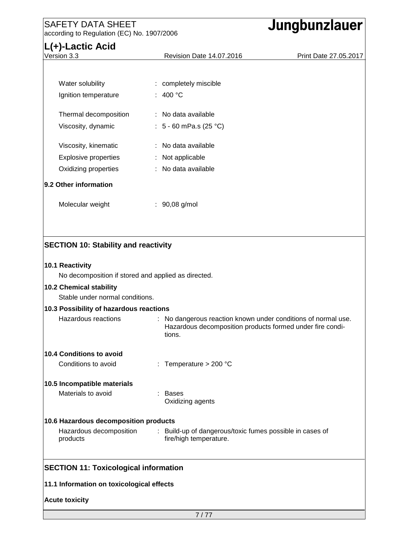## SAFETY DATA SHEET according to Regulation (EC) No. 1907/2006 **L(+)-Lactic Acid** Revision Date 14.07.2016 Print Date 27.05.2017 Water solubility : completely miscible Ignition temperature : 400 °C Thermal decomposition : No data available Viscosity, dynamic :  $5 - 60$  mPa.s (25 °C) Viscosity, kinematic : No data available Explosive properties : Not applicable Oxidizing properties : No data available **9.2 Other information** Molecular weight : 90,08 g/mol **SECTION 10: Stability and reactivity 10.1 Reactivity** No decomposition if stored and applied as directed. **10.2 Chemical stability** Stable under normal conditions. **10.3 Possibility of hazardous reactions** Hazardous reactions : No dangerous reaction known under conditions of normal use. Hazardous decomposition products formed under fire conditions. **10.4 Conditions to avoid** Conditions to avoid : Temperature > 200 °C **10.5 Incompatible materials** Materials to avoid **in the State State** in Bases Oxidizing agents **10.6 Hazardous decomposition products** Hazardous decomposition products : Build-up of dangerous/toxic fumes possible in cases of fire/high temperature. **SECTION 11: Toxicological information 11.1 Information on toxicological effects**

#### **Acute toxicity**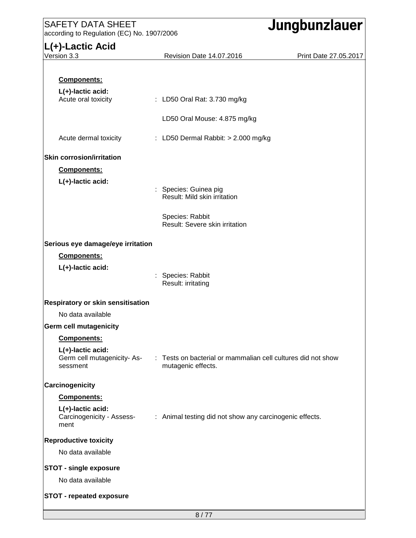| <b>SAFETY DATA SHEET</b>                                  |                                                                                    |                       |
|-----------------------------------------------------------|------------------------------------------------------------------------------------|-----------------------|
| according to Regulation (EC) No. 1907/2006                |                                                                                    |                       |
| L(+)-Lactic Acid<br>Version 3.3                           | Revision Date 14.07.2016                                                           | Print Date 27.05.2017 |
|                                                           |                                                                                    |                       |
| <b>Components:</b>                                        |                                                                                    |                       |
| $L(+)$ -lactic acid:                                      |                                                                                    |                       |
| Acute oral toxicity                                       | : LD50 Oral Rat: 3.730 mg/kg                                                       |                       |
|                                                           | LD50 Oral Mouse: 4.875 mg/kg                                                       |                       |
| Acute dermal toxicity                                     | : LD50 Dermal Rabbit: > 2.000 mg/kg                                                |                       |
| <b>Skin corrosion/irritation</b>                          |                                                                                    |                       |
| Components:                                               |                                                                                    |                       |
| $L(+)$ -lactic acid:                                      |                                                                                    |                       |
|                                                           | : Species: Guinea pig<br>Result: Mild skin irritation                              |                       |
|                                                           |                                                                                    |                       |
|                                                           | Species: Rabbit<br>Result: Severe skin irritation                                  |                       |
|                                                           |                                                                                    |                       |
| Serious eye damage/eye irritation                         |                                                                                    |                       |
| Components:                                               |                                                                                    |                       |
| $L(+)$ -lactic acid:                                      | Species: Rabbit                                                                    |                       |
|                                                           | Result: irritating                                                                 |                       |
| Respiratory or skin sensitisation                         |                                                                                    |                       |
| No data available                                         |                                                                                    |                       |
| <b>Germ cell mutagenicity</b>                             |                                                                                    |                       |
| Components:                                               |                                                                                    |                       |
| $L(+)$ -lactic acid:                                      |                                                                                    |                       |
| Germ cell mutagenicity-As-<br>sessment                    | : Tests on bacterial or mammalian cell cultures did not show<br>mutagenic effects. |                       |
| Carcinogenicity                                           |                                                                                    |                       |
| Components:                                               |                                                                                    |                       |
| $L(+)$ -lactic acid:<br>Carcinogenicity - Assess-<br>ment | : Animal testing did not show any carcinogenic effects.                            |                       |
| <b>Reproductive toxicity</b>                              |                                                                                    |                       |
| No data available                                         |                                                                                    |                       |
| <b>STOT - single exposure</b>                             |                                                                                    |                       |
| No data available                                         |                                                                                    |                       |
| <b>STOT - repeated exposure</b>                           |                                                                                    |                       |
|                                                           | 8/77                                                                               |                       |
|                                                           |                                                                                    |                       |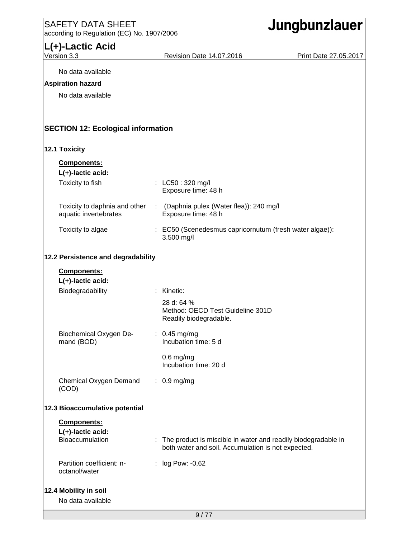| <b>SAFETY DATA SHEET</b><br>according to Regulation (EC) No. 1907/2006                     |            |                                                                        |                       |
|--------------------------------------------------------------------------------------------|------------|------------------------------------------------------------------------|-----------------------|
| L(+)-Lactic Acid                                                                           |            |                                                                        |                       |
| Version 3.3                                                                                |            | Revision Date 14.07.2016                                               | Print Date 27.05.2017 |
| No data available                                                                          |            |                                                                        |                       |
| <b>Aspiration hazard</b>                                                                   |            |                                                                        |                       |
| No data available                                                                          |            |                                                                        |                       |
|                                                                                            |            |                                                                        |                       |
| <b>SECTION 12: Ecological information</b>                                                  |            |                                                                        |                       |
| 12.1 Toxicity                                                                              |            |                                                                        |                       |
| Components:                                                                                |            |                                                                        |                       |
| $L(+)$ -lactic acid:                                                                       |            |                                                                        |                       |
| Toxicity to fish                                                                           |            | : LC50 : 320 mg/l                                                      |                       |
|                                                                                            |            | Exposure time: 48 h                                                    |                       |
|                                                                                            |            | Toxicity to daphnia and other : (Daphnia pulex (Water flea)): 240 mg/l |                       |
| aquatic invertebrates                                                                      |            | Exposure time: 48 h                                                    |                       |
|                                                                                            |            |                                                                        |                       |
| : EC50 (Scenedesmus capricornutum (fresh water algae)):<br>Toxicity to algae<br>3.500 mg/l |            |                                                                        |                       |
| 12.2 Persistence and degradability                                                         |            |                                                                        |                       |
|                                                                                            |            |                                                                        |                       |
| Components:<br>$L(+)$ -lactic acid:                                                        |            |                                                                        |                       |
| Biodegradability                                                                           | : Kinetic: |                                                                        |                       |
|                                                                                            |            |                                                                        |                       |
|                                                                                            |            | 28 d: 64 %<br>Method: OECD Test Guideline 301D                         |                       |
|                                                                                            |            | Readily biodegradable.                                                 |                       |
|                                                                                            |            |                                                                        |                       |
| Biochemical Oxygen De-<br>mand (BOD)                                                       |            | $: 0.45$ mg/mg<br>Incubation time: 5 d                                 |                       |
|                                                                                            |            |                                                                        |                       |
|                                                                                            |            | $0.6$ mg/mg                                                            |                       |
|                                                                                            |            | Incubation time: 20 d                                                  |                       |
| Chemical Oxygen Demand                                                                     |            | $: 0.9$ mg/mg                                                          |                       |
| (COD)                                                                                      |            |                                                                        |                       |
| 12.3 Bioaccumulative potential                                                             |            |                                                                        |                       |
| Components:                                                                                |            |                                                                        |                       |
| $L(+)$ -lactic acid:                                                                       |            |                                                                        |                       |
| Bioaccumulation                                                                            |            | : The product is miscible in water and readily biodegradable in        |                       |
|                                                                                            |            | both water and soil. Accumulation is not expected.                     |                       |
| Partition coefficient: n-                                                                  |            | : log Pow: -0,62                                                       |                       |
| octanol/water                                                                              |            |                                                                        |                       |
| 12.4 Mobility in soil                                                                      |            |                                                                        |                       |
| No data available                                                                          |            |                                                                        |                       |
|                                                                                            |            |                                                                        |                       |
|                                                                                            |            | 9/77                                                                   |                       |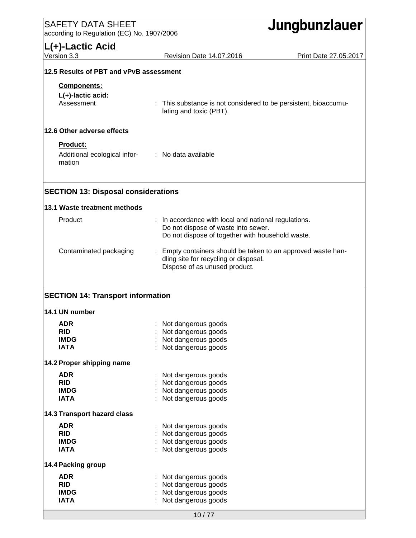| <b>SAFETY DATA SHEET</b>                         |                                                                 |                       |
|--------------------------------------------------|-----------------------------------------------------------------|-----------------------|
| according to Regulation (EC) No. 1907/2006       |                                                                 |                       |
| L(+)-Lactic Acid                                 |                                                                 |                       |
| Version 3.3                                      | Revision Date 14.07.2016                                        | Print Date 27.05.2017 |
| 12.5 Results of PBT and vPvB assessment          |                                                                 |                       |
|                                                  |                                                                 |                       |
| Components:                                      |                                                                 |                       |
| $L(+)$ -lactic acid:<br>Assessment               | : This substance is not considered to be persistent, bioaccumu- |                       |
|                                                  | lating and toxic (PBT).                                         |                       |
|                                                  |                                                                 |                       |
| 12.6 Other adverse effects                       |                                                                 |                       |
| Product:                                         |                                                                 |                       |
| Additional ecological infor- : No data available |                                                                 |                       |
| mation                                           |                                                                 |                       |
|                                                  |                                                                 |                       |
|                                                  |                                                                 |                       |
| <b>SECTION 13: Disposal considerations</b>       |                                                                 |                       |
| 13.1 Waste treatment methods                     |                                                                 |                       |
| Product                                          | : In accordance with local and national regulations.            |                       |
|                                                  | Do not dispose of waste into sewer.                             |                       |
|                                                  | Do not dispose of together with household waste.                |                       |
| Contaminated packaging                           | Empty containers should be taken to an approved waste han-      |                       |
|                                                  | dling site for recycling or disposal.                           |                       |
|                                                  | Dispose of as unused product.                                   |                       |
|                                                  |                                                                 |                       |
| <b>SECTION 14: Transport information</b>         |                                                                 |                       |
|                                                  |                                                                 |                       |
| 14.1 UN number                                   |                                                                 |                       |
| <b>ADR</b>                                       | Not dangerous goods                                             |                       |
| <b>RID</b><br><b>IMDG</b>                        | Not dangerous goods<br>Not dangerous goods                      |                       |
| <b>IATA</b>                                      | Not dangerous goods                                             |                       |
|                                                  |                                                                 |                       |
| 14.2 Proper shipping name                        |                                                                 |                       |
| <b>ADR</b><br><b>RID</b>                         | Not dangerous goods<br>Not dangerous goods                      |                       |
| <b>IMDG</b>                                      | Not dangerous goods                                             |                       |
| <b>IATA</b>                                      | Not dangerous goods                                             |                       |
|                                                  |                                                                 |                       |
| 14.3 Transport hazard class                      |                                                                 |                       |
| <b>ADR</b><br><b>RID</b>                         | Not dangerous goods<br>Not dangerous goods                      |                       |
| <b>IMDG</b>                                      | Not dangerous goods                                             |                       |
| <b>IATA</b>                                      | Not dangerous goods                                             |                       |
| 14.4 Packing group                               |                                                                 |                       |
|                                                  |                                                                 |                       |
| <b>ADR</b><br><b>RID</b>                         | Not dangerous goods<br>Not dangerous goods                      |                       |
| <b>IMDG</b>                                      | Not dangerous goods                                             |                       |
| <b>IATA</b>                                      | Not dangerous goods                                             |                       |
|                                                  | 10/77                                                           |                       |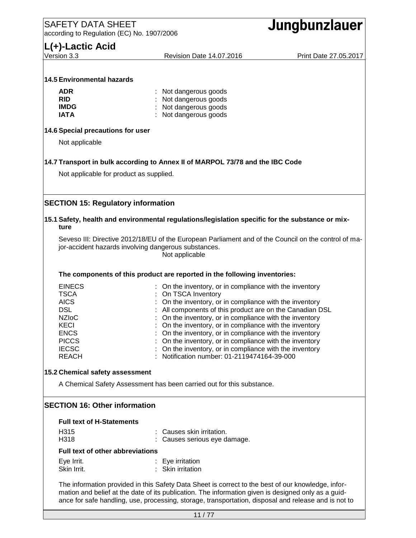## **L(+)-Lactic Acid**

Revision Date 14.07.2016 Print Date 27.05.2017

#### **14.5 Environmental hazards**

| ADR         | : Not dangerous goods |
|-------------|-----------------------|
| RID         | : Not dangerous goods |
| <b>IMDG</b> | : Not dangerous goods |
| IATA        | : Not dangerous goods |

#### **14.6 Special precautions for user**

Not applicable

#### **14.7 Transport in bulk according to Annex II of MARPOL 73/78 and the IBC Code**

Not applicable for product as supplied.

## **SECTION 15: Regulatory information**

#### **15.1 Safety, health and environmental regulations/legislation specific for the substance or mixture**

Seveso III: Directive 2012/18/EU of the European Parliament and of the Council on the control of major-accident hazards involving dangerous substances. Not applicable

#### **The components of this product are reported in the following inventories:**

| <b>EINECS</b> | : On the inventory, or in compliance with the inventory  |
|---------------|----------------------------------------------------------|
| <b>TSCA</b>   | : On TSCA Inventory                                      |
| <b>AICS</b>   | : On the inventory, or in compliance with the inventory  |
| DSL.          | : All components of this product are on the Canadian DSL |
| <b>NZIOC</b>  | : On the inventory, or in compliance with the inventory  |
| KECI          | : On the inventory, or in compliance with the inventory  |
| <b>ENCS</b>   | : On the inventory, or in compliance with the inventory  |
| <b>PICCS</b>  | : On the inventory, or in compliance with the inventory  |
| <b>IECSC</b>  | : On the inventory, or in compliance with the inventory  |
| <b>REACH</b>  | : Notification number: 01-2119474164-39-000              |

#### **15.2 Chemical safety assessment**

A Chemical Safety Assessment has been carried out for this substance.

### **SECTION 16: Other information**

| <b>Full text of H-Statements</b>        |                              |
|-----------------------------------------|------------------------------|
| H315                                    | : Causes skin irritation.    |
| H318                                    | : Causes serious eye damage. |
| <b>Full text of other abbreviations</b> |                              |
| Eye Irrit.                              | : Eye irritation             |
| Skin Irrit.                             | : Skin irritation            |

The information provided in this Safety Data Sheet is correct to the best of our knowledge, information and belief at the date of its publication. The information given is designed only as a guidance for safe handling, use, processing, storage, transportation, disposal and release and is not to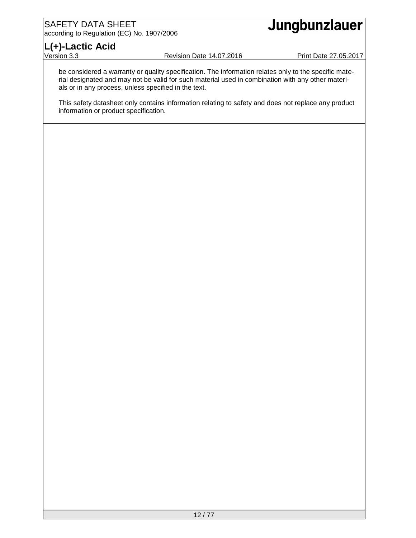## **L(+)-Lactic Acid**

Revision Date 14.07.2016 Print Date 27.05.2017

be considered a warranty or quality specification. The information relates only to the specific material designated and may not be valid for such material used in combination with any other materials or in any process, unless specified in the text.

This safety datasheet only contains information relating to safety and does not replace any product information or product specification.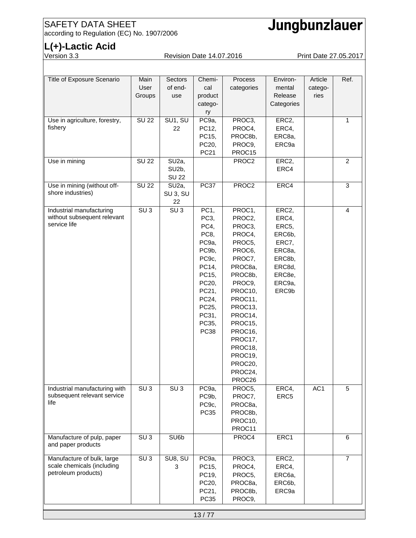# L(+)-Lactic Acid

| Title of Exposure Scenario                                                      | Main<br>User<br>Groups | <b>Sectors</b><br>of end-<br>use                       | Chemi-<br>cal<br>product<br>catego-<br>ry                                                                                                                                       | Process<br>categories                                                                                                                                                                                                                 | Environ-<br>mental<br>Release<br>Categories                                                                        | Article<br>catego-<br>ries | Ref.           |  |  |
|---------------------------------------------------------------------------------|------------------------|--------------------------------------------------------|---------------------------------------------------------------------------------------------------------------------------------------------------------------------------------|---------------------------------------------------------------------------------------------------------------------------------------------------------------------------------------------------------------------------------------|--------------------------------------------------------------------------------------------------------------------|----------------------------|----------------|--|--|
| Use in agriculture, forestry,<br>fishery                                        | <b>SU 22</b>           | SU1, SU<br>22                                          | PC <sub>9a</sub><br>PC12,<br>PC15,<br>PC20,<br><b>PC21</b>                                                                                                                      | PROC3,<br>PROC4,<br>PROC8b,<br>PROC9,<br>PROC15                                                                                                                                                                                       | ERC2,<br>ERC4,<br>ERC8a,<br>ERC9a                                                                                  |                            | $\mathbf{1}$   |  |  |
| Use in mining                                                                   | <b>SU 22</b>           | SU <sub>2a</sub><br>SU <sub>2</sub> b,<br><b>SU 22</b> |                                                                                                                                                                                 | PROC2                                                                                                                                                                                                                                 | ERC2,<br>ERC4                                                                                                      |                            | $\overline{2}$ |  |  |
| Use in mining (without off-<br>shore industries)                                | <b>SU 22</b>           | SU <sub>2a</sub> ,<br>SU 3, SU<br>22                   | PC37                                                                                                                                                                            | PROC2                                                                                                                                                                                                                                 | ERC4                                                                                                               |                            | $\overline{3}$ |  |  |
| Industrial manufacturing<br>without subsequent relevant<br>service life         | SU <sub>3</sub>        | SU <sub>3</sub>                                        | PC1,<br>PC <sub>3</sub><br>PC4,<br>PC8,<br>PC <sub>9a</sub><br>PC9b,<br>PC <sub>9c</sub><br>PC14,<br>PC15,<br>PC20,<br>PC21,<br>PC24,<br>PC25,<br>PC31,<br>PC35,<br><b>PC38</b> | PROC1,<br>PROC2,<br>PROC3,<br>PROC4,<br>PROC5,<br>PROC6,<br>PROC7,<br>PROC8a,<br>PROC8b,<br>PROC9,<br>PROC10,<br>PROC11,<br>PROC13,<br>PROC14,<br>PROC15,<br>PROC16,<br>PROC17,<br>PROC18,<br>PROC19,<br>PROC20,<br>PROC24,<br>PROC26 | ERC <sub>2</sub> ,<br>ERC4,<br>ERC5,<br>ERC6b,<br>ERC7,<br>ERC8a,<br>ERC8b,<br>ERC8d,<br>ERC8e,<br>ERC9a,<br>ERC9b |                            | $\overline{4}$ |  |  |
| Industrial manufacturing with<br>subsequent relevant service<br>life            | SU <sub>3</sub>        | SU <sub>3</sub>                                        | PC <sub>9a</sub><br>PC <sub>9b</sub> ,<br>PC <sub>9c</sub><br><b>PC35</b>                                                                                                       | PROC5,<br>PROC7,<br>PROC8a,<br>PROC8b,<br>PROC10,<br>PROC11                                                                                                                                                                           | ERC4,<br>ERC5                                                                                                      | AC1                        | 5              |  |  |
| Manufacture of pulp, paper<br>and paper products                                | SU <sub>3</sub>        | SU6b                                                   |                                                                                                                                                                                 | PROC4                                                                                                                                                                                                                                 | ERC1                                                                                                               |                            | 6              |  |  |
| Manufacture of bulk, large<br>scale chemicals (including<br>petroleum products) | SU <sub>3</sub>        | SU8, SU<br>3                                           | $\overline{PC}9a$ ,<br>PC15,<br>PC19,<br>PC20,<br>PC21,<br><b>PC35</b>                                                                                                          | PROC3,<br>PROC4,<br>PROC5,<br>PROC8a,<br>PROC8b,<br>PROC9,                                                                                                                                                                            | ERC2,<br>ERC4,<br>ERC6a,<br>ERC6b,<br>ERC9a                                                                        |                            | $\overline{7}$ |  |  |
| 13/77                                                                           |                        |                                                        |                                                                                                                                                                                 |                                                                                                                                                                                                                                       |                                                                                                                    |                            |                |  |  |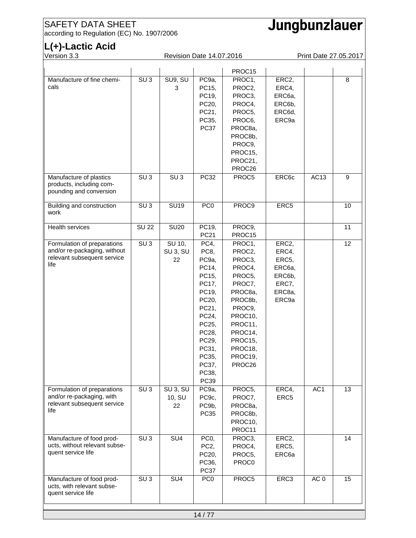# L(+)-Lactic Acid

|                                                                                                    |                 |                                      |                                                                                                                                                             | PROC15                                                                                                                                                               |                                                                                                  |                  |    |
|----------------------------------------------------------------------------------------------------|-----------------|--------------------------------------|-------------------------------------------------------------------------------------------------------------------------------------------------------------|----------------------------------------------------------------------------------------------------------------------------------------------------------------------|--------------------------------------------------------------------------------------------------|------------------|----|
| Manufacture of fine chemi-<br>cals                                                                 | SU <sub>3</sub> | SU9, SU<br>3                         | PC9a,<br>PC15,<br>PC19,<br>PC20,<br>PC21,<br>PC35,<br><b>PC37</b>                                                                                           | PROC1,<br>PROC2,<br>PROC3,<br>PROC4,<br>PROC5,<br>PROC6,<br>PROC8a,<br>PROC8b,<br>PROC9,<br>PROC15,<br>PROC21,<br>PROC26                                             | ERC2,<br>ERC4,<br>ERC6a,<br>ERC6b,<br>ERC6d,<br>ERC9a                                            |                  | 8  |
| Manufacture of plastics<br>products, including com-<br>pounding and conversion                     | SU <sub>3</sub> | SU <sub>3</sub>                      | <b>PC32</b>                                                                                                                                                 | PROC5                                                                                                                                                                | ERC6c                                                                                            | AC <sub>13</sub> | 9  |
| Building and construction<br>work                                                                  | SU <sub>3</sub> | <b>SU19</b>                          | PC <sub>0</sub>                                                                                                                                             | PROC9                                                                                                                                                                | ERC <sub>5</sub>                                                                                 |                  | 10 |
| Health services                                                                                    | <b>SU 22</b>    | <b>SU20</b>                          | PC19,<br>PC21                                                                                                                                               | PROC9,<br>PROC15                                                                                                                                                     |                                                                                                  |                  | 11 |
| Formulation of preparations<br>and/or re-packaging, without<br>relevant subsequent service<br>life | SU <sub>3</sub> | SU 10,<br>SU 3, SU<br>22             | PC4,<br>PC8,<br>PC9a,<br>PC14,<br>PC15,<br>PC17,<br>PC19,<br>PC20,<br>PC21,<br>PC24,<br>PC25,<br>PC28,<br>PC29,<br>PC31,<br>PC35,<br>PC37,<br>PC38,<br>PC39 | PROC1,<br>PROC2,<br>PROC3,<br>PROC4,<br>PROC5,<br>PROC7,<br>PROC8a,<br>PROC8b,<br>PROC9,<br>PROC10,<br>PROC11,<br>PROC14,<br>PROC15,<br>PROC18,<br>PROC19,<br>PROC26 | ERC2,<br>ERC4,<br>ERC <sub>5</sub> ,<br>ERC6a,<br>ERC6b,<br>ERC7,<br>ERC8a,<br>ERC <sub>9a</sub> |                  | 12 |
| Formulation of preparations<br>and/or re-packaging, with<br>relevant subsequent service<br>life    | SU <sub>3</sub> | SU <sub>3</sub> , SU<br>10, SU<br>22 | PC9a,<br>PC <sub>9c</sub><br>PC9b,<br>PC35                                                                                                                  | PROC5,<br>PROC7,<br>PROC8a,<br>PROC8b,<br>PROC10,<br>PROC11                                                                                                          | ERC4,<br>ERC5                                                                                    | AC1              | 13 |
| Manufacture of food prod-<br>ucts, without relevant subse-<br>quent service life                   | SU <sub>3</sub> | SU <sub>4</sub>                      | PC <sub>0</sub><br>PC <sub>2</sub><br>PC20,<br>PC36,<br><b>PC37</b>                                                                                         | PROC3,<br>PROC4,<br>PROC5,<br>PROC0                                                                                                                                  | ERC2,<br>ERC <sub>5</sub> ,<br>ERC6a                                                             |                  | 14 |
| Manufacture of food prod-<br>ucts, with relevant subse-<br>quent service life                      | SU <sub>3</sub> | SU <sub>4</sub>                      | PC <sub>0</sub>                                                                                                                                             | PROC5                                                                                                                                                                | ERC <sub>3</sub>                                                                                 | AC <sub>0</sub>  | 15 |
|                                                                                                    |                 |                                      | 14/77                                                                                                                                                       |                                                                                                                                                                      |                                                                                                  |                  |    |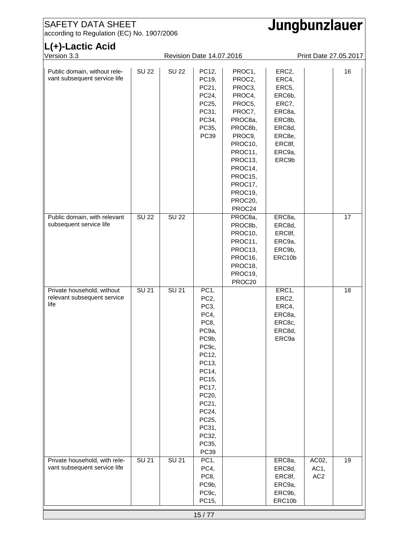| <b>SAFETY DATA SHEET</b><br>according to Regulation (EC) No. 1907/2006 |                  |                  |                                                                                                                                                                                                                                   |                                                                                                                                                                                            |                                                                                                                 |                                  |                       |
|------------------------------------------------------------------------|------------------|------------------|-----------------------------------------------------------------------------------------------------------------------------------------------------------------------------------------------------------------------------------|--------------------------------------------------------------------------------------------------------------------------------------------------------------------------------------------|-----------------------------------------------------------------------------------------------------------------|----------------------------------|-----------------------|
| L(+)-Lactic Acid<br>Version 3.3                                        |                  |                  | Revision Date 14.07.2016                                                                                                                                                                                                          |                                                                                                                                                                                            |                                                                                                                 |                                  | Print Date 27.05.2017 |
| Public domain, without rele-<br>vant subsequent service life           | SU 22            | <b>SU 22</b>     | PC12,<br>PC19,<br>PC21,<br>PC24,<br>PC25,<br>PC31,<br>PC34,<br>PC35,<br>PC39                                                                                                                                                      | PROC1,<br>PROC2,<br>PROC3,<br>PROC4,<br>PROC5,<br>PROC7,<br>PROC8a,<br>PROC8b,<br>PROC9,<br>PROC10,<br>PROC11,<br>PROC13,<br>PROC14,<br>PROC15,<br>PROC17,<br>PROC19,<br>PROC20,<br>PROC24 | ERC2,<br>ERC4,<br>ERC5,<br>ERC6b,<br>ERC7,<br>ERC8a,<br>ERC8b,<br>ERC8d,<br>ERC8e,<br>ERC8f,<br>ERC9a,<br>ERC9b |                                  | 16                    |
| Public domain, with relevant<br>subsequent service life                | <b>SU 22</b>     | SU <sub>22</sub> |                                                                                                                                                                                                                                   | PROC8a,<br>PROC8b,<br>PROC10,<br>PROC11,<br>PROC13,<br>PROC16,<br>PROC18,<br>PROC19,<br>PROC20                                                                                             | ERC8a,<br>ERC8d,<br>ERC8f,<br>ERC9a,<br>ERC9b,<br>ERC10b                                                        |                                  | $\overline{17}$       |
| Private household, without<br>relevant subsequent service<br>life      | SU <sub>21</sub> | SU <sub>21</sub> | PC1,<br>PC <sub>2</sub> ,<br>PC <sub>3</sub><br>PC4,<br>PC8,<br>PC <sub>9a</sub><br>PC9b,<br>PC <sub>9c</sub><br>PC12,<br>PC13,<br>PC14,<br>PC15,<br>PC17,<br>PC20,<br>PC21,<br>PC24,<br>PC25,<br>PC31,<br>PC32,<br>PC35,<br>PC39 |                                                                                                                                                                                            | ERC1,<br>ERC2,<br>ERC4,<br>ERC8a,<br>ERC8c,<br>ERC8d,<br>ERC9a                                                  |                                  | 18                    |
| Private household, with rele-<br>vant subsequent service life          | <b>SU 21</b>     | SU <sub>21</sub> | PC1,<br>PC4,<br>PC8,<br>PC9b,<br>PC <sub>9c</sub> ,<br>PC15,                                                                                                                                                                      |                                                                                                                                                                                            | ERC8a,<br>ERC8d,<br>ERC8f,<br>ERC9a,<br>ERC9b,<br>ERC10b                                                        | AC02,<br>AC1,<br>AC <sub>2</sub> | 19                    |
|                                                                        |                  |                  | 15/77                                                                                                                                                                                                                             |                                                                                                                                                                                            |                                                                                                                 |                                  |                       |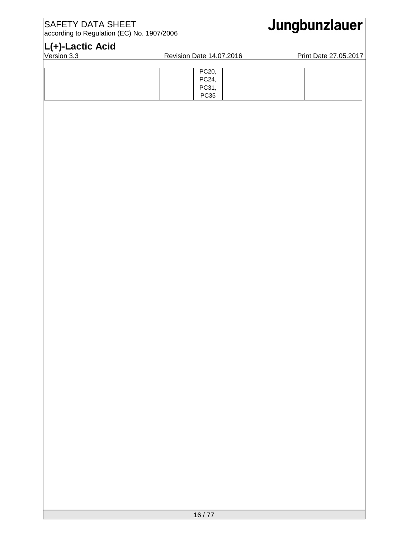| <b>SAFETY DATA SHEET</b><br>according to Regulation (EC) No. 1907/2006 |                                 |                       |
|------------------------------------------------------------------------|---------------------------------|-----------------------|
| $L$ (+)-Lactic Acid                                                    | Revision Date 14.07.2016        | Print Date 27.05.2017 |
|                                                                        | PC20,<br>PC24,<br>PC31,<br>PC35 |                       |
|                                                                        |                                 |                       |
|                                                                        |                                 |                       |
|                                                                        |                                 |                       |
|                                                                        |                                 |                       |
|                                                                        |                                 |                       |
|                                                                        |                                 |                       |
|                                                                        |                                 |                       |
|                                                                        |                                 |                       |
|                                                                        |                                 |                       |
|                                                                        | 16/77                           |                       |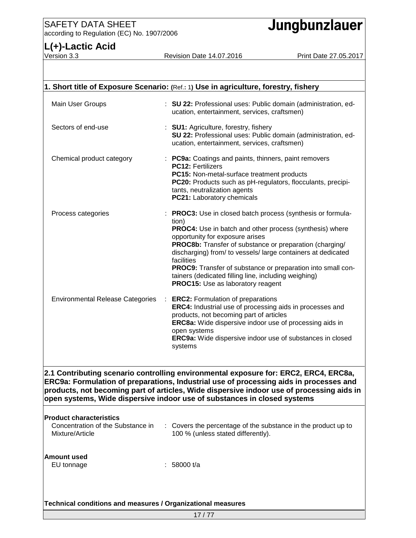L(+)-Lactic Acid

|                                                                                        | 1. Short title of Exposure Scenario: (Ref.: 1) Use in agriculture, forestry, fishery                                                                                                                                                                                                                                                                                                                                                                                                |
|----------------------------------------------------------------------------------------|-------------------------------------------------------------------------------------------------------------------------------------------------------------------------------------------------------------------------------------------------------------------------------------------------------------------------------------------------------------------------------------------------------------------------------------------------------------------------------------|
| Main User Groups                                                                       | : SU 22: Professional uses: Public domain (administration, ed-<br>ucation, entertainment, services, craftsmen)                                                                                                                                                                                                                                                                                                                                                                      |
| Sectors of end-use                                                                     | <b>SU1: Agriculture, forestry, fishery</b><br>SU 22: Professional uses: Public domain (administration, ed-<br>ucation, entertainment, services, craftsmen)                                                                                                                                                                                                                                                                                                                          |
| Chemical product category                                                              | : PC9a: Coatings and paints, thinners, paint removers<br><b>PC12: Fertilizers</b><br>PC15: Non-metal-surface treatment products<br>PC20: Products such as pH-regulators, flocculants, precipi-<br>tants, neutralization agents<br>PC21: Laboratory chemicals                                                                                                                                                                                                                        |
| Process categories                                                                     | <b>PROC3:</b> Use in closed batch process (synthesis or formula-<br>tion)<br>PROC4: Use in batch and other process (synthesis) where<br>opportunity for exposure arises<br>PROC8b: Transfer of substance or preparation (charging/<br>discharging) from/ to vessels/ large containers at dedicated<br>facilities<br>PROC9: Transfer of substance or preparation into small con-<br>tainers (dedicated filling line, including weighing)<br><b>PROC15:</b> Use as laboratory reagent |
| <b>Environmental Release Categories</b>                                                | <b>ERC2:</b> Formulation of preparations<br>÷<br>ERC4: Industrial use of processing aids in processes and<br>products, not becoming part of articles<br>ERC8a: Wide dispersive indoor use of processing aids in<br>open systems<br><b>ERC9a:</b> Wide dispersive indoor use of substances in closed<br>systems                                                                                                                                                                      |
|                                                                                        | 2.1 Contributing scenario controlling environmental exposure for: ERC2, ERC4, ERC8a,<br>ERC9a: Formulation of preparations, Industrial use of processing aids in processes and<br>products, not becoming part of articles, Wide dispersive indoor use of processing aids in<br>open systems, Wide dispersive indoor use of substances in closed systems                                                                                                                             |
| <b>Product characteristics</b><br>Concentration of the Substance in<br>Mixture/Article | : Covers the percentage of the substance in the product up to<br>100 % (unless stated differently).                                                                                                                                                                                                                                                                                                                                                                                 |
| <b>Amount used</b><br>EU tonnage                                                       | $: 58000 \frac{t}{a}$                                                                                                                                                                                                                                                                                                                                                                                                                                                               |
| Technical conditions and measures / Organizational measures                            |                                                                                                                                                                                                                                                                                                                                                                                                                                                                                     |
|                                                                                        | 17/77                                                                                                                                                                                                                                                                                                                                                                                                                                                                               |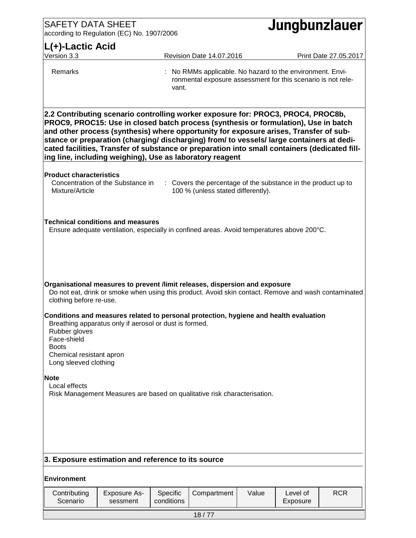| <b>SAFETY DATA SHEET</b><br>according to Regulation (EC) No. 1907/2006                                                                                                                                                                                                                                                                                                                                                                                                                                                     |                                 |                        |                                                                                                                         |       |                      |                       |  |
|----------------------------------------------------------------------------------------------------------------------------------------------------------------------------------------------------------------------------------------------------------------------------------------------------------------------------------------------------------------------------------------------------------------------------------------------------------------------------------------------------------------------------|---------------------------------|------------------------|-------------------------------------------------------------------------------------------------------------------------|-------|----------------------|-----------------------|--|
| L(+)-Lactic Acid                                                                                                                                                                                                                                                                                                                                                                                                                                                                                                           |                                 |                        |                                                                                                                         |       |                      |                       |  |
| Version 3.3                                                                                                                                                                                                                                                                                                                                                                                                                                                                                                                |                                 |                        | Revision Date 14.07.2016                                                                                                |       |                      | Print Date 27.05.2017 |  |
| Remarks                                                                                                                                                                                                                                                                                                                                                                                                                                                                                                                    |                                 | vant.                  | No RMMs applicable. No hazard to the environment. Envi-<br>ronmental exposure assessment for this scenario is not rele- |       |                      |                       |  |
| 2.2 Contributing scenario controlling worker exposure for: PROC3, PROC4, PROC8b,<br>PROC9, PROC15: Use in closed batch process (synthesis or formulation), Use in batch<br>and other process (synthesis) where opportunity for exposure arises, Transfer of sub-<br>stance or preparation (charging/ discharging) from/ to vessels/ large containers at dedi-<br>cated facilities, Transfer of substance or preparation into small containers (dedicated fill-<br>ing line, including weighing), Use as laboratory reagent |                                 |                        |                                                                                                                         |       |                      |                       |  |
|                                                                                                                                                                                                                                                                                                                                                                                                                                                                                                                            |                                 |                        |                                                                                                                         |       |                      |                       |  |
| <b>Product characteristics</b><br>Concentration of the Substance in<br>Mixture/Article                                                                                                                                                                                                                                                                                                                                                                                                                                     |                                 |                        | : Covers the percentage of the substance in the product up to<br>100 % (unless stated differently).                     |       |                      |                       |  |
|                                                                                                                                                                                                                                                                                                                                                                                                                                                                                                                            |                                 |                        |                                                                                                                         |       |                      |                       |  |
| <b>Technical conditions and measures</b><br>Ensure adequate ventilation, especially in confined areas. Avoid temperatures above 200°C.                                                                                                                                                                                                                                                                                                                                                                                     |                                 |                        |                                                                                                                         |       |                      |                       |  |
| Organisational measures to prevent /limit releases, dispersion and exposure<br>Do not eat, drink or smoke when using this product. Avoid skin contact. Remove and wash contaminated<br>clothing before re-use.                                                                                                                                                                                                                                                                                                             |                                 |                        |                                                                                                                         |       |                      |                       |  |
| Conditions and measures related to personal protection, hygiene and health evaluation<br>Breathing apparatus only if aerosol or dust is formed.<br>Rubber gloves<br>Face-shield<br><b>Boots</b><br>Chemical resistant apron<br>Long sleeved clothing                                                                                                                                                                                                                                                                       |                                 |                        |                                                                                                                         |       |                      |                       |  |
| <b>Note</b><br>Local effects<br>Risk Management Measures are based on qualitative risk characterisation.                                                                                                                                                                                                                                                                                                                                                                                                                   |                                 |                        |                                                                                                                         |       |                      |                       |  |
| 3. Exposure estimation and reference to its source                                                                                                                                                                                                                                                                                                                                                                                                                                                                         |                                 |                        |                                                                                                                         |       |                      |                       |  |
| <b>Environment</b>                                                                                                                                                                                                                                                                                                                                                                                                                                                                                                         |                                 |                        |                                                                                                                         |       |                      |                       |  |
|                                                                                                                                                                                                                                                                                                                                                                                                                                                                                                                            |                                 |                        |                                                                                                                         |       |                      |                       |  |
| Contributing<br>Scenario                                                                                                                                                                                                                                                                                                                                                                                                                                                                                                   | <b>Exposure As-</b><br>sessment | Specific<br>conditions | Compartment                                                                                                             | Value | Level of<br>Exposure | <b>RCR</b>            |  |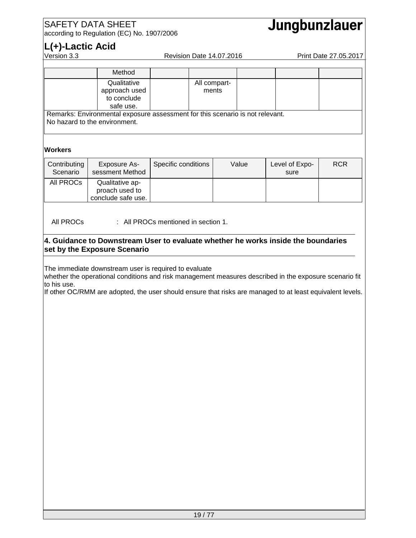## **L(+)-Lactic Acid**

Version 3.3 Revision Date 14.07.2016 Print Date 27.05.2017

|                          | Method                                                                                                                                                                                                              |                                     |                       |       |                        |            |
|--------------------------|---------------------------------------------------------------------------------------------------------------------------------------------------------------------------------------------------------------------|-------------------------------------|-----------------------|-------|------------------------|------------|
|                          | Qualitative<br>approach used<br>to conclude<br>safe use.                                                                                                                                                            |                                     | All compart-<br>ments |       |                        |            |
|                          | Remarks: Environmental exposure assessment for this scenario is not relevant.<br>No hazard to the environment.                                                                                                      |                                     |                       |       |                        |            |
| <b>Workers</b>           |                                                                                                                                                                                                                     |                                     |                       |       |                        |            |
| Contributing<br>Scenario | Exposure As-<br>sessment Method                                                                                                                                                                                     | Specific conditions                 |                       | Value | Level of Expo-<br>sure | <b>RCR</b> |
| <b>All PROCs</b>         | Qualitative ap-<br>proach used to<br>conclude safe use.                                                                                                                                                             |                                     |                       |       |                        |            |
| <b>All PROCS</b>         |                                                                                                                                                                                                                     | : All PROCs mentioned in section 1. |                       |       |                        |            |
|                          | 4. Guidance to Downstream User to evaluate whether he works inside the boundaries<br>set by the Exposure Scenario                                                                                                   |                                     |                       |       |                        |            |
| to his use.              | whether the operational conditions and risk management measures described in the exposure scenario fit<br>If other OC/RMM are adopted, the user should ensure that risks are managed to at least equivalent levels. |                                     |                       |       |                        |            |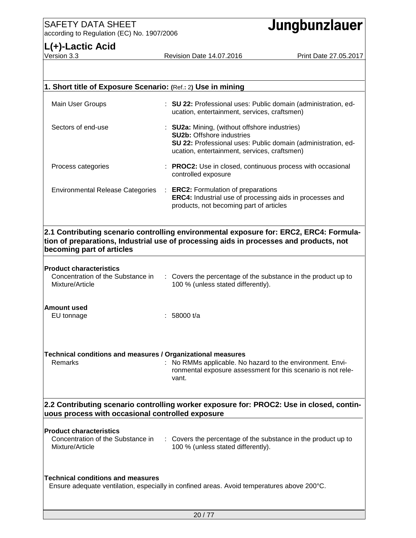# L(+)-Lactic Acid

| 1. Short title of Exposure Scenario: (Ref.: 2) Use in mining                                                                                                                                                 |                                                                                                                                                                                                   |  |  |  |  |  |  |
|--------------------------------------------------------------------------------------------------------------------------------------------------------------------------------------------------------------|---------------------------------------------------------------------------------------------------------------------------------------------------------------------------------------------------|--|--|--|--|--|--|
| Main User Groups                                                                                                                                                                                             | : SU 22: Professional uses: Public domain (administration, ed-<br>ucation, entertainment, services, craftsmen)                                                                                    |  |  |  |  |  |  |
| Sectors of end-use                                                                                                                                                                                           | : SU2a: Mining, (without offshore industries)<br><b>SU2b: Offshore industries</b><br>SU 22: Professional uses: Public domain (administration, ed-<br>ucation, entertainment, services, craftsmen) |  |  |  |  |  |  |
| Process categories                                                                                                                                                                                           | : PROC2: Use in closed, continuous process with occasional<br>controlled exposure                                                                                                                 |  |  |  |  |  |  |
| <b>Environmental Release Categories</b>                                                                                                                                                                      | : <b>ERC2:</b> Formulation of preparations<br>ERC4: Industrial use of processing aids in processes and<br>products, not becoming part of articles                                                 |  |  |  |  |  |  |
| becoming part of articles                                                                                                                                                                                    | 2.1 Contributing scenario controlling environmental exposure for: ERC2, ERC4: Formula-<br>tion of preparations, Industrial use of processing aids in processes and products, not                  |  |  |  |  |  |  |
| <b>Product characteristics</b><br>Concentration of the Substance in<br>Mixture/Article                                                                                                                       | : Covers the percentage of the substance in the product up to<br>100 % (unless stated differently).                                                                                               |  |  |  |  |  |  |
| Amount used<br>EU tonnage                                                                                                                                                                                    | 58000 t/a                                                                                                                                                                                         |  |  |  |  |  |  |
| Technical conditions and measures / Organizational measures<br>: No RMMs applicable. No hazard to the environment. Envi-<br>Remarks<br>ronmental exposure assessment for this scenario is not rele-<br>vant. |                                                                                                                                                                                                   |  |  |  |  |  |  |
| uous process with occasional controlled exposure                                                                                                                                                             | 2.2 Contributing scenario controlling worker exposure for: PROC2: Use in closed, contin-                                                                                                          |  |  |  |  |  |  |
| <b>Product characteristics</b><br>Concentration of the Substance in<br>Mixture/Article                                                                                                                       | : Covers the percentage of the substance in the product up to<br>100 % (unless stated differently).                                                                                               |  |  |  |  |  |  |
| <b>Technical conditions and measures</b>                                                                                                                                                                     | Ensure adequate ventilation, especially in confined areas. Avoid temperatures above 200°C.                                                                                                        |  |  |  |  |  |  |
|                                                                                                                                                                                                              | 20/77                                                                                                                                                                                             |  |  |  |  |  |  |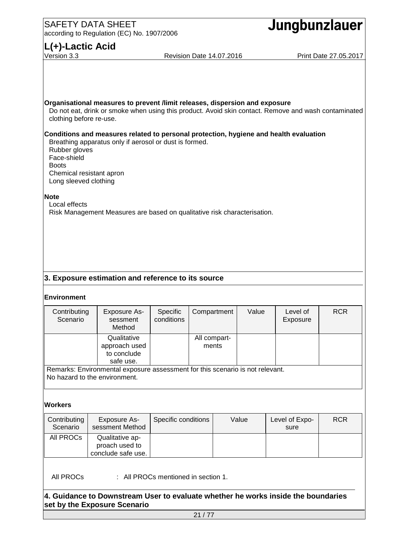## **L(+)-Lactic Acid**

Revision Date 14.07.2016 Print Date 27.05.2017

#### **Organisational measures to prevent /limit releases, dispersion and exposure**

Do not eat, drink or smoke when using this product. Avoid skin contact. Remove and wash contaminated clothing before re-use.

#### **Conditions and measures related to personal protection, hygiene and health evaluation**

Breathing apparatus only if aerosol or dust is formed. Rubber gloves Face-shield **Boots** Chemical resistant apron Long sleeved clothing

#### **Note**

Local effects Risk Management Measures are based on qualitative risk characterisation.

### **3. Exposure estimation and reference to its source**

#### **Environment**

| Contributing<br>Scenario      | <b>Exposure As-</b><br>sessment<br>Method                                     | Specific<br>conditions | Compartment           | Value | Level of<br>Exposure | <b>RCR</b> |
|-------------------------------|-------------------------------------------------------------------------------|------------------------|-----------------------|-------|----------------------|------------|
|                               | Qualitative<br>approach used<br>to conclude<br>safe use.                      |                        | All compart-<br>ments |       |                      |            |
| No hazard to the environment. | Remarks: Environmental exposure assessment for this scenario is not relevant. |                        |                       |       |                      |            |

#### **Workers**

| Contributing<br>Scenario | Exposure As-<br>sessment Method                         | Specific conditions | Value | Level of Expo-<br>sure | <b>RCR</b> |
|--------------------------|---------------------------------------------------------|---------------------|-------|------------------------|------------|
| All PROCs                | Qualitative ap-<br>proach used to<br>conclude safe use. |                     |       |                        |            |

All PROCs : All PROCs mentioned in section 1.

**4. Guidance to Downstream User to evaluate whether he works inside the boundaries set by the Exposure Scenario**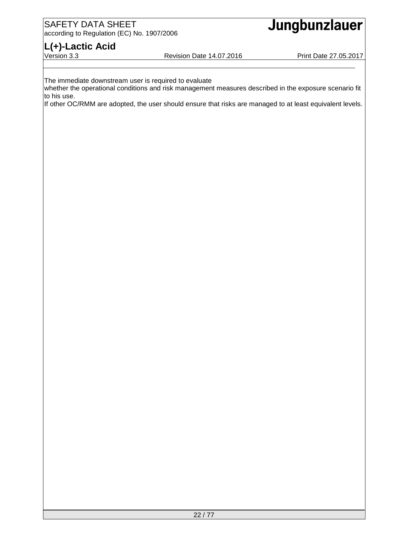## **L(+)-Lactic Acid**

Revision Date 14.07.2016 Print Date 27.05.2017

The immediate downstream user is required to evaluate

whether the operational conditions and risk management measures described in the exposure scenario fit to his use.

If other OC/RMM are adopted, the user should ensure that risks are managed to at least equivalent levels.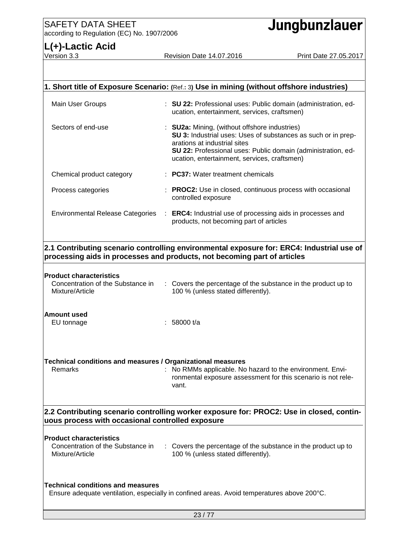L(+)-Lactic Acid

|                                                                                                                                                                                                              |  | 1. Short title of Exposure Scenario: (Ref.: 3) Use in mining (without offshore industries)                                                                                                                                                                     |  |  |  |  |  |
|--------------------------------------------------------------------------------------------------------------------------------------------------------------------------------------------------------------|--|----------------------------------------------------------------------------------------------------------------------------------------------------------------------------------------------------------------------------------------------------------------|--|--|--|--|--|
| Main User Groups                                                                                                                                                                                             |  | : SU 22: Professional uses: Public domain (administration, ed-<br>ucation, entertainment, services, craftsmen)                                                                                                                                                 |  |  |  |  |  |
| Sectors of end-use                                                                                                                                                                                           |  | : SU2a: Mining, (without offshore industries)<br>SU 3: Industrial uses: Uses of substances as such or in prep-<br>arations at industrial sites<br>SU 22: Professional uses: Public domain (administration, ed-<br>ucation, entertainment, services, craftsmen) |  |  |  |  |  |
| Chemical product category                                                                                                                                                                                    |  | <b>PC37: Water treatment chemicals</b>                                                                                                                                                                                                                         |  |  |  |  |  |
| Process categories                                                                                                                                                                                           |  | <b>PROC2:</b> Use in closed, continuous process with occasional<br>controlled exposure                                                                                                                                                                         |  |  |  |  |  |
| <b>Environmental Release Categories</b>                                                                                                                                                                      |  | : ERC4: Industrial use of processing aids in processes and<br>products, not becoming part of articles                                                                                                                                                          |  |  |  |  |  |
|                                                                                                                                                                                                              |  | 2.1 Contributing scenario controlling environmental exposure for: ERC4: Industrial use of<br>processing aids in processes and products, not becoming part of articles                                                                                          |  |  |  |  |  |
|                                                                                                                                                                                                              |  |                                                                                                                                                                                                                                                                |  |  |  |  |  |
| <b>Product characteristics</b><br>Concentration of the Substance in<br>Mixture/Article                                                                                                                       |  | Covers the percentage of the substance in the product up to<br>100 % (unless stated differently).                                                                                                                                                              |  |  |  |  |  |
| Amount used<br>EU tonnage                                                                                                                                                                                    |  | $: 58000 \frac{t}{a}$                                                                                                                                                                                                                                          |  |  |  |  |  |
| Technical conditions and measures / Organizational measures<br>: No RMMs applicable. No hazard to the environment. Envi-<br>Remarks<br>ronmental exposure assessment for this scenario is not rele-<br>vant. |  |                                                                                                                                                                                                                                                                |  |  |  |  |  |
| uous process with occasional controlled exposure                                                                                                                                                             |  | 2.2 Contributing scenario controlling worker exposure for: PROC2: Use in closed, contin-                                                                                                                                                                       |  |  |  |  |  |
| <b>Product characteristics</b><br>Concentration of the Substance in<br>Mixture/Article                                                                                                                       |  | : Covers the percentage of the substance in the product up to<br>100 % (unless stated differently).                                                                                                                                                            |  |  |  |  |  |
| <b>Technical conditions and measures</b>                                                                                                                                                                     |  | Ensure adequate ventilation, especially in confined areas. Avoid temperatures above 200°C.                                                                                                                                                                     |  |  |  |  |  |
|                                                                                                                                                                                                              |  |                                                                                                                                                                                                                                                                |  |  |  |  |  |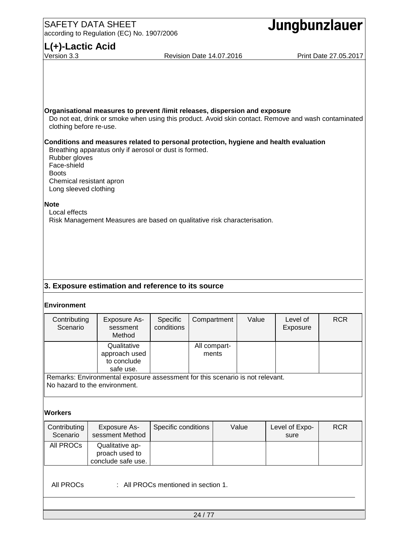**L(+)-Lactic Acid**

Revision Date 14.07.2016 Print Date 27.05.2017

#### **Organisational measures to prevent /limit releases, dispersion and exposure**

Do not eat, drink or smoke when using this product. Avoid skin contact. Remove and wash contaminated clothing before re-use.

#### **Conditions and measures related to personal protection, hygiene and health evaluation**

Breathing apparatus only if aerosol or dust is formed. Rubber gloves Face-shield Boots Chemical resistant apron Long sleeved clothing

#### **Note**

Local effects Risk Management Measures are based on qualitative risk characterisation.

### **3. Exposure estimation and reference to its source**

#### **Environment**

| Contributing<br>Scenario | Exposure As-<br>sessment<br>Method                       | Specific<br>conditions | Compartment           | Value | Level of<br>Exposure | <b>RCR</b> |
|--------------------------|----------------------------------------------------------|------------------------|-----------------------|-------|----------------------|------------|
|                          | Qualitative<br>approach used<br>to conclude<br>safe use. |                        | All compart-<br>ments |       |                      |            |

Remarks: Environmental exposure assessment for this scenario is not relevant. No hazard to the environment.

#### **Workers**

| Contributing<br>Scenario | Exposure As-<br>sessment Method                         | Specific conditions | Value | Level of Expo-<br>sure | <b>RCR</b> |
|--------------------------|---------------------------------------------------------|---------------------|-------|------------------------|------------|
| All PROCs                | Qualitative ap-<br>proach used to<br>conclude safe use. |                     |       |                        |            |

All PROCs : All PROCs mentioned in section 1.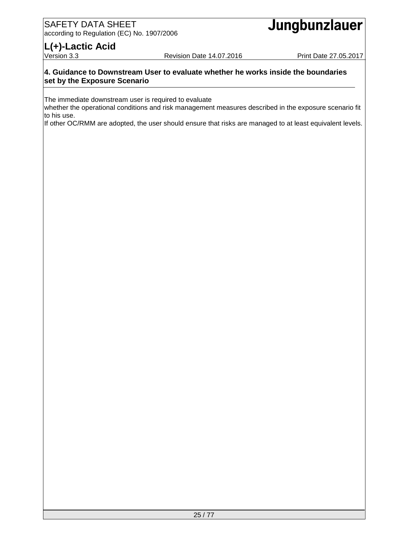## **L(+)-Lactic Acid**

Revision Date 14.07.2016 Print Date 27.05.2017

## **4. Guidance to Downstream User to evaluate whether he works inside the boundaries set by the Exposure Scenario**

The immediate downstream user is required to evaluate

whether the operational conditions and risk management measures described in the exposure scenario fit to his use.

If other OC/RMM are adopted, the user should ensure that risks are managed to at least equivalent levels.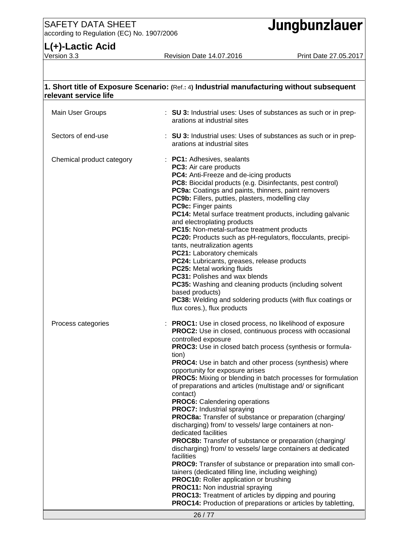**L(+)-Lactic Acid**

Revision Date 14.07.2016 Print Date 27.05.2017

## **1. Short title of Exposure Scenario: (**Ref.**:** 4**) Industrial manufacturing without subsequent relevant service life**

| Main User Groups          | : SU 3: Industrial uses: Uses of substances as such or in prep-<br>arations at industrial sites                                                                                                                                                                                                                                                                                                                                                                                                                                                                                                                                                                                                                                                                                                                                                                                                                                                                                                                                                                                                                                                                                                                                   |
|---------------------------|-----------------------------------------------------------------------------------------------------------------------------------------------------------------------------------------------------------------------------------------------------------------------------------------------------------------------------------------------------------------------------------------------------------------------------------------------------------------------------------------------------------------------------------------------------------------------------------------------------------------------------------------------------------------------------------------------------------------------------------------------------------------------------------------------------------------------------------------------------------------------------------------------------------------------------------------------------------------------------------------------------------------------------------------------------------------------------------------------------------------------------------------------------------------------------------------------------------------------------------|
| Sectors of end-use        | : SU 3: Industrial uses: Uses of substances as such or in prep-<br>arations at industrial sites                                                                                                                                                                                                                                                                                                                                                                                                                                                                                                                                                                                                                                                                                                                                                                                                                                                                                                                                                                                                                                                                                                                                   |
| Chemical product category | : PC1: Adhesives, sealants<br>PC3: Air care products<br>PC4: Anti-Freeze and de-icing products<br>PC8: Biocidal products (e.g. Disinfectants, pest control)<br>PC9a: Coatings and paints, thinners, paint removers<br>PC9b: Fillers, putties, plasters, modelling clay<br>PC9c: Finger paints<br>PC14: Metal surface treatment products, including galvanic<br>and electroplating products<br>PC15: Non-metal-surface treatment products<br>PC20: Products such as pH-regulators, flocculants, precipi-<br>tants, neutralization agents<br>PC21: Laboratory chemicals<br>PC24: Lubricants, greases, release products<br>PC25: Metal working fluids<br>PC31: Polishes and wax blends<br>PC35: Washing and cleaning products (including solvent<br>based products)<br>PC38: Welding and soldering products (with flux coatings or<br>flux cores.), flux products                                                                                                                                                                                                                                                                                                                                                                    |
| Process categories        | <b>PROC1:</b> Use in closed process, no likelihood of exposure<br><b>PROC2:</b> Use in closed, continuous process with occasional<br>controlled exposure<br><b>PROC3:</b> Use in closed batch process (synthesis or formula-<br>tion)<br><b>PROC4:</b> Use in batch and other process (synthesis) where<br>opportunity for exposure arises<br><b>PROC5:</b> Mixing or blending in batch processes for formulation<br>of preparations and articles (multistage and/ or significant<br>contact)<br><b>PROC6:</b> Calendering operations<br><b>PROC7:</b> Industrial spraying<br>PROC8a: Transfer of substance or preparation (charging/<br>discharging) from/ to vessels/ large containers at non-<br>dedicated facilities<br><b>PROC8b:</b> Transfer of substance or preparation (charging/<br>discharging) from/ to vessels/ large containers at dedicated<br>facilities<br>PROC9: Transfer of substance or preparation into small con-<br>tainers (dedicated filling line, including weighing)<br><b>PROC10:</b> Roller application or brushing<br><b>PROC11:</b> Non industrial spraying<br><b>PROC13:</b> Treatment of articles by dipping and pouring<br><b>PROC14:</b> Production of preparations or articles by tabletting, |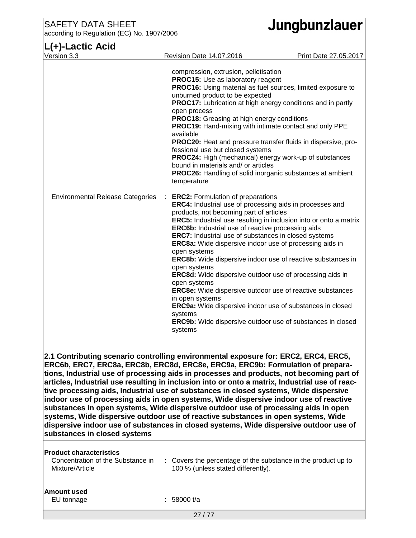SAFETY DATA SHEET  $\frac{1}{2}$ <br> $\frac{1}{2}$ 

| Version 3.3                             | Revision Date 14.07.2016                                                                                                                                                                                                                                                                                                                                                                                                                                                                                                                                                                                                                                                                                                                                                                                                                    | Print Date 27.05.2017 |
|-----------------------------------------|---------------------------------------------------------------------------------------------------------------------------------------------------------------------------------------------------------------------------------------------------------------------------------------------------------------------------------------------------------------------------------------------------------------------------------------------------------------------------------------------------------------------------------------------------------------------------------------------------------------------------------------------------------------------------------------------------------------------------------------------------------------------------------------------------------------------------------------------|-----------------------|
|                                         | compression, extrusion, pelletisation<br>PROC15: Use as laboratory reagent<br><b>PROC16:</b> Using material as fuel sources, limited exposure to<br>unburned product to be expected<br>PROC17: Lubrication at high energy conditions and in partly<br>open process<br><b>PROC18:</b> Greasing at high energy conditions<br>PROC19: Hand-mixing with intimate contact and only PPE<br>available<br><b>PROC20:</b> Heat and pressure transfer fluids in dispersive, pro-<br>fessional use but closed systems<br>PROC24: High (mechanical) energy work-up of substances<br>bound in materials and/ or articles<br>PROC26: Handling of solid inorganic substances at ambient<br>temperature                                                                                                                                                     |                       |
| <b>Environmental Release Categories</b> | <b>ERC2:</b> Formulation of preparations<br>ERC4: Industrial use of processing aids in processes and<br>products, not becoming part of articles<br>ERC5: Industrial use resulting in inclusion into or onto a matrix<br><b>ERC6b:</b> Industrial use of reactive processing aids<br><b>ERC7:</b> Industrial use of substances in closed systems<br>ERC8a: Wide dispersive indoor use of processing aids in<br>open systems<br>ERC8b: Wide dispersive indoor use of reactive substances in<br>open systems<br><b>ERC8d:</b> Wide dispersive outdoor use of processing aids in<br>open systems<br><b>ERC8e:</b> Wide dispersive outdoor use of reactive substances<br>in open systems<br>ERC9a: Wide dispersive indoor use of substances in closed<br>systems<br><b>ERC9b:</b> Wide dispersive outdoor use of substances in closed<br>systems |                       |

**ERC6b, ERC7, ERC8a, ERC8b, ERC8d, ERC8e, ERC9a, ERC9b: Formulation of preparations, Industrial use of processing aids in processes and products, not becoming part of articles, Industrial use resulting in inclusion into or onto a matrix, Industrial use of reactive processing aids, Industrial use of substances in closed systems, Wide dispersive indoor use of processing aids in open systems, Wide dispersive indoor use of reactive substances in open systems, Wide dispersive outdoor use of processing aids in open systems, Wide dispersive outdoor use of reactive substances in open systems, Wide dispersive indoor use of substances in closed systems, Wide dispersive outdoor use of substances in closed systems**

## **Product characteristics** Concentration of the Substance in : Covers the percentage of the substance in the product up to Mixture/Article 100 % (unless stated differently).

**Amount used**

EU tonnage : 58000 t/a

27 / 77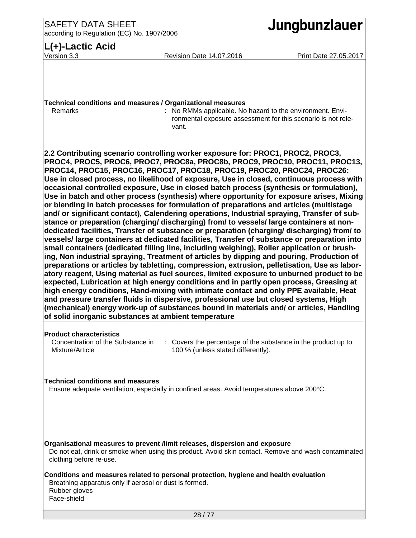**L(+)-Lactic Acid**

Revision Date 14.07.2016 Print Date 27.05.2017

**Technical conditions and measures / Organizational measures**

Remarks **EXECUTE:** No RMMs applicable. No hazard to the environment. Environmental exposure assessment for this scenario is not relevant.

**2.2 Contributing scenario controlling worker exposure for: PROC1, PROC2, PROC3, PROC4, PROC5, PROC6, PROC7, PROC8a, PROC8b, PROC9, PROC10, PROC11, PROC13, PROC14, PROC15, PROC16, PROC17, PROC18, PROC19, PROC20, PROC24, PROC26: Use in closed process, no likelihood of exposure, Use in closed, continuous process with occasional controlled exposure, Use in closed batch process (synthesis or formulation), Use in batch and other process (synthesis) where opportunity for exposure arises, Mixing or blending in batch processes for formulation of preparations and articles (multistage and/ or significant contact), Calendering operations, Industrial spraying, Transfer of substance or preparation (charging/ discharging) from/ to vessels/ large containers at nondedicated facilities, Transfer of substance or preparation (charging/ discharging) from/ to vessels/ large containers at dedicated facilities, Transfer of substance or preparation into small containers (dedicated filling line, including weighing), Roller application or brushing, Non industrial spraying, Treatment of articles by dipping and pouring, Production of preparations or articles by tabletting, compression, extrusion, pelletisation, Use as laboratory reagent, Using material as fuel sources, limited exposure to unburned product to be expected, Lubrication at high energy conditions and in partly open process, Greasing at high energy conditions, Hand-mixing with intimate contact and only PPE available, Heat and pressure transfer fluids in dispersive, professional use but closed systems, High (mechanical) energy work-up of substances bound in materials and/ or articles, Handling of solid inorganic substances at ambient temperature**

#### **Product characteristics**

Mixture/Article

Concentration of the Substance in : Covers the percentage of the substance in the product up to 100 % (unless stated differently).

**Technical conditions and measures** Ensure adequate ventilation, especially in confined areas. Avoid temperatures above 200°C.

**Organisational measures to prevent /limit releases, dispersion and exposure**

Do not eat, drink or smoke when using this product. Avoid skin contact. Remove and wash contaminated clothing before re-use.

**Conditions and measures related to personal protection, hygiene and health evaluation**

Breathing apparatus only if aerosol or dust is formed. Rubber gloves Face-shield

28 / 77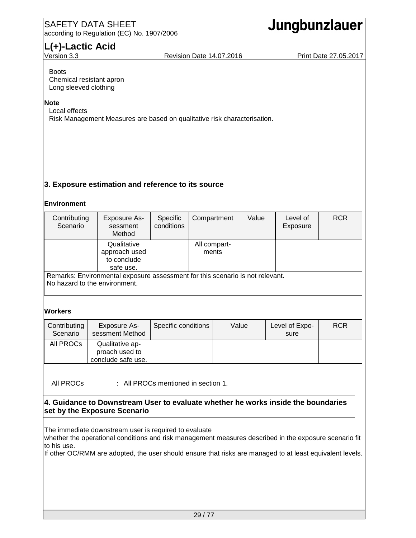## **L(+)-Lactic Acid**

Revision Date 14.07.2016 Print Date 27.05.2017

#### Boots

Chemical resistant apron Long sleeved clothing

#### **Note**

Local effects

Risk Management Measures are based on qualitative risk characterisation.

## **3. Exposure estimation and reference to its source**

#### **Environment**

| Contributing<br>Scenario                                                                                       | Exposure As-<br>sessment<br>Method          | <b>Specific</b><br>conditions | Compartment           | Value | Level of<br>Exposure | <b>RCR</b> |  |
|----------------------------------------------------------------------------------------------------------------|---------------------------------------------|-------------------------------|-----------------------|-------|----------------------|------------|--|
|                                                                                                                | Qualitative<br>approach used<br>to conclude |                               | All compart-<br>ments |       |                      |            |  |
|                                                                                                                | safe use.                                   |                               |                       |       |                      |            |  |
| Remarks: Environmental exposure assessment for this scenario is not relevant.<br>No hazard to the environment. |                                             |                               |                       |       |                      |            |  |
|                                                                                                                |                                             |                               |                       |       |                      |            |  |

## **Workers**

| Contributing<br>Scenario | Exposure As-<br>sessment Method                         | Specific conditions | Value | Level of Expo-<br>sure | <b>RCR</b> |
|--------------------------|---------------------------------------------------------|---------------------|-------|------------------------|------------|
| All PROCs                | Qualitative ap-<br>proach used to<br>conclude safe use. |                     |       |                        |            |

All PROCs : All PROCs mentioned in section 1.

#### **4. Guidance to Downstream User to evaluate whether he works inside the boundaries set by the Exposure Scenario**

The immediate downstream user is required to evaluate

whether the operational conditions and risk management measures described in the exposure scenario fit to his use.

If other OC/RMM are adopted, the user should ensure that risks are managed to at least equivalent levels.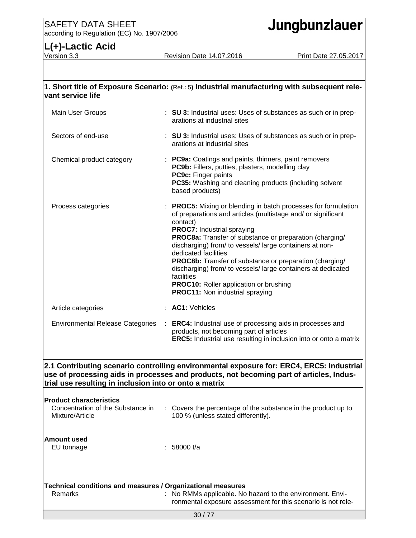L(+)-Lactic Acid

| vant service life                                                                      |    | 1. Short title of Exposure Scenario: (Ref.: 5) Industrial manufacturing with subsequent rele-                                                                                                                                                                                                                                                                                                                                                                                                                                                                   |
|----------------------------------------------------------------------------------------|----|-----------------------------------------------------------------------------------------------------------------------------------------------------------------------------------------------------------------------------------------------------------------------------------------------------------------------------------------------------------------------------------------------------------------------------------------------------------------------------------------------------------------------------------------------------------------|
| Main User Groups                                                                       |    | : SU 3: Industrial uses: Uses of substances as such or in prep-<br>arations at industrial sites                                                                                                                                                                                                                                                                                                                                                                                                                                                                 |
| Sectors of end-use                                                                     |    | : SU 3: Industrial uses: Uses of substances as such or in prep-<br>arations at industrial sites                                                                                                                                                                                                                                                                                                                                                                                                                                                                 |
| Chemical product category                                                              |    | : PC9a: Coatings and paints, thinners, paint removers<br>PC9b: Fillers, putties, plasters, modelling clay<br>PC9c: Finger paints<br>PC35: Washing and cleaning products (including solvent<br>based products)                                                                                                                                                                                                                                                                                                                                                   |
| Process categories                                                                     |    | <b>PROC5:</b> Mixing or blending in batch processes for formulation<br>of preparations and articles (multistage and/ or significant<br>contact)<br><b>PROC7:</b> Industrial spraying<br>PROC8a: Transfer of substance or preparation (charging/<br>discharging) from/ to vessels/ large containers at non-<br>dedicated facilities<br>PROC8b: Transfer of substance or preparation (charging/<br>discharging) from/ to vessels/ large containers at dedicated<br>facilities<br><b>PROC10:</b> Roller application or brushing<br>PROC11: Non industrial spraying |
| Article categories                                                                     |    | <b>AC1: Vehicles</b>                                                                                                                                                                                                                                                                                                                                                                                                                                                                                                                                            |
| <b>Environmental Release Categories</b>                                                | ÷. | <b>ERC4:</b> Industrial use of processing aids in processes and<br>products, not becoming part of articles<br>ERC5: Industrial use resulting in inclusion into or onto a matrix                                                                                                                                                                                                                                                                                                                                                                                 |
| trial use resulting in inclusion into or onto a matrix                                 |    | 2.1 Contributing scenario controlling environmental exposure for: ERC4, ERC5: Industrial<br>use of processing aids in processes and products, not becoming part of articles, Indus-                                                                                                                                                                                                                                                                                                                                                                             |
| <b>Product characteristics</b><br>Concentration of the Substance in<br>Mixture/Article |    | : Covers the percentage of the substance in the product up to<br>100 % (unless stated differently).                                                                                                                                                                                                                                                                                                                                                                                                                                                             |
| <b>Amount used</b><br>EU tonnage                                                       |    | 58000 t/a                                                                                                                                                                                                                                                                                                                                                                                                                                                                                                                                                       |
| Technical conditions and measures / Organizational measures<br>Remarks                 |    | : No RMMs applicable. No hazard to the environment. Envi-<br>ronmental exposure assessment for this scenario is not rele-                                                                                                                                                                                                                                                                                                                                                                                                                                       |
|                                                                                        |    | 30/77                                                                                                                                                                                                                                                                                                                                                                                                                                                                                                                                                           |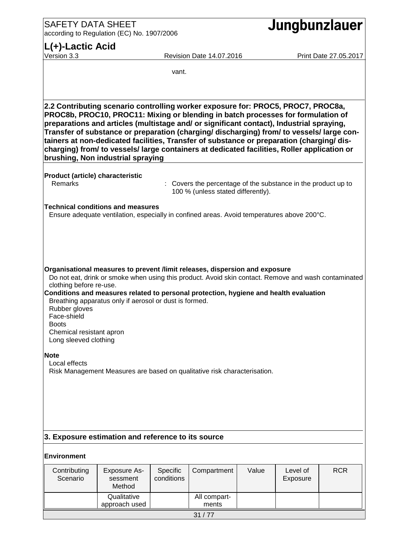**L(+)-Lactic Acid**

Revision Date 14.07.2016 Print Date 27.05.2017

vant.

**2.2 Contributing scenario controlling worker exposure for: PROC5, PROC7, PROC8a, PROC8b, PROC10, PROC11: Mixing or blending in batch processes for formulation of preparations and articles (multistage and/ or significant contact), Industrial spraying, Transfer of substance or preparation (charging/ discharging) from/ to vessels/ large containers at non-dedicated facilities, Transfer of substance or preparation (charging/ discharging) from/ to vessels/ large containers at dedicated facilities, Roller application or brushing, Non industrial spraying**

**Product (article) characteristic**

: Covers the percentage of the substance in the product up to 100 % (unless stated differently).

**Technical conditions and measures**

Ensure adequate ventilation, especially in confined areas. Avoid temperatures above 200°C.

**Organisational measures to prevent /limit releases, dispersion and exposure**

Do not eat, drink or smoke when using this product. Avoid skin contact. Remove and wash contaminated clothing before re-use.

**Conditions and measures related to personal protection, hygiene and health evaluation**

Breathing apparatus only if aerosol or dust is formed. Rubber gloves

Face-shield

Boots

Chemical resistant apron

Long sleeved clothing

**Note**

Local effects Risk Management Measures are based on qualitative risk characterisation.

#### **3. Exposure estimation and reference to its source**

#### **Environment**

| Contributing<br>Scenario | Exposure As-<br>sessment<br>Method | <b>Specific</b><br>conditions | Compartment           | Value | Level of<br>Exposure | <b>RCR</b> |
|--------------------------|------------------------------------|-------------------------------|-----------------------|-------|----------------------|------------|
|                          | Qualitative<br>approach used       |                               | All compart-<br>ments |       |                      |            |
| 31/77                    |                                    |                               |                       |       |                      |            |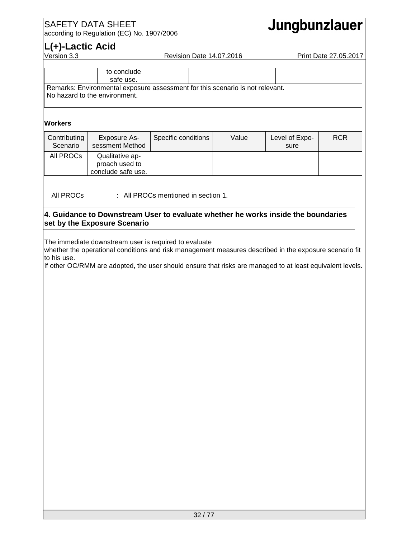## SAFETY DATA SHEET according to Regulation (EC) No. 1907/2006 **L(+)-Lactic Acid** Revision Date 14.07.2016 Print Date 27.05.2017 to conclude safe use. Remarks: Environmental exposure assessment for this scenario is not relevant. No hazard to the environment. **Workers Contributing** Scenario Exposure Assessment Method Specific conditions | Value | Level of Exposure RCR All PROCs Qualitative approach used to conclude safe use. All PROCs : All PROCs mentioned in section 1. **4. Guidance to Downstream User to evaluate whether he works inside the boundaries set by the Exposure Scenario** The immediate downstream user is required to evaluate whether the operational conditions and risk management measures described in the exposure scenario fit to his use. If other OC/RMM are adopted, the user should ensure that risks are managed to at least equivalent levels.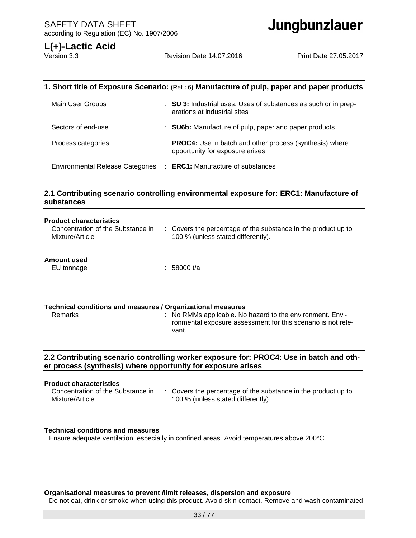# L(+)-Lactic Acid

|                                                                                        | 1. Short title of Exposure Scenario: (Ref.: 6) Manufacture of pulp, paper and paper products                                                                                        |
|----------------------------------------------------------------------------------------|-------------------------------------------------------------------------------------------------------------------------------------------------------------------------------------|
| Main User Groups                                                                       | : SU 3: Industrial uses: Uses of substances as such or in prep-<br>arations at industrial sites                                                                                     |
| Sectors of end-use                                                                     | : SU6b: Manufacture of pulp, paper and paper products                                                                                                                               |
| Process categories                                                                     | : PROC4: Use in batch and other process (synthesis) where<br>opportunity for exposure arises                                                                                        |
| Environmental Release Categories : ERC1: Manufacture of substances                     |                                                                                                                                                                                     |
| substances                                                                             | 2.1 Contributing scenario controlling environmental exposure for: ERC1: Manufacture of                                                                                              |
| <b>Product characteristics</b><br>Concentration of the Substance in<br>Mixture/Article | : Covers the percentage of the substance in the product up to<br>100 % (unless stated differently).                                                                                 |
| Amount used<br>EU tonnage                                                              | $: 58000$ t/a                                                                                                                                                                       |
| Technical conditions and measures / Organizational measures<br>Remarks                 | : No RMMs applicable. No hazard to the environment. Envi-<br>ronmental exposure assessment for this scenario is not rele-<br>vant.                                                  |
| er process (synthesis) where opportunity for exposure arises                           | 2.2 Contributing scenario controlling worker exposure for: PROC4: Use in batch and oth-                                                                                             |
|                                                                                        |                                                                                                                                                                                     |
| <b>Product characteristics</b><br>Concentration of the Substance in<br>Mixture/Article | : Covers the percentage of the substance in the product up to<br>100 % (unless stated differently).                                                                                 |
| <b>Technical conditions and measures</b>                                               | Ensure adequate ventilation, especially in confined areas. Avoid temperatures above 200°C.                                                                                          |
|                                                                                        | Organisational measures to prevent /limit releases, dispersion and exposure<br>Do not eat, drink or smoke when using this product. Avoid skin contact. Remove and wash contaminated |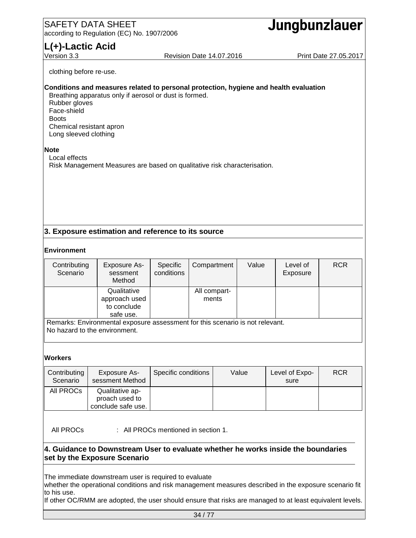## **L(+)-Lactic Acid**

Revision Date 14.07.2016 Print Date 27.05.2017

clothing before re-use.

#### **Conditions and measures related to personal protection, hygiene and health evaluation**

Breathing apparatus only if aerosol or dust is formed. Rubber gloves Face-shield Boots Chemical resistant apron Long sleeved clothing

#### **Note**

Local effects Risk Management Measures are based on qualitative risk characterisation.

## **3. Exposure estimation and reference to its source**

#### **Environment**

| Contributing<br>Scenario                                                      | <b>Exposure As-</b><br>sessment<br>Method                | <b>Specific</b><br>conditions | Compartment           | Value | Level of<br>Exposure | <b>RCR</b> |  |
|-------------------------------------------------------------------------------|----------------------------------------------------------|-------------------------------|-----------------------|-------|----------------------|------------|--|
|                                                                               | Qualitative<br>approach used<br>to conclude<br>safe use. |                               | All compart-<br>ments |       |                      |            |  |
| Remarks: Environmental exposure assessment for this scenario is not relevant. |                                                          |                               |                       |       |                      |            |  |
| No hazard to the environment.                                                 |                                                          |                               |                       |       |                      |            |  |

#### **Workers**

| Contributing<br>Scenario | Exposure As-<br>sessment Method                         | Specific conditions | Value | Level of Expo-<br>sure | <b>RCR</b> |
|--------------------------|---------------------------------------------------------|---------------------|-------|------------------------|------------|
| All PROCs                | Qualitative ap-<br>proach used to<br>conclude safe use. |                     |       |                        |            |

All PROCs : All PROCs mentioned in section 1.

#### **4. Guidance to Downstream User to evaluate whether he works inside the boundaries set by the Exposure Scenario**

The immediate downstream user is required to evaluate

whether the operational conditions and risk management measures described in the exposure scenario fit to his use.

If other OC/RMM are adopted, the user should ensure that risks are managed to at least equivalent levels.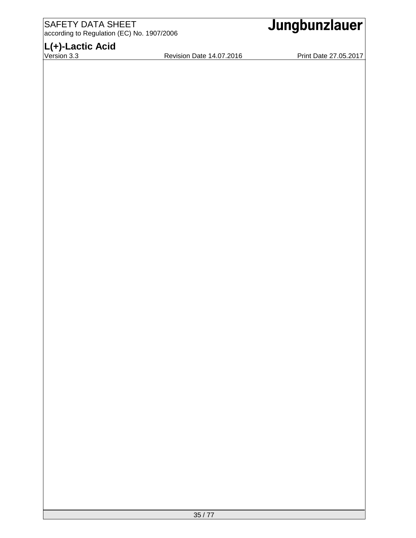# L(+)-Lactic Acid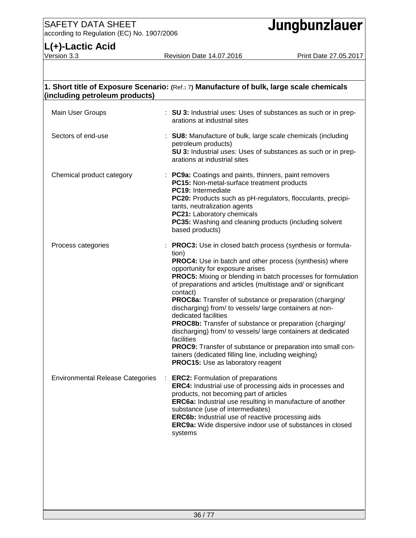L(+)-Lactic Acid

| (including petroleum products)          | 1. Short title of Exposure Scenario: (Ref.: 7) Manufacture of bulk, large scale chemicals                                                                                                                                                                                                                                                                                                                                                                                                                                                                                                                                                                                                                                                                                                          |
|-----------------------------------------|----------------------------------------------------------------------------------------------------------------------------------------------------------------------------------------------------------------------------------------------------------------------------------------------------------------------------------------------------------------------------------------------------------------------------------------------------------------------------------------------------------------------------------------------------------------------------------------------------------------------------------------------------------------------------------------------------------------------------------------------------------------------------------------------------|
| Main User Groups                        | : SU 3: Industrial uses: Uses of substances as such or in prep-<br>arations at industrial sites                                                                                                                                                                                                                                                                                                                                                                                                                                                                                                                                                                                                                                                                                                    |
| Sectors of end-use                      | : SU8: Manufacture of bulk, large scale chemicals (including<br>petroleum products)<br>SU 3: Industrial uses: Uses of substances as such or in prep-<br>arations at industrial sites                                                                                                                                                                                                                                                                                                                                                                                                                                                                                                                                                                                                               |
| Chemical product category               | : PC9a: Coatings and paints, thinners, paint removers<br>PC15: Non-metal-surface treatment products<br>PC19: Intermediate<br>PC20: Products such as pH-regulators, flocculants, precipi-<br>tants, neutralization agents<br>PC21: Laboratory chemicals<br><b>PC35:</b> Washing and cleaning products (including solvent<br>based products)                                                                                                                                                                                                                                                                                                                                                                                                                                                         |
| Process categories                      | <b>PROC3:</b> Use in closed batch process (synthesis or formula-<br>tion)<br><b>PROC4:</b> Use in batch and other process (synthesis) where<br>opportunity for exposure arises<br><b>PROC5:</b> Mixing or blending in batch processes for formulation<br>of preparations and articles (multistage and/ or significant<br>contact)<br>PROC8a: Transfer of substance or preparation (charging/<br>discharging) from/ to vessels/ large containers at non-<br>dedicated facilities<br><b>PROC8b:</b> Transfer of substance or preparation (charging/<br>discharging) from/ to vessels/ large containers at dedicated<br>facilities<br>PROC9: Transfer of substance or preparation into small con-<br>tainers (dedicated filling line, including weighing)<br><b>PROC15:</b> Use as laboratory reagent |
| <b>Environmental Release Categories</b> | <b>ERC2:</b> Formulation of preparations<br>ERC4: Industrial use of processing aids in processes and<br>products, not becoming part of articles<br><b>ERC6a:</b> Industrial use resulting in manufacture of another<br>substance (use of intermediates)<br><b>ERC6b:</b> Industrial use of reactive processing aids<br>ERC9a: Wide dispersive indoor use of substances in closed<br>systems                                                                                                                                                                                                                                                                                                                                                                                                        |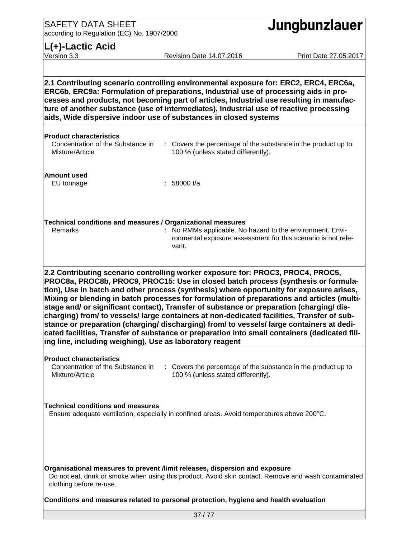**L(+)-Lactic Acid**

Revision Date 14.07.2016 Print Date 27.05.2017

**2.1 Contributing scenario controlling environmental exposure for: ERC2, ERC4, ERC6a, ERC6b, ERC9a: Formulation of preparations, Industrial use of processing aids in processes and products, not becoming part of articles, Industrial use resulting in manufacture of another substance (use of intermediates), Industrial use of reactive processing aids, Wide dispersive indoor use of substances in closed systems**

| <b>Product characteristics</b><br>Concentration of the Substance in<br>Mixture/Article | : Covers the percentage of the substance in the product up to<br>100 % (unless stated differently).                                                                                                                                                                                                                                                                                                                                                                                                                                                                                                                                                                                                                                                    |
|----------------------------------------------------------------------------------------|--------------------------------------------------------------------------------------------------------------------------------------------------------------------------------------------------------------------------------------------------------------------------------------------------------------------------------------------------------------------------------------------------------------------------------------------------------------------------------------------------------------------------------------------------------------------------------------------------------------------------------------------------------------------------------------------------------------------------------------------------------|
| Amount used<br>EU tonnage                                                              | $: 58000 \frac{t}{a}$                                                                                                                                                                                                                                                                                                                                                                                                                                                                                                                                                                                                                                                                                                                                  |
| Technical conditions and measures / Organizational measures<br>Remarks                 | : No RMMs applicable. No hazard to the environment. Envi-<br>ronmental exposure assessment for this scenario is not rele-<br>vant.                                                                                                                                                                                                                                                                                                                                                                                                                                                                                                                                                                                                                     |
| ing line, including weighing), Use as laboratory reagent                               | 2.2 Contributing scenario controlling worker exposure for: PROC3, PROC4, PROC5,<br>PROC8a, PROC8b, PROC9, PROC15: Use in closed batch process (synthesis or formula-<br>tion), Use in batch and other process (synthesis) where opportunity for exposure arises,<br>Mixing or blending in batch processes for formulation of preparations and articles (multi-<br>stage and/ or significant contact), Transfer of substance or preparation (charging/ dis-<br>charging) from/ to vessels/ large containers at non-dedicated facilities, Transfer of sub-<br>stance or preparation (charging/ discharging) from/ to vessels/ large containers at dedi-<br>cated facilities, Transfer of substance or preparation into small containers (dedicated fill- |
| <b>Product characteristics</b><br>Concentration of the Substance in<br>Mixture/Article | Covers the percentage of the substance in the product up to<br>t.<br>100 % (unless stated differently).                                                                                                                                                                                                                                                                                                                                                                                                                                                                                                                                                                                                                                                |
| <b>Technical conditions and measures</b>                                               | Ensure adequate ventilation, especially in confined areas. Avoid temperatures above 200°C.                                                                                                                                                                                                                                                                                                                                                                                                                                                                                                                                                                                                                                                             |
|                                                                                        |                                                                                                                                                                                                                                                                                                                                                                                                                                                                                                                                                                                                                                                                                                                                                        |
|                                                                                        | Conditions and measures related to personal protection, hygiene and health evaluation                                                                                                                                                                                                                                                                                                                                                                                                                                                                                                                                                                                                                                                                  |
|                                                                                        | 37/77                                                                                                                                                                                                                                                                                                                                                                                                                                                                                                                                                                                                                                                                                                                                                  |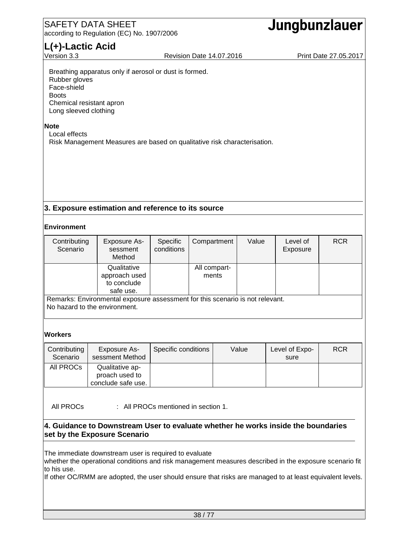# **L(+)-Lactic Acid**

Revision Date 14.07.2016 Print Date 27.05.2017

Breathing apparatus only if aerosol or dust is formed. Rubber gloves Face-shield Boots Chemical resistant apron Long sleeved clothing

#### **Note**

Local effects Risk Management Measures are based on qualitative risk characterisation.

## **3. Exposure estimation and reference to its source**

#### **Environment**

| Contributing<br>Scenario | Exposure As-<br>sessment<br>Method                       | <b>Specific</b><br>conditions | Compartment           | Value | Level of<br>Exposure | <b>RCR</b> |
|--------------------------|----------------------------------------------------------|-------------------------------|-----------------------|-------|----------------------|------------|
|                          | Qualitative<br>approach used<br>to conclude<br>safe use. |                               | All compart-<br>ments |       |                      |            |

Remarks: Environmental exposure assessment for this scenario is not relevant. No hazard to the environment.

#### **Workers**

| Contributing<br>Scenario | Exposure As-<br>sessment Method                         | Specific conditions | Value | Level of Expo-<br>sure | <b>RCR</b> |
|--------------------------|---------------------------------------------------------|---------------------|-------|------------------------|------------|
| All PROCs                | Qualitative ap-<br>proach used to<br>conclude safe use. |                     |       |                        |            |

All PROCs : All PROCs mentioned in section 1.

**4. Guidance to Downstream User to evaluate whether he works inside the boundaries set by the Exposure Scenario**

The immediate downstream user is required to evaluate

whether the operational conditions and risk management measures described in the exposure scenario fit to his use.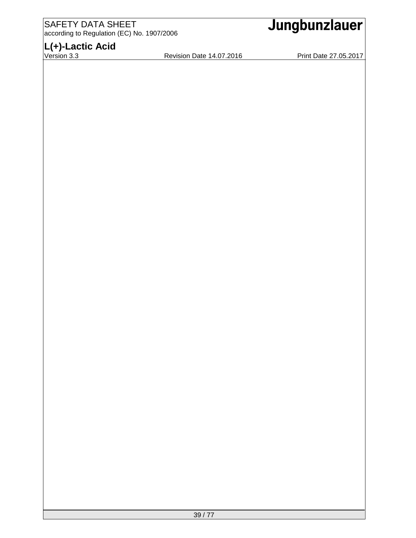# L(+)-Lactic Acid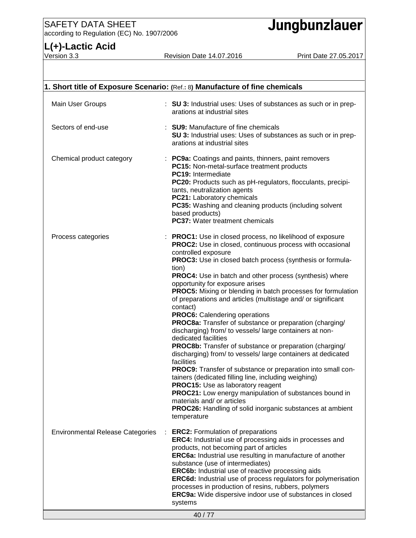# L(+)-Lactic Acid

| 1. Short title of Exposure Scenario: (Ref.: 8) Manufacture of fine chemicals |                                                                                                                                                                                                                                                                                                                                                                                                                                                                                                                                                                                                                                                                                                                                                                                                                                                                                                                                                                                                                                                                                                                                                                              |  |  |  |
|------------------------------------------------------------------------------|------------------------------------------------------------------------------------------------------------------------------------------------------------------------------------------------------------------------------------------------------------------------------------------------------------------------------------------------------------------------------------------------------------------------------------------------------------------------------------------------------------------------------------------------------------------------------------------------------------------------------------------------------------------------------------------------------------------------------------------------------------------------------------------------------------------------------------------------------------------------------------------------------------------------------------------------------------------------------------------------------------------------------------------------------------------------------------------------------------------------------------------------------------------------------|--|--|--|
| Main User Groups                                                             | : SU 3: Industrial uses: Uses of substances as such or in prep-<br>arations at industrial sites                                                                                                                                                                                                                                                                                                                                                                                                                                                                                                                                                                                                                                                                                                                                                                                                                                                                                                                                                                                                                                                                              |  |  |  |
| Sectors of end-use                                                           | : SU9: Manufacture of fine chemicals<br>SU 3: Industrial uses: Uses of substances as such or in prep-<br>arations at industrial sites                                                                                                                                                                                                                                                                                                                                                                                                                                                                                                                                                                                                                                                                                                                                                                                                                                                                                                                                                                                                                                        |  |  |  |
| Chemical product category                                                    | PC9a: Coatings and paints, thinners, paint removers<br>PC15: Non-metal-surface treatment products<br><b>PC19: Intermediate</b><br>PC20: Products such as pH-regulators, flocculants, precipi-<br>tants, neutralization agents<br>PC21: Laboratory chemicals<br>PC35: Washing and cleaning products (including solvent<br>based products)<br><b>PC37:</b> Water treatment chemicals                                                                                                                                                                                                                                                                                                                                                                                                                                                                                                                                                                                                                                                                                                                                                                                           |  |  |  |
| Process categories                                                           | : PROC1: Use in closed process, no likelihood of exposure<br><b>PROC2:</b> Use in closed, continuous process with occasional<br>controlled exposure<br>PROC3: Use in closed batch process (synthesis or formula-<br>tion)<br><b>PROC4:</b> Use in batch and other process (synthesis) where<br>opportunity for exposure arises<br><b>PROC5:</b> Mixing or blending in batch processes for formulation<br>of preparations and articles (multistage and/ or significant<br>contact)<br><b>PROC6:</b> Calendering operations<br>PROC8a: Transfer of substance or preparation (charging/<br>discharging) from/ to vessels/ large containers at non-<br>dedicated facilities<br><b>PROC8b:</b> Transfer of substance or preparation (charging/<br>discharging) from/ to vessels/ large containers at dedicated<br>facilities<br>PROC9: Transfer of substance or preparation into small con-<br>tainers (dedicated filling line, including weighing)<br><b>PROC15:</b> Use as laboratory reagent<br><b>PROC21:</b> Low energy manipulation of substances bound in<br>materials and/ or articles<br><b>PROC26:</b> Handling of solid inorganic substances at ambient<br>temperature |  |  |  |
| <b>Environmental Release Categories</b><br>÷                                 | <b>ERC2:</b> Formulation of preparations<br><b>ERC4:</b> Industrial use of processing aids in processes and<br>products, not becoming part of articles<br>ERC6a: Industrial use resulting in manufacture of another<br>substance (use of intermediates)<br><b>ERC6b:</b> Industrial use of reactive processing aids<br><b>ERC6d:</b> Industrial use of process regulators for polymerisation<br>processes in production of resins, rubbers, polymers<br><b>ERC9a:</b> Wide dispersive indoor use of substances in closed<br>systems                                                                                                                                                                                                                                                                                                                                                                                                                                                                                                                                                                                                                                          |  |  |  |
|                                                                              | 40 / 77                                                                                                                                                                                                                                                                                                                                                                                                                                                                                                                                                                                                                                                                                                                                                                                                                                                                                                                                                                                                                                                                                                                                                                      |  |  |  |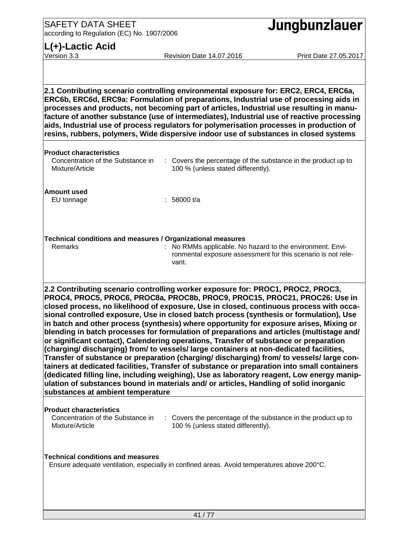**L(+)-Lactic Acid**

Revision Date 14.07.2016 Print Date 27.05.2017

**2.1 Contributing scenario controlling environmental exposure for: ERC2, ERC4, ERC6a, ERC6b, ERC6d, ERC9a: Formulation of preparations, Industrial use of processing aids in processes and products, not becoming part of articles, Industrial use resulting in manufacture of another substance (use of intermediates), Industrial use of reactive processing aids, Industrial use of process regulators for polymerisation processes in production of resins, rubbers, polymers, Wide dispersive indoor use of substances in closed systems**

#### **Product characteristics**

Concentration of the Substance in  $\hskip1cm$ : Covers the percentage of the substance in the product up to Mixture/Article 100 % (unless stated differently).

**Amount used**

EU tonnage : 58000 t/a

#### **Technical conditions and measures / Organizational measures**

Remarks **EXECUTE:** No RMMs applicable. No hazard to the environment. Environmental exposure assessment for this scenario is not relevant.

**2.2 Contributing scenario controlling worker exposure for: PROC1, PROC2, PROC3, PROC4, PROC5, PROC6, PROC8a, PROC8b, PROC9, PROC15, PROC21, PROC26: Use in closed process, no likelihood of exposure, Use in closed, continuous process with occasional controlled exposure, Use in closed batch process (synthesis or formulation), Use in batch and other process (synthesis) where opportunity for exposure arises, Mixing or blending in batch processes for formulation of preparations and articles (multistage and/ or significant contact), Calendering operations, Transfer of substance or preparation (charging/ discharging) from/ to vessels/ large containers at non-dedicated facilities, Transfer of substance or preparation (charging/ discharging) from/ to vessels/ large containers at dedicated facilities, Transfer of substance or preparation into small containers (dedicated filling line, including weighing), Use as laboratory reagent, Low energy manipulation of substances bound in materials and/ or articles, Handling of solid inorganic substances at ambient temperature**

#### **Product characteristics**

Mixture/Article

Concentration of the Substance in : Covers the percentage of the substance in the product up to 100 % (unless stated differently).

#### **Technical conditions and measures**

Ensure adequate ventilation, especially in confined areas. Avoid temperatures above 200°C.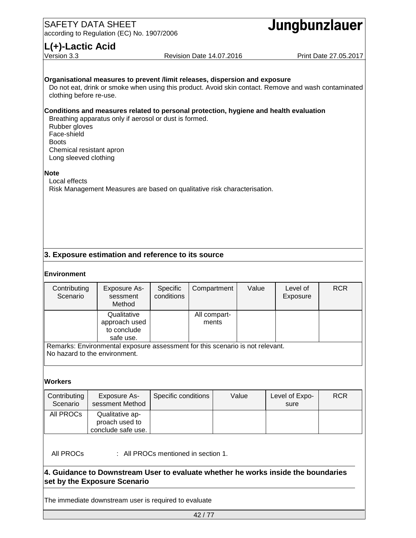**L(+)-Lactic Acid**

Revision Date 14.07.2016 Print Date 27.05.2017

### **Organisational measures to prevent /limit releases, dispersion and exposure** Do not eat, drink or smoke when using this product. Avoid skin contact. Remove and wash contaminated clothing before re-use. **Conditions and measures related to personal protection, hygiene and health evaluation** Breathing apparatus only if aerosol or dust is formed. Rubber gloves Face-shield Boots Chemical resistant apron Long sleeved clothing **Note** Local effects Risk Management Measures are based on qualitative risk characterisation. **3. Exposure estimation and reference to its source Environment Contributing** Scenario Exposure Assessment Method Specific conditions Compartment | Value | Level of Exposure RCR **Qualitative** approach used to conclude safe use. All compartments Remarks: Environmental exposure assessment for this scenario is not relevant. No hazard to the environment. **Workers Contributing** Scenario Exposure Assessment Method Specific conditions | Value | Level of Exposure RCR All PROCs | Qualitative approach used to conclude safe use. All PROCs : All PROCs mentioned in section 1.

**4. Guidance to Downstream User to evaluate whether he works inside the boundaries set by the Exposure Scenario**

The immediate downstream user is required to evaluate

42 / 77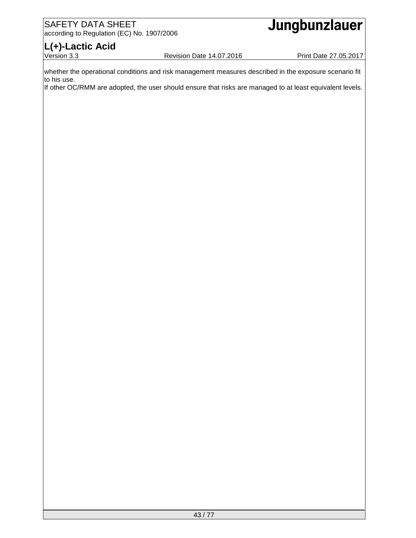# **L(+)-Lactic Acid**

Revision Date 14.07.2016 Print Date 27.05.2017

whether the operational conditions and risk management measures described in the exposure scenario fit to his use.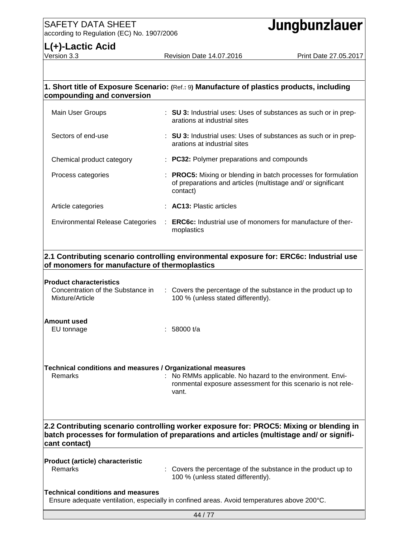L(+)-Lactic Acid

| compounding and conversion                                                             | 1. Short title of Exposure Scenario: (Ref.: 9) Manufacture of plastics products, including                                                                                           |
|----------------------------------------------------------------------------------------|--------------------------------------------------------------------------------------------------------------------------------------------------------------------------------------|
| Main User Groups                                                                       | : SU 3: Industrial uses: Uses of substances as such or in prep-<br>arations at industrial sites                                                                                      |
| Sectors of end-use                                                                     | : SU 3: Industrial uses: Uses of substances as such or in prep-<br>arations at industrial sites                                                                                      |
| Chemical product category                                                              | : PC32: Polymer preparations and compounds                                                                                                                                           |
| Process categories                                                                     | : PROC5: Mixing or blending in batch processes for formulation<br>of preparations and articles (multistage and/ or significant<br>contact)                                           |
| Article categories                                                                     | : AC13: Plastic articles                                                                                                                                                             |
| <b>Environmental Release Categories</b>                                                | : ERC6c: Industrial use of monomers for manufacture of ther-<br>moplastics                                                                                                           |
| of monomers for manufacture of thermoplastics                                          | 2.1 Contributing scenario controlling environmental exposure for: ERC6c: Industrial use                                                                                              |
|                                                                                        |                                                                                                                                                                                      |
| <b>Product characteristics</b><br>Concentration of the Substance in<br>Mixture/Article | : Covers the percentage of the substance in the product up to<br>100 % (unless stated differently).                                                                                  |
| <b>Amount used</b><br>EU tonnage                                                       | $: 58000 \frac{t}{a}$                                                                                                                                                                |
| Technical conditions and measures / Organizational measures<br>Remarks                 | : No RMMs applicable. No hazard to the environment. Envi-<br>ronmental exposure assessment for this scenario is not rele-<br>vant.                                                   |
| cant contact)                                                                          | 2.2 Contributing scenario controlling worker exposure for: PROC5: Mixing or blending in<br>batch processes for formulation of preparations and articles (multistage and/ or signifi- |
|                                                                                        |                                                                                                                                                                                      |
| Product (article) characteristic<br>Remarks                                            | Covers the percentage of the substance in the product up to<br>100 % (unless stated differently).                                                                                    |
| <b>Technical conditions and measures</b>                                               | Ensure adequate ventilation, especially in confined areas. Avoid temperatures above 200°C.                                                                                           |
|                                                                                        | 44 / 77                                                                                                                                                                              |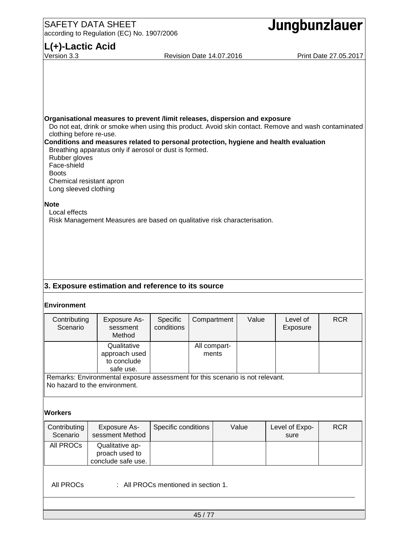**L(+)-Lactic Acid**

Revision Date 14.07.2016 Print Date 27.05.2017

**Organisational measures to prevent /limit releases, dispersion and exposure** Do not eat, drink or smoke when using this product. Avoid skin contact. Remove and wash contaminated clothing before re-use.

**Conditions and measures related to personal protection, hygiene and health evaluation** Breathing apparatus only if aerosol or dust is formed.

Rubber gloves Face-shield Boots Chemical resistant apron Long sleeved clothing

#### **Note**

Local effects Risk Management Measures are based on qualitative risk characterisation.

### **3. Exposure estimation and reference to its source**

#### **Environment**

| Contributing<br>Scenario | Exposure As-<br>sessment<br>Method                       | <b>Specific</b><br>conditions | Compartment           | Value | Level of<br>Exposure | <b>RCR</b> |
|--------------------------|----------------------------------------------------------|-------------------------------|-----------------------|-------|----------------------|------------|
|                          | Qualitative<br>approach used<br>to conclude<br>safe use. |                               | All compart-<br>ments |       |                      |            |

Remarks: Environmental exposure assessment for this scenario is not relevant. No hazard to the environment.

#### **Workers**

| Contributing<br>Scenario | Exposure As-<br>sessment Method                         | Specific conditions | Value | Level of Expo-<br>sure | <b>RCR</b> |
|--------------------------|---------------------------------------------------------|---------------------|-------|------------------------|------------|
| All PROCs                | Qualitative ap-<br>proach used to<br>conclude safe use. |                     |       |                        |            |

All PROCs : All PROCs mentioned in section 1.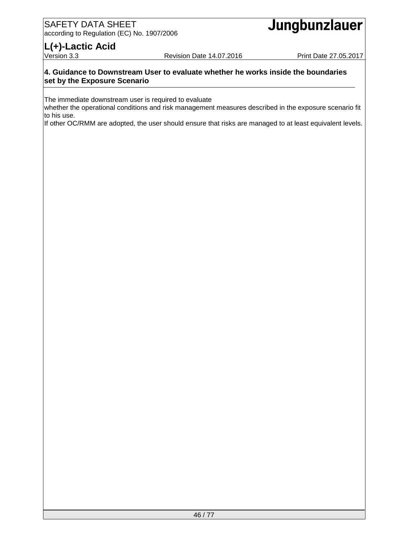# **L(+)-Lactic Acid**

Revision Date 14.07.2016 Print Date 27.05.2017

## **4. Guidance to Downstream User to evaluate whether he works inside the boundaries set by the Exposure Scenario**

The immediate downstream user is required to evaluate

whether the operational conditions and risk management measures described in the exposure scenario fit to his use.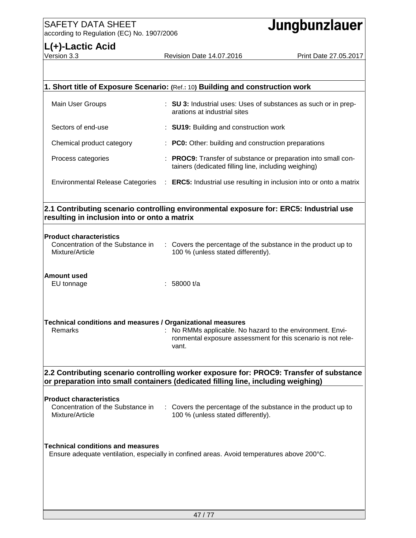# L(+)-Lactic Acid

|                                                                                        | 1. Short title of Exposure Scenario: (Ref.: 10) Building and construction work                                                                                               |
|----------------------------------------------------------------------------------------|------------------------------------------------------------------------------------------------------------------------------------------------------------------------------|
| Main User Groups                                                                       | : SU 3: Industrial uses: Uses of substances as such or in prep-<br>arations at industrial sites                                                                              |
| Sectors of end-use                                                                     | : SU19: Building and construction work                                                                                                                                       |
| Chemical product category                                                              | : PC0: Other: building and construction preparations                                                                                                                         |
| Process categories                                                                     | : PROC9: Transfer of substance or preparation into small con-<br>tainers (dedicated filling line, including weighing)                                                        |
|                                                                                        | Environmental Release Categories : ERC5: Industrial use resulting in inclusion into or onto a matrix                                                                         |
| resulting in inclusion into or onto a matrix                                           | 2.1 Contributing scenario controlling environmental exposure for: ERC5: Industrial use                                                                                       |
| <b>Product characteristics</b>                                                         |                                                                                                                                                                              |
| Concentration of the Substance in<br>Mixture/Article                                   | : Covers the percentage of the substance in the product up to<br>100 % (unless stated differently).                                                                          |
| <b>Amount used</b><br>EU tonnage                                                       | $: 58000 \frac{t}{a}$                                                                                                                                                        |
| Technical conditions and measures / Organizational measures<br>Remarks                 | No RMMs applicable. No hazard to the environment. Envi-<br>ronmental exposure assessment for this scenario is not rele-<br>vant.                                             |
|                                                                                        | 2.2 Contributing scenario controlling worker exposure for: PROC9: Transfer of substance<br>or preparation into small containers (dedicated filling line, including weighing) |
|                                                                                        |                                                                                                                                                                              |
| <b>Product characteristics</b><br>Concentration of the Substance in<br>Mixture/Article | : Covers the percentage of the substance in the product up to<br>100 % (unless stated differently).                                                                          |
| <b>Technical conditions and measures</b>                                               | Ensure adequate ventilation, especially in confined areas. Avoid temperatures above 200°C.                                                                                   |
|                                                                                        |                                                                                                                                                                              |
|                                                                                        |                                                                                                                                                                              |
|                                                                                        |                                                                                                                                                                              |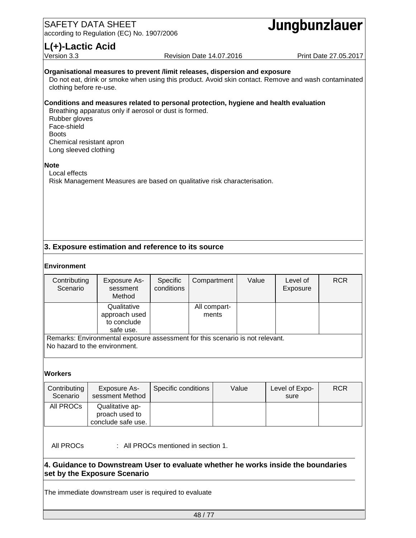|                                                                                                   | <b>SAFETY DATA SHEET</b><br>according to Regulation (EC) No. 1907/2006                                                                                                              |                          |              |             |       |                        |                       |
|---------------------------------------------------------------------------------------------------|-------------------------------------------------------------------------------------------------------------------------------------------------------------------------------------|--------------------------|--------------|-------------|-------|------------------------|-----------------------|
| $L(+)$ -Lactic Acid                                                                               |                                                                                                                                                                                     |                          |              |             |       |                        |                       |
| Version 3.3                                                                                       |                                                                                                                                                                                     | Revision Date 14.07.2016 |              |             |       |                        | Print Date 27.05.2017 |
| clothing before re-use.                                                                           | Organisational measures to prevent /limit releases, dispersion and exposure<br>Do not eat, drink or smoke when using this product. Avoid skin contact. Remove and wash contaminated |                          |              |             |       |                        |                       |
| Rubber gloves<br>Face-shield<br><b>Boots</b><br>Chemical resistant apron<br>Long sleeved clothing | Conditions and measures related to personal protection, hygiene and health evaluation<br>Breathing apparatus only if aerosol or dust is formed.                                     |                          |              |             |       |                        |                       |
| Local effects                                                                                     | Risk Management Measures are based on qualitative risk characterisation.<br>3. Exposure estimation and reference to its source                                                      |                          |              |             |       |                        |                       |
| <b>Environment</b>                                                                                |                                                                                                                                                                                     |                          |              |             |       |                        |                       |
| Contributing<br>Scenario                                                                          | <b>Exposure As-</b><br>sessment<br>Method                                                                                                                                           | Specific<br>conditions   |              | Compartment | Value | Level of<br>Exposure   | <b>RCR</b>            |
|                                                                                                   | Qualitative<br>approach used<br>to conclude<br>safe use.                                                                                                                            |                          | All compart- | ments       |       |                        |                       |
|                                                                                                   | Remarks: Environmental exposure assessment for this scenario is not relevant.<br>No hazard to the environment.                                                                      |                          |              |             |       |                        |                       |
| <b>Workers</b>                                                                                    |                                                                                                                                                                                     |                          |              |             |       |                        |                       |
| Contributing<br>Scenario                                                                          | <b>Exposure As-</b><br>sessment Method                                                                                                                                              | Specific conditions      |              |             | Value | Level of Expo-<br>sure | <b>RCR</b>            |
| <b>AII PROCS</b>                                                                                  | Qualitative ap-<br>proach used to                                                                                                                                                   |                          |              |             |       |                        |                       |

All PROCs : All PROCs mentioned in section 1.

# **4. Guidance to Downstream User to evaluate whether he works inside the boundaries set by the Exposure Scenario**

The immediate downstream user is required to evaluate

conclude safe use.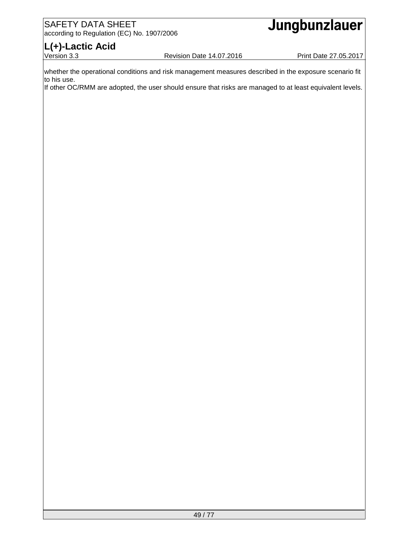# **L(+)-Lactic Acid**

Revision Date 14.07.2016 Print Date 27.05.2017

whether the operational conditions and risk management measures described in the exposure scenario fit to his use.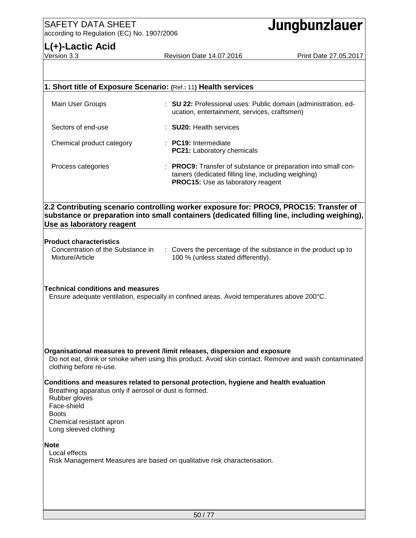# L(+)-Lactic Acid

| 1. Short title of Exposure Scenario: (Ref.: 11) Health services                                                                                             |                                                                                                                                                                                       |
|-------------------------------------------------------------------------------------------------------------------------------------------------------------|---------------------------------------------------------------------------------------------------------------------------------------------------------------------------------------|
| Main User Groups                                                                                                                                            | : SU 22: Professional uses: Public domain (administration, ed-<br>ucation, entertainment, services, craftsmen)                                                                        |
| Sectors of end-use                                                                                                                                          | <b>SU20: Health services</b>                                                                                                                                                          |
| Chemical product category                                                                                                                                   | : PC19: Intermediate<br><b>PC21:</b> Laboratory chemicals                                                                                                                             |
| Process categories                                                                                                                                          | : PROC9: Transfer of substance or preparation into small con-<br>tainers (dedicated filling line, including weighing)<br><b>PROC15:</b> Use as laboratory reagent                     |
| Use as laboratory reagent                                                                                                                                   | 2.2 Contributing scenario controlling worker exposure for: PROC9, PROC15: Transfer of<br>substance or preparation into small containers (dedicated filling line, including weighing), |
| <b>Product characteristics</b><br>Concentration of the Substance in<br>Mixture/Article                                                                      | : Covers the percentage of the substance in the product up to<br>100 % (unless stated differently).                                                                                   |
| <b>Technical conditions and measures</b>                                                                                                                    | Ensure adequate ventilation, especially in confined areas. Avoid temperatures above 200°C.                                                                                            |
| clothing before re-use.                                                                                                                                     | Organisational measures to prevent /limit releases, dispersion and exposure<br>Do not eat, drink or smoke when using this product. Avoid skin contact. Remove and wash contaminated   |
| Breathing apparatus only if aerosol or dust is formed.<br>Rubber gloves<br>Face-shield<br><b>Boots</b><br>Chemical resistant apron<br>Long sleeved clothing | Conditions and measures related to personal protection, hygiene and health evaluation                                                                                                 |
| Note<br>Local effects                                                                                                                                       | Risk Management Measures are based on qualitative risk characterisation.                                                                                                              |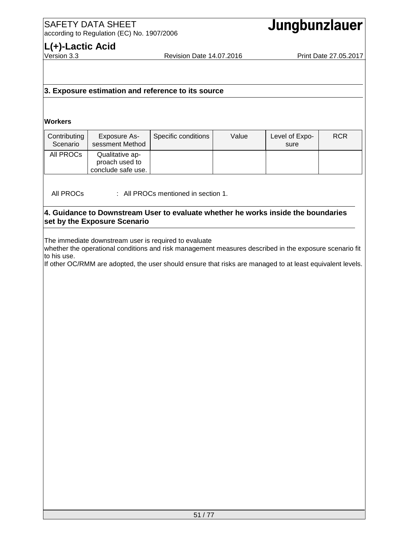# **L(+)-Lactic Acid**

Revision Date 14.07.2016 Print Date 27.05.2017

#### **3. Exposure estimation and reference to its source**

#### **Workers**

| Contributing<br>Scenario | Exposure As-<br>sessment Method                         | Specific conditions | Value | Level of Expo-<br>sure | <b>RCR</b> |
|--------------------------|---------------------------------------------------------|---------------------|-------|------------------------|------------|
| All PROCs                | Qualitative ap-<br>proach used to<br>conclude safe use. |                     |       |                        |            |

All PROCs : All PROCs mentioned in section 1.

#### **4. Guidance to Downstream User to evaluate whether he works inside the boundaries set by the Exposure Scenario**

The immediate downstream user is required to evaluate

whether the operational conditions and risk management measures described in the exposure scenario fit to his use.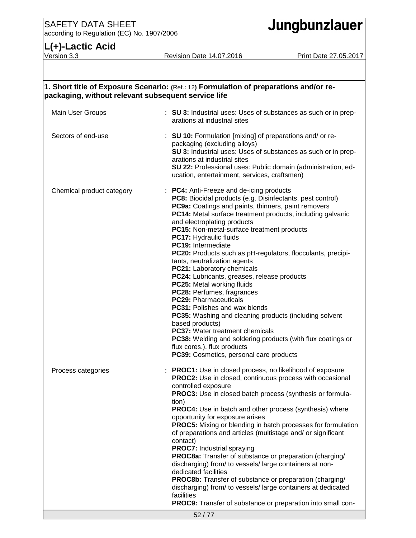L(+)-Lactic Acid

| packaging, without relevant subsequent service life | 1. Short title of Exposure Scenario: (Ref.: 12) Formulation of preparations and/or re-                                                                                                                                                                                                                                                                                                                                                                                                                                                                                                                                                                                                                                                                                                                                                                                                                                                                |
|-----------------------------------------------------|-------------------------------------------------------------------------------------------------------------------------------------------------------------------------------------------------------------------------------------------------------------------------------------------------------------------------------------------------------------------------------------------------------------------------------------------------------------------------------------------------------------------------------------------------------------------------------------------------------------------------------------------------------------------------------------------------------------------------------------------------------------------------------------------------------------------------------------------------------------------------------------------------------------------------------------------------------|
| Main User Groups                                    | : SU 3: Industrial uses: Uses of substances as such or in prep-<br>arations at industrial sites                                                                                                                                                                                                                                                                                                                                                                                                                                                                                                                                                                                                                                                                                                                                                                                                                                                       |
| Sectors of end-use                                  | : SU 10: Formulation [mixing] of preparations and/ or re-<br>packaging (excluding alloys)<br>SU 3: Industrial uses: Uses of substances as such or in prep-<br>arations at industrial sites<br>SU 22: Professional uses: Public domain (administration, ed-<br>ucation, entertainment, services, craftsmen)                                                                                                                                                                                                                                                                                                                                                                                                                                                                                                                                                                                                                                            |
| Chemical product category                           | : PC4: Anti-Freeze and de-icing products<br>PC8: Biocidal products (e.g. Disinfectants, pest control)<br>PC9a: Coatings and paints, thinners, paint removers<br>PC14: Metal surface treatment products, including galvanic<br>and electroplating products<br>PC15: Non-metal-surface treatment products<br>PC17: Hydraulic fluids<br>PC19: Intermediate<br>PC20: Products such as pH-regulators, flocculants, precipi-<br>tants, neutralization agents<br><b>PC21:</b> Laboratory chemicals<br>PC24: Lubricants, greases, release products<br><b>PC25: Metal working fluids</b><br>PC28: Perfumes, fragrances<br><b>PC29: Pharmaceuticals</b><br><b>PC31: Polishes and wax blends</b><br>PC35: Washing and cleaning products (including solvent<br>based products)<br>PC37: Water treatment chemicals<br><b>PC38:</b> Welding and soldering products (with flux coatings or<br>flux cores.), flux products<br>PC39: Cosmetics, personal care products |
| Process categories                                  | <b>PROC1:</b> Use in closed process, no likelihood of exposure<br><b>PROC2:</b> Use in closed, continuous process with occasional<br>controlled exposure<br>PROC3: Use in closed batch process (synthesis or formula-<br>tion)<br><b>PROC4:</b> Use in batch and other process (synthesis) where<br>opportunity for exposure arises<br><b>PROC5:</b> Mixing or blending in batch processes for formulation<br>of preparations and articles (multistage and/ or significant<br>contact)<br><b>PROC7:</b> Industrial spraying<br>PROC8a: Transfer of substance or preparation (charging/<br>discharging) from/ to vessels/ large containers at non-<br>dedicated facilities<br><b>PROC8b:</b> Transfer of substance or preparation (charging/<br>discharging) from/ to vessels/ large containers at dedicated<br>facilities<br>PROC9: Transfer of substance or preparation into small con-                                                              |
|                                                     | 52/77                                                                                                                                                                                                                                                                                                                                                                                                                                                                                                                                                                                                                                                                                                                                                                                                                                                                                                                                                 |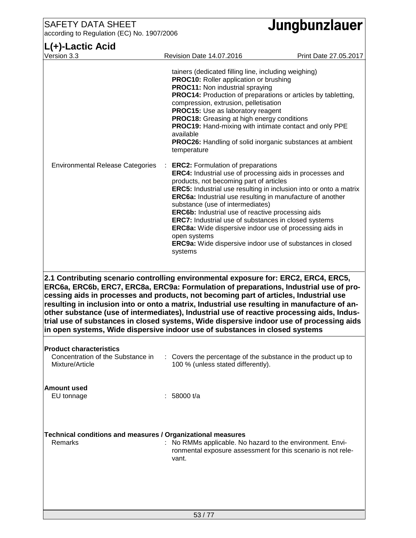SAFETY DATA SHEET

| according to Regulation (EC) No. 1907/2006                                                                                                                                                                                                                                                                                                                                                                                                                                                                                                                                                                                                     |                                                                                                                                                                                                                                                                                                                                                                                                                                                                                                                                                                                                                                 |                       |  |
|------------------------------------------------------------------------------------------------------------------------------------------------------------------------------------------------------------------------------------------------------------------------------------------------------------------------------------------------------------------------------------------------------------------------------------------------------------------------------------------------------------------------------------------------------------------------------------------------------------------------------------------------|---------------------------------------------------------------------------------------------------------------------------------------------------------------------------------------------------------------------------------------------------------------------------------------------------------------------------------------------------------------------------------------------------------------------------------------------------------------------------------------------------------------------------------------------------------------------------------------------------------------------------------|-----------------------|--|
| L(+)-Lactic Acid<br>Version 3.3                                                                                                                                                                                                                                                                                                                                                                                                                                                                                                                                                                                                                | Revision Date 14.07.2016                                                                                                                                                                                                                                                                                                                                                                                                                                                                                                                                                                                                        | Print Date 27.05.2017 |  |
|                                                                                                                                                                                                                                                                                                                                                                                                                                                                                                                                                                                                                                                | tainers (dedicated filling line, including weighing)<br><b>PROC10:</b> Roller application or brushing<br><b>PROC11:</b> Non industrial spraying<br>PROC14: Production of preparations or articles by tabletting,<br>compression, extrusion, pelletisation<br><b>PROC15:</b> Use as laboratory reagent<br><b>PROC18:</b> Greasing at high energy conditions<br>PROC19: Hand-mixing with intimate contact and only PPE<br>available<br><b>PROC26:</b> Handling of solid inorganic substances at ambient<br>temperature                                                                                                            |                       |  |
| <b>Environmental Release Categories</b>                                                                                                                                                                                                                                                                                                                                                                                                                                                                                                                                                                                                        | <b>ERC2:</b> Formulation of preparations<br><b>ERC4:</b> Industrial use of processing aids in processes and<br>products, not becoming part of articles<br>ERC5: Industrial use resulting in inclusion into or onto a matrix<br><b>ERC6a:</b> Industrial use resulting in manufacture of another<br>substance (use of intermediates)<br><b>ERC6b:</b> Industrial use of reactive processing aids<br><b>ERC7:</b> Industrial use of substances in closed systems<br><b>ERC8a:</b> Wide dispersive indoor use of processing aids in<br>open systems<br><b>ERC9a:</b> Wide dispersive indoor use of substances in closed<br>systems |                       |  |
| 2.1 Contributing scenario controlling environmental exposure for: ERC2, ERC4, ERC5,<br>ERC6a, ERC6b, ERC7, ERC8a, ERC9a: Formulation of preparations, Industrial use of pro-<br>cessing aids in processes and products, not becoming part of articles, Industrial use<br>resulting in inclusion into or onto a matrix, Industrial use resulting in manufacture of an-<br>other substance (use of intermediates), Industrial use of reactive processing aids, Indus-<br>trial use of substances in closed systems, Wide dispersive indoor use of processing aids<br>in open systems, Wide dispersive indoor use of substances in closed systems |                                                                                                                                                                                                                                                                                                                                                                                                                                                                                                                                                                                                                                 |                       |  |
| <b>Product characteristics</b><br>Concentration of the Substance in<br>Mixture/Article                                                                                                                                                                                                                                                                                                                                                                                                                                                                                                                                                         | : Covers the percentage of the substance in the product up to<br>100 % (unless stated differently).                                                                                                                                                                                                                                                                                                                                                                                                                                                                                                                             |                       |  |
| <b>Amount used</b><br>EU tonnage                                                                                                                                                                                                                                                                                                                                                                                                                                                                                                                                                                                                               | $: 58000$ t/a                                                                                                                                                                                                                                                                                                                                                                                                                                                                                                                                                                                                                   |                       |  |
| Technical conditions and measures / Organizational measures<br>Remarks                                                                                                                                                                                                                                                                                                                                                                                                                                                                                                                                                                         | : No RMMs applicable. No hazard to the environment. Envi-<br>ronmental exposure assessment for this scenario is not rele-<br>vant.                                                                                                                                                                                                                                                                                                                                                                                                                                                                                              |                       |  |
|                                                                                                                                                                                                                                                                                                                                                                                                                                                                                                                                                                                                                                                |                                                                                                                                                                                                                                                                                                                                                                                                                                                                                                                                                                                                                                 |                       |  |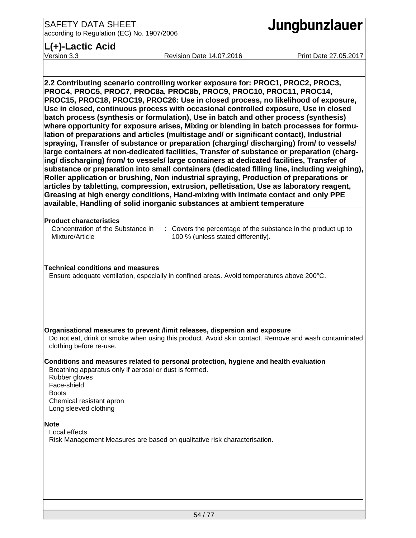# **L(+)-Lactic Acid**

Revision Date 14.07.2016 Print Date 27.05.2017

**2.2 Contributing scenario controlling worker exposure for: PROC1, PROC2, PROC3, PROC4, PROC5, PROC7, PROC8a, PROC8b, PROC9, PROC10, PROC11, PROC14, PROC15, PROC18, PROC19, PROC26: Use in closed process, no likelihood of exposure, Use in closed, continuous process with occasional controlled exposure, Use in closed batch process (synthesis or formulation), Use in batch and other process (synthesis) where opportunity for exposure arises, Mixing or blending in batch processes for formulation of preparations and articles (multistage and/ or significant contact), Industrial spraying, Transfer of substance or preparation (charging/ discharging) from/ to vessels/ large containers at non-dedicated facilities, Transfer of substance or preparation (charging/ discharging) from/ to vessels/ large containers at dedicated facilities, Transfer of substance or preparation into small containers (dedicated filling line, including weighing), Roller application or brushing, Non industrial spraying, Production of preparations or articles by tabletting, compression, extrusion, pelletisation, Use as laboratory reagent, Greasing at high energy conditions, Hand-mixing with intimate contact and only PPE available, Handling of solid inorganic substances at ambient temperature**

#### **Product characteristics**

Mixture/Article

Concentration of the Substance in : Covers the percentage of the substance in the product up to 100 % (unless stated differently).

#### **Technical conditions and measures**

Ensure adequate ventilation, especially in confined areas. Avoid temperatures above 200°C.

#### **Organisational measures to prevent /limit releases, dispersion and exposure**

Do not eat, drink or smoke when using this product. Avoid skin contact. Remove and wash contaminated clothing before re-use.

#### **Conditions and measures related to personal protection, hygiene and health evaluation**

Breathing apparatus only if aerosol or dust is formed. Rubber gloves Face-shield **Boots** Chemical resistant apron Long sleeved clothing

#### **Note**

Local effects Risk Management Measures are based on qualitative risk characterisation.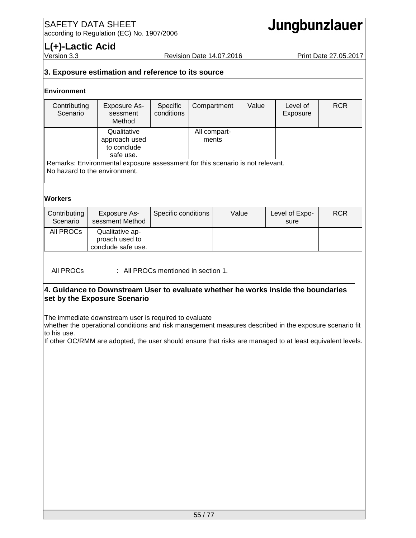# **L(+)-Lactic Acid**

Revision Date 14.07.2016 Print Date 27.05.2017

# **3. Exposure estimation and reference to its source**

#### **Environment**

| Contributing<br>Scenario | <b>Exposure As-</b><br>sessment<br>Method                                      | Specific<br>conditions | Compartment           | Value | Level of<br>Exposure | <b>RCR</b> |
|--------------------------|--------------------------------------------------------------------------------|------------------------|-----------------------|-------|----------------------|------------|
|                          | Qualitative<br>approach used<br>to conclude<br>safe use.                       |                        | All compart-<br>ments |       |                      |            |
|                          | Demorter: Environmental expensive assessment for this esenario is not relevant |                        |                       |       |                      |            |

Remarks: Environmental exposure assessment for this scenario is not relevant. No hazard to the environment.

#### **Workers**

| Contributing<br>Scenario | Exposure As-<br>sessment Method                         | Specific conditions | Value | Level of Expo-<br>sure | <b>RCR</b> |
|--------------------------|---------------------------------------------------------|---------------------|-------|------------------------|------------|
| All PROCs                | Qualitative ap-<br>proach used to<br>conclude safe use. |                     |       |                        |            |

All PROCs : All PROCs mentioned in section 1.

### **4. Guidance to Downstream User to evaluate whether he works inside the boundaries set by the Exposure Scenario**

The immediate downstream user is required to evaluate

whether the operational conditions and risk management measures described in the exposure scenario fit to his use.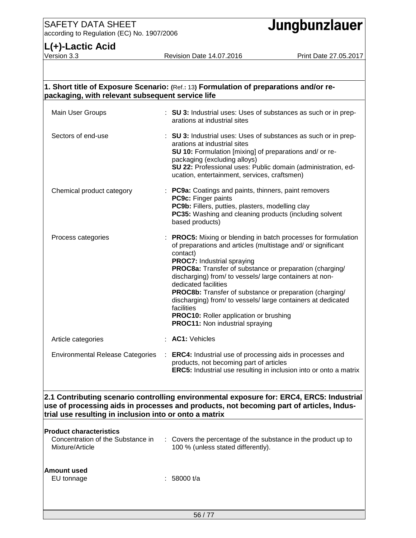L(**+)-Lactic Acid**<br>Version 3.3

| 1. Short title of Exposure Scenario: (Ref.: 13) Formulation of preparations and/or re-<br>packaging, with relevant subsequent service life                                                                                                    |  |                                                                                                                                                                                                                                                                                                                                                                                                                                                                                                                                                                          |  |  |  |
|-----------------------------------------------------------------------------------------------------------------------------------------------------------------------------------------------------------------------------------------------|--|--------------------------------------------------------------------------------------------------------------------------------------------------------------------------------------------------------------------------------------------------------------------------------------------------------------------------------------------------------------------------------------------------------------------------------------------------------------------------------------------------------------------------------------------------------------------------|--|--|--|
|                                                                                                                                                                                                                                               |  |                                                                                                                                                                                                                                                                                                                                                                                                                                                                                                                                                                          |  |  |  |
| Main User Groups                                                                                                                                                                                                                              |  | : SU 3: Industrial uses: Uses of substances as such or in prep-<br>arations at industrial sites                                                                                                                                                                                                                                                                                                                                                                                                                                                                          |  |  |  |
| Sectors of end-use                                                                                                                                                                                                                            |  | : SU 3: Industrial uses: Uses of substances as such or in prep-<br>arations at industrial sites<br>SU 10: Formulation [mixing] of preparations and/ or re-<br>packaging (excluding alloys)<br>SU 22: Professional uses: Public domain (administration, ed-<br>ucation, entertainment, services, craftsmen)                                                                                                                                                                                                                                                               |  |  |  |
| Chemical product category                                                                                                                                                                                                                     |  | : PC9a: Coatings and paints, thinners, paint removers<br>PC9c: Finger paints<br>PC9b: Fillers, putties, plasters, modelling clay<br>PC35: Washing and cleaning products (including solvent<br>based products)                                                                                                                                                                                                                                                                                                                                                            |  |  |  |
| Process categories                                                                                                                                                                                                                            |  | : PROC5: Mixing or blending in batch processes for formulation<br>of preparations and articles (multistage and/ or significant<br>contact)<br><b>PROC7:</b> Industrial spraying<br>PROC8a: Transfer of substance or preparation (charging/<br>discharging) from/ to vessels/ large containers at non-<br>dedicated facilities<br><b>PROC8b:</b> Transfer of substance or preparation (charging/<br>discharging) from/ to vessels/ large containers at dedicated<br>facilities<br><b>PROC10:</b> Roller application or brushing<br><b>PROC11:</b> Non industrial spraying |  |  |  |
| Article categories                                                                                                                                                                                                                            |  | : AC1: Vehicles                                                                                                                                                                                                                                                                                                                                                                                                                                                                                                                                                          |  |  |  |
| <b>Environmental Release Categories</b>                                                                                                                                                                                                       |  | <b>ERC4:</b> Industrial use of processing aids in processes and<br>products, not becoming part of articles<br>ERC5: Industrial use resulting in inclusion into or onto a matrix                                                                                                                                                                                                                                                                                                                                                                                          |  |  |  |
| 2.1 Contributing scenario controlling environmental exposure for: ERC4, ERC5: Industrial<br>use of processing aids in processes and products, not becoming part of articles, Indus-<br>trial use resulting in inclusion into or onto a matrix |  |                                                                                                                                                                                                                                                                                                                                                                                                                                                                                                                                                                          |  |  |  |
| <b>Product characteristics</b><br>Concentration of the Substance in<br>Mixture/Article                                                                                                                                                        |  | : Covers the percentage of the substance in the product up to<br>100 % (unless stated differently).                                                                                                                                                                                                                                                                                                                                                                                                                                                                      |  |  |  |
| <b>Amount used</b><br>EU tonnage                                                                                                                                                                                                              |  | 58000 t/a                                                                                                                                                                                                                                                                                                                                                                                                                                                                                                                                                                |  |  |  |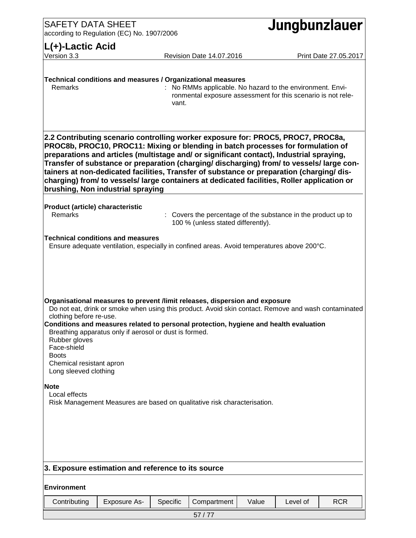| <b>SAFETY DATA SHEET</b>                                                                                                                                                                                                                                                                                                                                                                                                                                                                                                                                                                      | according to Regulation (EC) No. 1907/2006                                                                                             |          |                                                                                                                         |       |          |                       |
|-----------------------------------------------------------------------------------------------------------------------------------------------------------------------------------------------------------------------------------------------------------------------------------------------------------------------------------------------------------------------------------------------------------------------------------------------------------------------------------------------------------------------------------------------------------------------------------------------|----------------------------------------------------------------------------------------------------------------------------------------|----------|-------------------------------------------------------------------------------------------------------------------------|-------|----------|-----------------------|
| L(+)-Lactic Acid<br>Version 3.3                                                                                                                                                                                                                                                                                                                                                                                                                                                                                                                                                               |                                                                                                                                        |          | Revision Date 14.07.2016                                                                                                |       |          | Print Date 27.05.2017 |
|                                                                                                                                                                                                                                                                                                                                                                                                                                                                                                                                                                                               |                                                                                                                                        |          |                                                                                                                         |       |          |                       |
| Remarks                                                                                                                                                                                                                                                                                                                                                                                                                                                                                                                                                                                       | Technical conditions and measures / Organizational measures                                                                            | vant.    | No RMMs applicable. No hazard to the environment. Envi-<br>ronmental exposure assessment for this scenario is not rele- |       |          |                       |
| 2.2 Contributing scenario controlling worker exposure for: PROC5, PROC7, PROC8a,<br>PROC8b, PROC10, PROC11: Mixing or blending in batch processes for formulation of<br>preparations and articles (multistage and/ or significant contact), Industrial spraying,<br>Transfer of substance or preparation (charging/ discharging) from/ to vessels/ large con-<br>tainers at non-dedicated facilities, Transfer of substance or preparation (charging/dis-<br>charging) from/ to vessels/ large containers at dedicated facilities, Roller application or<br>brushing, Non industrial spraying |                                                                                                                                        |          |                                                                                                                         |       |          |                       |
| <b>Product (article) characteristic</b><br>Remarks                                                                                                                                                                                                                                                                                                                                                                                                                                                                                                                                            |                                                                                                                                        |          | : Covers the percentage of the substance in the product up to<br>100 % (unless stated differently).                     |       |          |                       |
|                                                                                                                                                                                                                                                                                                                                                                                                                                                                                                                                                                                               | <b>Technical conditions and measures</b><br>Ensure adequate ventilation, especially in confined areas. Avoid temperatures above 200°C. |          |                                                                                                                         |       |          |                       |
| Organisational measures to prevent /limit releases, dispersion and exposure<br>Do not eat, drink or smoke when using this product. Avoid skin contact. Remove and wash contaminated<br>clothing before re-use.<br>Conditions and measures related to personal protection, hygiene and health evaluation<br>Breathing apparatus only if aerosol or dust is formed.<br>Rubber gloves<br>Face-shield<br><b>Boots</b><br>Chemical resistant apron<br>Long sleeved clothing                                                                                                                        |                                                                                                                                        |          |                                                                                                                         |       |          |                       |
| <b>Note</b><br>Local effects<br>Risk Management Measures are based on qualitative risk characterisation.                                                                                                                                                                                                                                                                                                                                                                                                                                                                                      |                                                                                                                                        |          |                                                                                                                         |       |          |                       |
| 3. Exposure estimation and reference to its source                                                                                                                                                                                                                                                                                                                                                                                                                                                                                                                                            |                                                                                                                                        |          |                                                                                                                         |       |          |                       |
| <b>Environment</b>                                                                                                                                                                                                                                                                                                                                                                                                                                                                                                                                                                            |                                                                                                                                        |          |                                                                                                                         |       |          |                       |
| Contributing                                                                                                                                                                                                                                                                                                                                                                                                                                                                                                                                                                                  | <b>Exposure As-</b>                                                                                                                    | Specific | Compartment                                                                                                             | Value | Level of | <b>RCR</b>            |
|                                                                                                                                                                                                                                                                                                                                                                                                                                                                                                                                                                                               |                                                                                                                                        |          | 57/77                                                                                                                   |       |          |                       |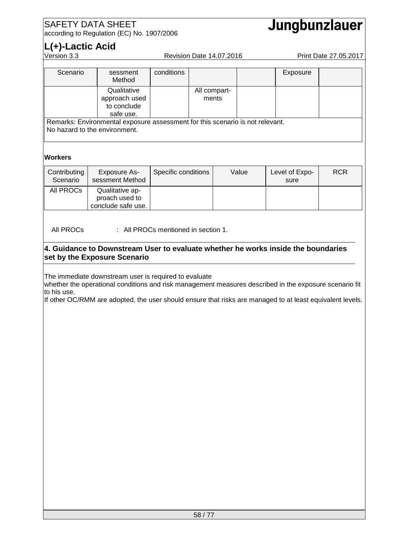# **L(+)-Lactic Acid**

Revision Date 14.07.2016 Print Date 27.05.2017

| Scenario                                                                      | sessment      | conditions |              |  | Exposure |  |
|-------------------------------------------------------------------------------|---------------|------------|--------------|--|----------|--|
|                                                                               | Method        |            |              |  |          |  |
|                                                                               | Qualitative   |            | All compart- |  |          |  |
|                                                                               | approach used |            | ments        |  |          |  |
|                                                                               | to conclude   |            |              |  |          |  |
|                                                                               | safe use.     |            |              |  |          |  |
| Remarks: Environmental exposure assessment for this scenario is not relevant. |               |            |              |  |          |  |
| No hazard to the environment.                                                 |               |            |              |  |          |  |

## **Workers**

| Contributing<br>Scenario | Exposure As-<br>sessment Method                         | Specific conditions | Value | Level of Expo-<br>sure | <b>RCR</b> |
|--------------------------|---------------------------------------------------------|---------------------|-------|------------------------|------------|
| All PROCs                | Qualitative ap-<br>proach used to<br>conclude safe use. |                     |       |                        |            |

All PROCs : All PROCs mentioned in section 1.

### **4. Guidance to Downstream User to evaluate whether he works inside the boundaries set by the Exposure Scenario**

The immediate downstream user is required to evaluate

whether the operational conditions and risk management measures described in the exposure scenario fit to his use.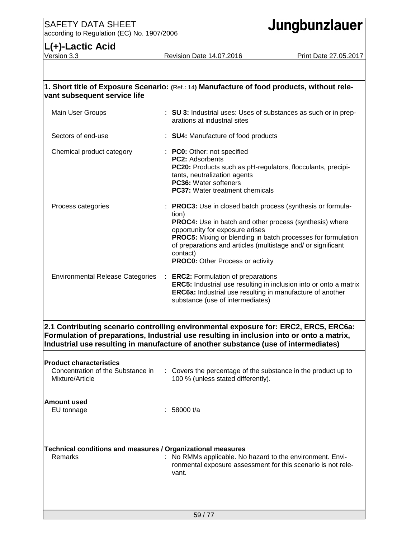L(+)-Lactic Acid

| vant subsequent service life                                           | 1. Short title of Exposure Scenario: (Ref.: 14) Manufacture of food products, without rele-                                                                                                                                                                                                                                                                                  |
|------------------------------------------------------------------------|------------------------------------------------------------------------------------------------------------------------------------------------------------------------------------------------------------------------------------------------------------------------------------------------------------------------------------------------------------------------------|
| Main User Groups                                                       | : SU 3: Industrial uses: Uses of substances as such or in prep-<br>arations at industrial sites                                                                                                                                                                                                                                                                              |
| Sectors of end-use                                                     | : SU4: Manufacture of food products                                                                                                                                                                                                                                                                                                                                          |
| Chemical product category                                              | <b>PC0:</b> Other: not specified<br><b>PC2: Adsorbents</b><br>PC20: Products such as pH-regulators, flocculants, precipi-<br>tants, neutralization agents<br>PC36: Water softeners<br><b>PC37:</b> Water treatment chemicals                                                                                                                                                 |
| Process categories                                                     | <b>PROC3:</b> Use in closed batch process (synthesis or formula-<br>tion)<br><b>PROC4:</b> Use in batch and other process (synthesis) where<br>opportunity for exposure arises<br><b>PROC5:</b> Mixing or blending in batch processes for formulation<br>of preparations and articles (multistage and/ or significant<br>contact)<br><b>PROC0:</b> Other Process or activity |
| <b>Environmental Release Categories</b>                                | : ERC2: Formulation of preparations<br>ERC5: Industrial use resulting in inclusion into or onto a matrix<br>ERC6a: Industrial use resulting in manufacture of another<br>substance (use of intermediates)                                                                                                                                                                    |
|                                                                        | 2.1 Contributing scenario controlling environmental exposure for: ERC2, ERC5, ERC6a:<br>Formulation of preparations, Industrial use resulting in inclusion into or onto a matrix,<br>Industrial use resulting in manufacture of another substance (use of intermediates)                                                                                                     |
| <b>Product characteristics</b>                                         |                                                                                                                                                                                                                                                                                                                                                                              |
| Concentration of the Substance in<br>Mixture/Article                   | : Covers the percentage of the substance in the product up to<br>100 % (unless stated differently).                                                                                                                                                                                                                                                                          |
| Amount used<br>EU tonnage                                              | $: 58000$ t/a                                                                                                                                                                                                                                                                                                                                                                |
| Technical conditions and measures / Organizational measures<br>Remarks | No RMMs applicable. No hazard to the environment. Envi-<br>ronmental exposure assessment for this scenario is not rele-<br>vant.                                                                                                                                                                                                                                             |
|                                                                        | 59 / 77                                                                                                                                                                                                                                                                                                                                                                      |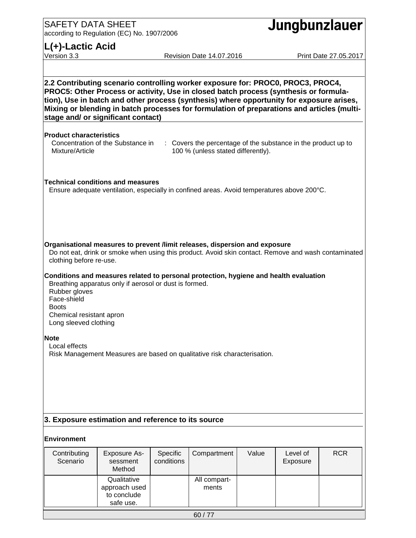L(+)-Lactic Acid

Revision Date 14.07.2016 Print Date 27.05.2017

| 2.2 Contributing scenario controlling worker exposure for: PROC0, PROC3, PROC4,                          | PROC5: Other Process or activity, Use in closed batch process (synthesis or formula-<br>tion), Use in batch and other process (synthesis) where opportunity for exposure arises,<br>Mixing or blending in batch processes for formulation of preparations and articles (multi-<br>stage and/ or significant contact) |                        |                                                                                                     |       |                      |            |
|----------------------------------------------------------------------------------------------------------|----------------------------------------------------------------------------------------------------------------------------------------------------------------------------------------------------------------------------------------------------------------------------------------------------------------------|------------------------|-----------------------------------------------------------------------------------------------------|-------|----------------------|------------|
| <b>Product characteristics</b><br>Mixture/Article                                                        | Concentration of the Substance in                                                                                                                                                                                                                                                                                    |                        | : Covers the percentage of the substance in the product up to<br>100 % (unless stated differently). |       |                      |            |
|                                                                                                          | <b>Technical conditions and measures</b><br>Ensure adequate ventilation, especially in confined areas. Avoid temperatures above 200°C.                                                                                                                                                                               |                        |                                                                                                     |       |                      |            |
|                                                                                                          | Organisational measures to prevent /limit releases, dispersion and exposure<br>Do not eat, drink or smoke when using this product. Avoid skin contact. Remove and wash contaminated<br>clothing before re-use.                                                                                                       |                        |                                                                                                     |       |                      |            |
| Rubber gloves<br>Face-shield<br><b>Boots</b>                                                             | Conditions and measures related to personal protection, hygiene and health evaluation<br>Breathing apparatus only if aerosol or dust is formed.<br>Chemical resistant apron<br>Long sleeved clothing                                                                                                                 |                        |                                                                                                     |       |                      |            |
| <b>Note</b><br>Local effects<br>Risk Management Measures are based on qualitative risk characterisation. |                                                                                                                                                                                                                                                                                                                      |                        |                                                                                                     |       |                      |            |
| 3. Exposure estimation and reference to its source                                                       |                                                                                                                                                                                                                                                                                                                      |                        |                                                                                                     |       |                      |            |
| <b>Environment</b>                                                                                       |                                                                                                                                                                                                                                                                                                                      |                        |                                                                                                     |       |                      |            |
| Contributing<br>Scenario                                                                                 | <b>Exposure As-</b><br>sessment<br>Method                                                                                                                                                                                                                                                                            | Specific<br>conditions | Compartment                                                                                         | Value | Level of<br>Exposure | <b>RCR</b> |
|                                                                                                          | Qualitative<br>approach used                                                                                                                                                                                                                                                                                         |                        | All compart-<br>ments                                                                               |       |                      |            |

to conclude safe use.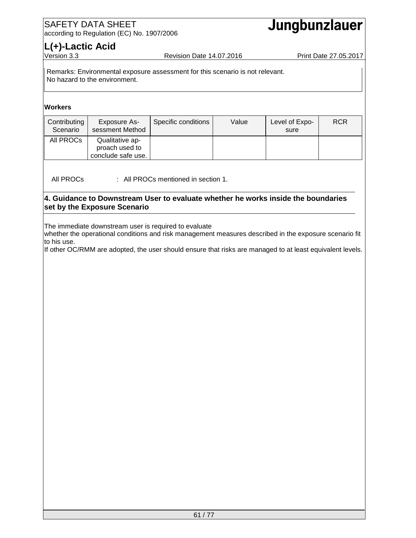# **L(+)-Lactic Acid**

Revision Date 14.07.2016 Print Date 27.05.2017

Remarks: Environmental exposure assessment for this scenario is not relevant. No hazard to the environment.

**Workers**

| Contributing<br>Scenario | Exposure As-<br>sessment Method                         | Specific conditions | Value | Level of Expo-<br>sure | <b>RCR</b> |
|--------------------------|---------------------------------------------------------|---------------------|-------|------------------------|------------|
| All PROCs                | Qualitative ap-<br>proach used to<br>conclude safe use. |                     |       |                        |            |

All PROCs : All PROCs mentioned in section 1.

### **4. Guidance to Downstream User to evaluate whether he works inside the boundaries set by the Exposure Scenario**

The immediate downstream user is required to evaluate

whether the operational conditions and risk management measures described in the exposure scenario fit to his use.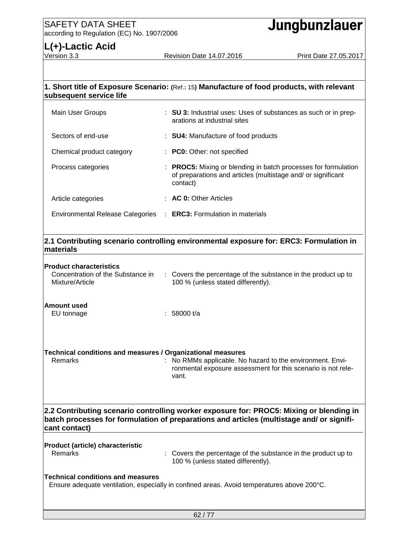# **L(+)-Lactic Acid**

Revision Date 14.07.2016 Print Date 27.05.2017

| 1. Short title of Exposure Scenario: (Ref.: 15) Manufacture of food products, with relevant<br>subsequent service life |  |
|------------------------------------------------------------------------------------------------------------------------|--|
|                                                                                                                        |  |

| Main User Groups                 | : SU 3: Industrial uses: Uses of substances as such or in prep-<br>arations at industrial sites                                                   |
|----------------------------------|---------------------------------------------------------------------------------------------------------------------------------------------------|
| Sectors of end-use               | : SU4: Manufacture of food products                                                                                                               |
| Chemical product category        | <b>PC0:</b> Other: not specified                                                                                                                  |
| Process categories               | : <b>PROC5:</b> Mixing or blending in batch processes for formulation<br>of preparations and articles (multistage and/ or significant<br>contact) |
| Article categories               | $\therefore$ AC 0: Other Articles                                                                                                                 |
| Environmental Release Categories | : ERC3: Formulation in materials                                                                                                                  |

### **2.1 Contributing scenario controlling environmental exposure for: ERC3: Formulation in materials**

| <b>Product characteristics</b>    |                                                               |
|-----------------------------------|---------------------------------------------------------------|
| Concentration of the Substance in | : Covers the percentage of the substance in the product up to |
| Mixture/Article                   | 100 % (unless stated differently).                            |

## **Amount used**

EU tonnage : 58000 t/a

| Technical conditions and measures / Organizational measures |  |
|-------------------------------------------------------------|--|
|-------------------------------------------------------------|--|

Remarks **EXECUTE:** No RMMs applicable. No hazard to the environment. Environmental exposure assessment for this scenario is not relevant.

**2.2 Contributing scenario controlling worker exposure for: PROC5: Mixing or blending in batch processes for formulation of preparations and articles (multistage and/ or significant contact)**

| ναιπ νυπιανι <i>μ</i>             |                                                                                                     |
|-----------------------------------|-----------------------------------------------------------------------------------------------------|
| Product (article) characteristic  |                                                                                                     |
| Remarks                           | : Covers the percentage of the substance in the product up to<br>100 % (unless stated differently). |
| Technical conditions and measures | Ensure adequate ventilation, especially in confined areas. Avoid temperatures above 200°C.          |
|                                   |                                                                                                     |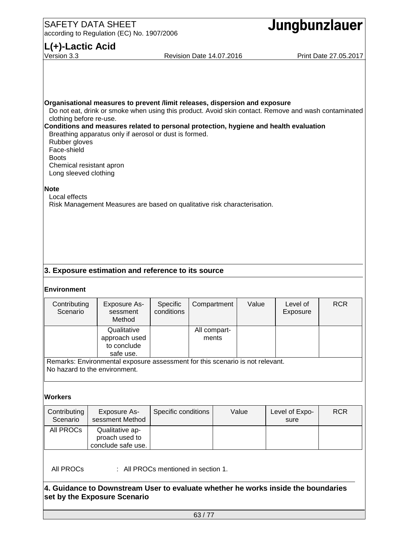# **L(+)-Lactic Acid**

Revision Date 14.07.2016 Print Date 27.05.2017

**Organisational measures to prevent /limit releases, dispersion and exposure** Do not eat, drink or smoke when using this product. Avoid skin contact. Remove and wash contaminated clothing before re-use. **Conditions and measures related to personal protection, hygiene and health evaluation** Breathing apparatus only if aerosol or dust is formed. Rubber gloves Face-shield Boots Chemical resistant apron Long sleeved clothing **Note** Local effects Risk Management Measures are based on qualitative risk characterisation. **3. Exposure estimation and reference to its source Environment Contributing** Scenario Exposure Assessment Method Specific conditions Compartment | Value | Level of Exposure RCR **Qualitative** approach used to conclude safe use. All compartments Remarks: Environmental exposure assessment for this scenario is not relevant. No hazard to the environment. **Workers Contributing** Scenario Exposure Assessment Method Specific conditions | Value | Level of Exposure RCR All PROCs | Qualitative approach used to conclude safe use. All PROCs : All PROCs mentioned in section 1.

**4. Guidance to Downstream User to evaluate whether he works inside the boundaries set by the Exposure Scenario**

63 / 77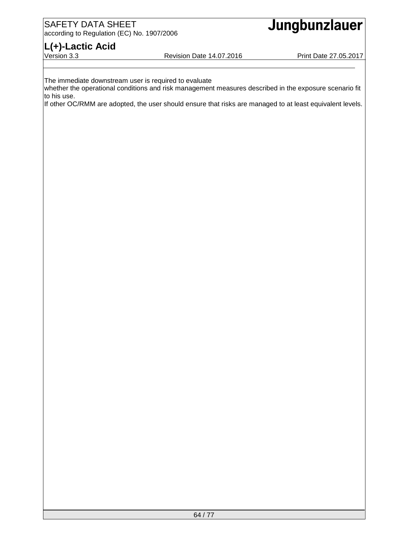# **L(+)-Lactic Acid**

Revision Date 14.07.2016 Print Date 27.05.2017

The immediate downstream user is required to evaluate

whether the operational conditions and risk management measures described in the exposure scenario fit to his use.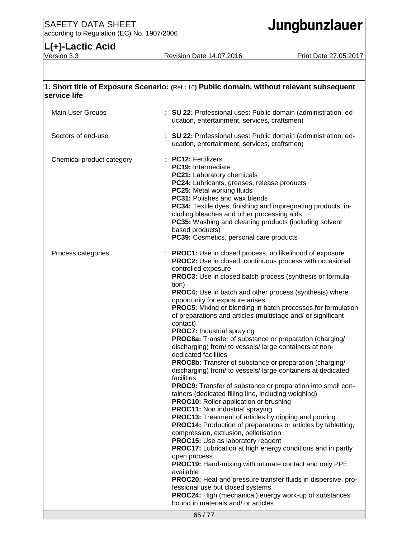# L(**+)-Lactic Acid**<br>Version 3.3

| service life              | 1. Short title of Exposure Scenario: (Ref.: 16) Public domain, without relevant subsequent                                                                                                                                                                                                                                                                                                                                                                                                                                                                                                                                                                                                                                                                                                                                                                                                                                                                                                                                                                                                                                                                                                                                                                                                                                                                                                                                                                                                                                                                                                                                                        |
|---------------------------|---------------------------------------------------------------------------------------------------------------------------------------------------------------------------------------------------------------------------------------------------------------------------------------------------------------------------------------------------------------------------------------------------------------------------------------------------------------------------------------------------------------------------------------------------------------------------------------------------------------------------------------------------------------------------------------------------------------------------------------------------------------------------------------------------------------------------------------------------------------------------------------------------------------------------------------------------------------------------------------------------------------------------------------------------------------------------------------------------------------------------------------------------------------------------------------------------------------------------------------------------------------------------------------------------------------------------------------------------------------------------------------------------------------------------------------------------------------------------------------------------------------------------------------------------------------------------------------------------------------------------------------------------|
| Main User Groups          | : SU 22: Professional uses: Public domain (administration, ed-<br>ucation, entertainment, services, craftsmen)                                                                                                                                                                                                                                                                                                                                                                                                                                                                                                                                                                                                                                                                                                                                                                                                                                                                                                                                                                                                                                                                                                                                                                                                                                                                                                                                                                                                                                                                                                                                    |
| Sectors of end-use        | : SU 22: Professional uses: Public domain (administration, ed-<br>ucation, entertainment, services, craftsmen)                                                                                                                                                                                                                                                                                                                                                                                                                                                                                                                                                                                                                                                                                                                                                                                                                                                                                                                                                                                                                                                                                                                                                                                                                                                                                                                                                                                                                                                                                                                                    |
| Chemical product category | : PC12: Fertilizers<br><b>PC19: Intermediate</b><br>PC21: Laboratory chemicals<br>PC24: Lubricants, greases, release products<br>PC25: Metal working fluids<br>PC31: Polishes and wax blends<br>PC34: Textile dyes, finishing and impregnating products; in-<br>cluding bleaches and other processing aids<br>PC35: Washing and cleaning products (including solvent<br>based products)<br>PC39: Cosmetics, personal care products                                                                                                                                                                                                                                                                                                                                                                                                                                                                                                                                                                                                                                                                                                                                                                                                                                                                                                                                                                                                                                                                                                                                                                                                                |
| Process categories        | <b>PROC1:</b> Use in closed process, no likelihood of exposure<br><b>PROC2:</b> Use in closed, continuous process with occasional<br>controlled exposure<br><b>PROC3:</b> Use in closed batch process (synthesis or formula-<br>tion)<br>PROC4: Use in batch and other process (synthesis) where<br>opportunity for exposure arises<br><b>PROC5:</b> Mixing or blending in batch processes for formulation<br>of preparations and articles (multistage and/ or significant<br>contact)<br><b>PROC7:</b> Industrial spraying<br>PROC8a: Transfer of substance or preparation (charging/<br>discharging) from/ to vessels/ large containers at non-<br>dedicated facilities<br><b>PROC8b:</b> Transfer of substance or preparation (charging/<br>discharging) from/ to vessels/ large containers at dedicated<br>facilities<br><b>PROC9:</b> Transfer of substance or preparation into small con-<br>tainers (dedicated filling line, including weighing)<br><b>PROC10:</b> Roller application or brushing<br>PROC11: Non industrial spraying<br><b>PROC13:</b> Treatment of articles by dipping and pouring<br>PROC14: Production of preparations or articles by tabletting,<br>compression, extrusion, pelletisation<br><b>PROC15:</b> Use as laboratory reagent<br><b>PROC17:</b> Lubrication at high energy conditions and in partly<br>open process<br><b>PROC19:</b> Hand-mixing with intimate contact and only PPE<br>available<br>PROC20: Heat and pressure transfer fluids in dispersive, pro-<br>fessional use but closed systems<br><b>PROC24:</b> High (mechanical) energy work-up of substances<br>bound in materials and/ or articles |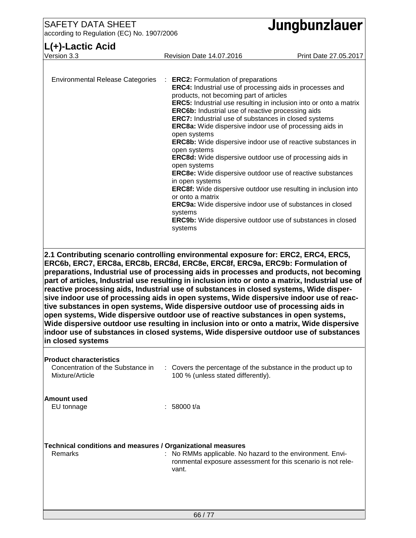| <b>SAFETY DATA SHEET</b><br>according to Regulation (EC) No. 1907/2006                                                                                                                                                                                                                                                                                                                                                                                                                                                                                                                                                                                                                                                                                                                                                                                                                                                                            |                                                                                                           |                                                                                                                                                                                                         |                                                                                                                                                                                                                                                                                                                                                                                                                                                                                                                                                                                                                  |
|---------------------------------------------------------------------------------------------------------------------------------------------------------------------------------------------------------------------------------------------------------------------------------------------------------------------------------------------------------------------------------------------------------------------------------------------------------------------------------------------------------------------------------------------------------------------------------------------------------------------------------------------------------------------------------------------------------------------------------------------------------------------------------------------------------------------------------------------------------------------------------------------------------------------------------------------------|-----------------------------------------------------------------------------------------------------------|---------------------------------------------------------------------------------------------------------------------------------------------------------------------------------------------------------|------------------------------------------------------------------------------------------------------------------------------------------------------------------------------------------------------------------------------------------------------------------------------------------------------------------------------------------------------------------------------------------------------------------------------------------------------------------------------------------------------------------------------------------------------------------------------------------------------------------|
| L(+)-Lactic Acid<br>Version 3.3                                                                                                                                                                                                                                                                                                                                                                                                                                                                                                                                                                                                                                                                                                                                                                                                                                                                                                                   | Revision Date 14.07.2016                                                                                  |                                                                                                                                                                                                         | Print Date 27.05.2017                                                                                                                                                                                                                                                                                                                                                                                                                                                                                                                                                                                            |
| <b>Environmental Release Categories</b>                                                                                                                                                                                                                                                                                                                                                                                                                                                                                                                                                                                                                                                                                                                                                                                                                                                                                                           | open systems<br>open systems<br>open systems<br>in open systems<br>or onto a matrix<br>systems<br>systems | <b>ERC2:</b> Formulation of preparations<br>products, not becoming part of articles<br>ERC6b: Industrial use of reactive processing aids<br><b>ERC7:</b> Industrial use of substances in closed systems | ERC4: Industrial use of processing aids in processes and<br>ERC5: Industrial use resulting in inclusion into or onto a matrix<br>ERC8a: Wide dispersive indoor use of processing aids in<br><b>ERC8b:</b> Wide dispersive indoor use of reactive substances in<br><b>ERC8d:</b> Wide dispersive outdoor use of processing aids in<br>ERC8e: Wide dispersive outdoor use of reactive substances<br><b>ERC8f:</b> Wide dispersive outdoor use resulting in inclusion into<br><b>ERC9a:</b> Wide dispersive indoor use of substances in closed<br><b>ERC9b:</b> Wide dispersive outdoor use of substances in closed |
| 2.1 Contributing scenario controlling environmental exposure for: ERC2, ERC4, ERC5,<br>ERC6b, ERC7, ERC8a, ERC8b, ERC8d, ERC8e, ERC8f, ERC9a, ERC9b: Formulation of<br>preparations, Industrial use of processing aids in processes and products, not becoming<br>part of articles, Industrial use resulting in inclusion into or onto a matrix, Industrial use of<br>reactive processing aids, Industrial use of substances in closed systems, Wide disper-<br>sive indoor use of processing aids in open systems, Wide dispersive indoor use of reac-<br>tive substances in open systems, Wide dispersive outdoor use of processing aids in<br>open systems, Wide dispersive outdoor use of reactive substances in open systems,<br>Wide dispersive outdoor use resulting in inclusion into or onto a matrix, Wide dispersive<br>$ $ indoor use of substances in closed systems, Wide dispersive outdoor use of substances<br>in closed systems |                                                                                                           |                                                                                                                                                                                                         |                                                                                                                                                                                                                                                                                                                                                                                                                                                                                                                                                                                                                  |
| <b>Product characteristics</b><br>Concentration of the Substance in<br>Mixture/Article                                                                                                                                                                                                                                                                                                                                                                                                                                                                                                                                                                                                                                                                                                                                                                                                                                                            |                                                                                                           | 100 % (unless stated differently).                                                                                                                                                                      | : Covers the percentage of the substance in the product up to                                                                                                                                                                                                                                                                                                                                                                                                                                                                                                                                                    |
| ∣Amount used<br>EU tonnage                                                                                                                                                                                                                                                                                                                                                                                                                                                                                                                                                                                                                                                                                                                                                                                                                                                                                                                        | 58000 t/a                                                                                                 |                                                                                                                                                                                                         |                                                                                                                                                                                                                                                                                                                                                                                                                                                                                                                                                                                                                  |
| Technical conditions and measures / Organizational measures<br>Remarks                                                                                                                                                                                                                                                                                                                                                                                                                                                                                                                                                                                                                                                                                                                                                                                                                                                                            | vant.                                                                                                     |                                                                                                                                                                                                         | No RMMs applicable. No hazard to the environment. Envi-<br>ronmental exposure assessment for this scenario is not rele-                                                                                                                                                                                                                                                                                                                                                                                                                                                                                          |
|                                                                                                                                                                                                                                                                                                                                                                                                                                                                                                                                                                                                                                                                                                                                                                                                                                                                                                                                                   | 66 / 77                                                                                                   |                                                                                                                                                                                                         |                                                                                                                                                                                                                                                                                                                                                                                                                                                                                                                                                                                                                  |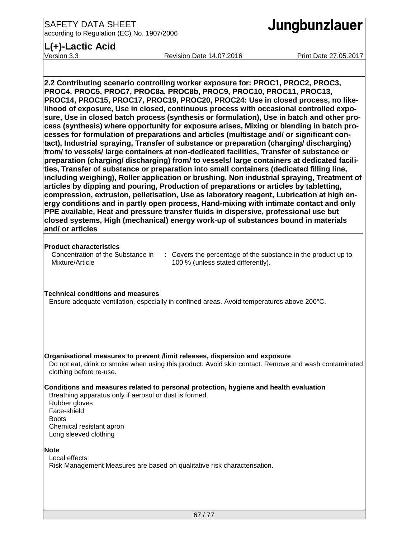# **L(+)-Lactic Acid**

Revision Date 14.07.2016 Print Date 27.05.2017

**2.2 Contributing scenario controlling worker exposure for: PROC1, PROC2, PROC3, PROC4, PROC5, PROC7, PROC8a, PROC8b, PROC9, PROC10, PROC11, PROC13, PROC14, PROC15, PROC17, PROC19, PROC20, PROC24: Use in closed process, no likelihood of exposure, Use in closed, continuous process with occasional controlled exposure, Use in closed batch process (synthesis or formulation), Use in batch and other process (synthesis) where opportunity for exposure arises, Mixing or blending in batch processes for formulation of preparations and articles (multistage and/ or significant contact), Industrial spraying, Transfer of substance or preparation (charging/ discharging) from/ to vessels/ large containers at non-dedicated facilities, Transfer of substance or preparation (charging/ discharging) from/ to vessels/ large containers at dedicated facilities, Transfer of substance or preparation into small containers (dedicated filling line, including weighing), Roller application or brushing, Non industrial spraying, Treatment of articles by dipping and pouring, Production of preparations or articles by tabletting, compression, extrusion, pelletisation, Use as laboratory reagent, Lubrication at high energy conditions and in partly open process, Hand-mixing with intimate contact and only PPE available, Heat and pressure transfer fluids in dispersive, professional use but closed systems, High (mechanical) energy work-up of substances bound in materials and/ or articles**

#### **Product characteristics**

Mixture/Article

Concentration of the Substance in : Covers the percentage of the substance in the product up to 100 % (unless stated differently).

#### **Technical conditions and measures**

Ensure adequate ventilation, especially in confined areas. Avoid temperatures above 200°C.

**Organisational measures to prevent /limit releases, dispersion and exposure**

Do not eat, drink or smoke when using this product. Avoid skin contact. Remove and wash contaminated clothing before re-use.

#### **Conditions and measures related to personal protection, hygiene and health evaluation**

Breathing apparatus only if aerosol or dust is formed. Rubber gloves Face-shield **Boots** Chemical resistant apron Long sleeved clothing

#### **Note**

Local effects Risk Management Measures are based on qualitative risk characterisation.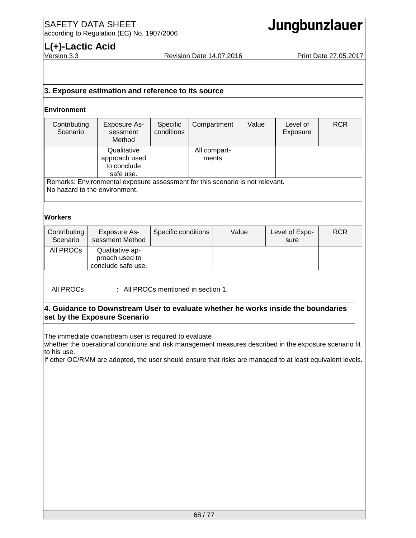**L(+)-Lactic Acid**

Revision Date 14.07.2016 Print Date 27.05.2017

### **3. Exposure estimation and reference to its source**

#### **Environment**

| Contributing<br>Scenario                                                                                       | <b>Exposure As-</b><br>sessment<br>Method                | <b>Specific</b><br>conditions | Compartment           | Value | Level of<br>Exposure | <b>RCR</b> |
|----------------------------------------------------------------------------------------------------------------|----------------------------------------------------------|-------------------------------|-----------------------|-------|----------------------|------------|
|                                                                                                                | Qualitative<br>approach used<br>to conclude<br>safe use. |                               | All compart-<br>ments |       |                      |            |
| Remarks: Environmental exposure assessment for this scenario is not relevant.<br>No hazard to the environment. |                                                          |                               |                       |       |                      |            |

#### **Workers**

| Contributing<br>Scenario | Exposure As-<br>sessment Method                         | Specific conditions | Value | Level of Expo-<br>sure | <b>RCR</b> |
|--------------------------|---------------------------------------------------------|---------------------|-------|------------------------|------------|
| All PROCs                | Qualitative ap-<br>proach used to<br>conclude safe use. |                     |       |                        |            |

All PROCs : All PROCs mentioned in section 1.

#### **4. Guidance to Downstream User to evaluate whether he works inside the boundaries set by the Exposure Scenario**

The immediate downstream user is required to evaluate

whether the operational conditions and risk management measures described in the exposure scenario fit to his use.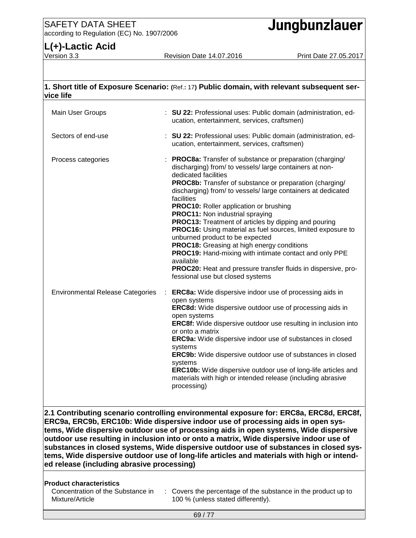# **L(+)-Lactic Acid**

Revision Date 14.07.2016 Print Date 27.05.2017

| $ {\sf vice}$ life                      | 1. Short title of Exposure Scenario: $(Ref.: 17)$ Public domain, with relevant subsequent ser-                                                                                                                                                                                                                                                                                                                                                                                                                                                                                                                                                                                                                                                                                                        |
|-----------------------------------------|-------------------------------------------------------------------------------------------------------------------------------------------------------------------------------------------------------------------------------------------------------------------------------------------------------------------------------------------------------------------------------------------------------------------------------------------------------------------------------------------------------------------------------------------------------------------------------------------------------------------------------------------------------------------------------------------------------------------------------------------------------------------------------------------------------|
| Main User Groups                        | : SU 22: Professional uses: Public domain (administration, ed-<br>ucation, entertainment, services, craftsmen)                                                                                                                                                                                                                                                                                                                                                                                                                                                                                                                                                                                                                                                                                        |
| Sectors of end-use                      | : SU 22: Professional uses: Public domain (administration, ed-<br>ucation, entertainment, services, craftsmen)                                                                                                                                                                                                                                                                                                                                                                                                                                                                                                                                                                                                                                                                                        |
| Process categories                      | PROC8a: Transfer of substance or preparation (charging/<br>discharging) from/ to vessels/ large containers at non-<br>dedicated facilities<br>PROC8b: Transfer of substance or preparation (charging/<br>discharging) from/ to vessels/ large containers at dedicated<br>facilities<br><b>PROC10:</b> Roller application or brushing<br><b>PROC11:</b> Non industrial spraying<br><b>PROC13:</b> Treatment of articles by dipping and pouring<br><b>PROC16:</b> Using material as fuel sources, limited exposure to<br>unburned product to be expected<br><b>PROC18:</b> Greasing at high energy conditions<br><b>PROC19:</b> Hand-mixing with intimate contact and only PPE<br>available<br><b>PROC20:</b> Heat and pressure transfer fluids in dispersive, pro-<br>fessional use but closed systems |
| <b>Environmental Release Categories</b> | <b>ERC8a:</b> Wide dispersive indoor use of processing aids in<br>÷<br>open systems<br>ERC8d: Wide dispersive outdoor use of processing aids in<br>open systems<br>ERC8f: Wide dispersive outdoor use resulting in inclusion into<br>or onto a matrix<br><b>ERC9a:</b> Wide dispersive indoor use of substances in closed<br>systems<br>ERC9b: Wide dispersive outdoor use of substances in closed<br>systems<br><b>ERC10b:</b> Wide dispersive outdoor use of long-life articles and<br>materials with high or intended release (including abrasive<br>processing)                                                                                                                                                                                                                                   |

**2.1 Contributing scenario controlling environmental exposure for: ERC8a, ERC8d, ERC8f, ERC9a, ERC9b, ERC10b: Wide dispersive indoor use of processing aids in open systems, Wide dispersive outdoor use of processing aids in open systems, Wide dispersive outdoor use resulting in inclusion into or onto a matrix, Wide dispersive indoor use of substances in closed systems, Wide dispersive outdoor use of substances in closed systems, Wide dispersive outdoor use of long-life articles and materials with high or intended release (including abrasive processing)**

#### **Product characteristics**

Concentration of the Substance in Mixture/Article

: Covers the percentage of the substance in the product up to 100 % (unless stated differently).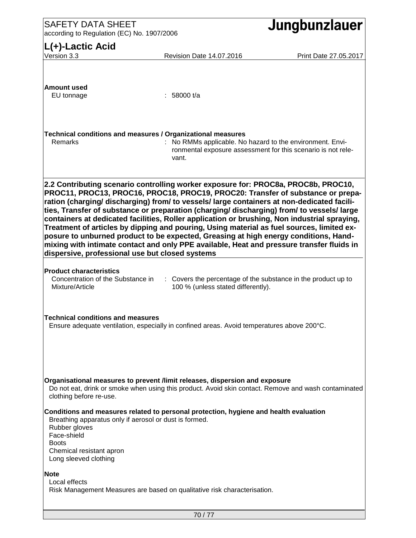| <b>SAFETY DATA SHEET</b><br>according to Regulation (EC) No. 1907/2006                                                                                                                                                                                                                                                                                                                                                                                                                                                                                                                                                                                                                                                                                                                                 |                                                                                                     |                                                              |
|--------------------------------------------------------------------------------------------------------------------------------------------------------------------------------------------------------------------------------------------------------------------------------------------------------------------------------------------------------------------------------------------------------------------------------------------------------------------------------------------------------------------------------------------------------------------------------------------------------------------------------------------------------------------------------------------------------------------------------------------------------------------------------------------------------|-----------------------------------------------------------------------------------------------------|--------------------------------------------------------------|
| $L(+)$ -Lactic Acid<br>Version 3.3                                                                                                                                                                                                                                                                                                                                                                                                                                                                                                                                                                                                                                                                                                                                                                     | <b>Revision Date 14.07.2016</b>                                                                     | Print Date 27.05.2017                                        |
| <b>Amount used</b><br>EU tonnage                                                                                                                                                                                                                                                                                                                                                                                                                                                                                                                                                                                                                                                                                                                                                                       | $: 58000 \frac{t}{a}$                                                                               |                                                              |
| Technical conditions and measures / Organizational measures<br>Remarks                                                                                                                                                                                                                                                                                                                                                                                                                                                                                                                                                                                                                                                                                                                                 | : No RMMs applicable. No hazard to the environment. Envi-<br>vant.                                  | ronmental exposure assessment for this scenario is not rele- |
| 2.2 Contributing scenario controlling worker exposure for: PROC8a, PROC8b, PROC10,<br>PROC11, PROC13, PROC16, PROC18, PROC19, PROC20: Transfer of substance or prepa-<br>ration (charging/ discharging) from/ to vessels/ large containers at non-dedicated facili-<br>ties, Transfer of substance or preparation (charging/ discharging) from/ to vessels/ large<br>containers at dedicated facilities, Roller application or brushing, Non industrial spraying,<br>Treatment of articles by dipping and pouring, Using material as fuel sources, limited ex-<br>posure to unburned product to be expected, Greasing at high energy conditions, Hand-<br>mixing with intimate contact and only PPE available, Heat and pressure transfer fluids in<br>dispersive, professional use but closed systems |                                                                                                     |                                                              |
| <b>Product characteristics</b><br>Concentration of the Substance in<br>Mixture/Article                                                                                                                                                                                                                                                                                                                                                                                                                                                                                                                                                                                                                                                                                                                 | : Covers the percentage of the substance in the product up to<br>100 % (unless stated differently). |                                                              |
| <b>Technical conditions and measures</b><br>Ensure adequate ventilation, especially in confined areas. Avoid temperatures above 200°C.                                                                                                                                                                                                                                                                                                                                                                                                                                                                                                                                                                                                                                                                 |                                                                                                     |                                                              |
| Organisational measures to prevent /limit releases, dispersion and exposure<br>Do not eat, drink or smoke when using this product. Avoid skin contact. Remove and wash contaminated<br>clothing before re-use.                                                                                                                                                                                                                                                                                                                                                                                                                                                                                                                                                                                         |                                                                                                     |                                                              |
| Conditions and measures related to personal protection, hygiene and health evaluation<br>Breathing apparatus only if aerosol or dust is formed.<br>Rubber gloves<br>Face-shield<br><b>Boots</b><br>Chemical resistant apron<br>Long sleeved clothing                                                                                                                                                                                                                                                                                                                                                                                                                                                                                                                                                   |                                                                                                     |                                                              |
| <b>Note</b><br>Local effects<br>Risk Management Measures are based on qualitative risk characterisation.                                                                                                                                                                                                                                                                                                                                                                                                                                                                                                                                                                                                                                                                                               |                                                                                                     |                                                              |
|                                                                                                                                                                                                                                                                                                                                                                                                                                                                                                                                                                                                                                                                                                                                                                                                        | 70/77                                                                                               |                                                              |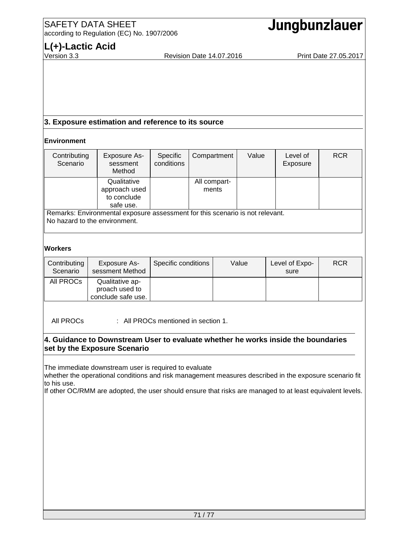# **L(+)-Lactic Acid**

Revision Date 14.07.2016 Print Date 27.05.2017

## **3. Exposure estimation and reference to its source**

#### **Environment**

| Contributing<br>Scenario                                                      | <b>Exposure As-</b><br>sessment<br>Method                | Specific<br>conditions | Compartment           | Value | Level of<br>Exposure | <b>RCR</b> |
|-------------------------------------------------------------------------------|----------------------------------------------------------|------------------------|-----------------------|-------|----------------------|------------|
|                                                                               | Qualitative<br>approach used<br>to conclude<br>safe use. |                        | All compart-<br>ments |       |                      |            |
| Remarks: Environmental exposure assessment for this scenario is not relevant. |                                                          |                        |                       |       |                      |            |

No hazard to the environment.

#### **Workers**

| Contributing<br>Scenario | Exposure As-<br>sessment Method                         | Specific conditions | Value | Level of Expo-<br>sure | <b>RCR</b> |
|--------------------------|---------------------------------------------------------|---------------------|-------|------------------------|------------|
| All PROCs                | Qualitative ap-<br>proach used to<br>conclude safe use. |                     |       |                        |            |

All PROCs : All PROCs mentioned in section 1.

#### **4. Guidance to Downstream User to evaluate whether he works inside the boundaries set by the Exposure Scenario**

The immediate downstream user is required to evaluate

whether the operational conditions and risk management measures described in the exposure scenario fit to his use.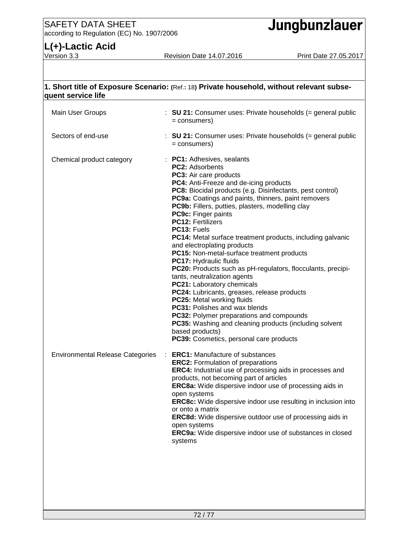**L(+)-Lactic Acid**

Revision Date 14.07.2016 Print Date 27.05.2017

# **1. Short title of Exposure Scenario: (**Ref.**:** 18**) Private household, without relevant subsequent service life**

| Main User Groups                        | : SU 21: Consumer uses: Private households (= general public<br>= consumers)                                                                                                                                                                                                                                                                                                                                                                                                                                                                                                                                                                                                                                                                                                                                                                                                                                                                                                |
|-----------------------------------------|-----------------------------------------------------------------------------------------------------------------------------------------------------------------------------------------------------------------------------------------------------------------------------------------------------------------------------------------------------------------------------------------------------------------------------------------------------------------------------------------------------------------------------------------------------------------------------------------------------------------------------------------------------------------------------------------------------------------------------------------------------------------------------------------------------------------------------------------------------------------------------------------------------------------------------------------------------------------------------|
| Sectors of end-use                      | : SU 21: Consumer uses: Private households $(=$ general public<br>= consumers)                                                                                                                                                                                                                                                                                                                                                                                                                                                                                                                                                                                                                                                                                                                                                                                                                                                                                              |
| Chemical product category               | : PC1: Adhesives, sealants<br><b>PC2: Adsorbents</b><br><b>PC3:</b> Air care products<br>PC4: Anti-Freeze and de-icing products<br>PC8: Biocidal products (e.g. Disinfectants, pest control)<br>PC9a: Coatings and paints, thinners, paint removers<br>PC9b: Fillers, putties, plasters, modelling clay<br><b>PC9c:</b> Finger paints<br>PC12: Fertilizers<br>PC13: Fuels<br><b>PC14:</b> Metal surface treatment products, including galvanic<br>and electroplating products<br>PC15: Non-metal-surface treatment products<br>PC17: Hydraulic fluids<br>PC20: Products such as pH-regulators, flocculants, precipi-<br>tants, neutralization agents<br>PC21: Laboratory chemicals<br>PC24: Lubricants, greases, release products<br><b>PC25: Metal working fluids</b><br>PC31: Polishes and wax blends<br>PC32: Polymer preparations and compounds<br>PC35: Washing and cleaning products (including solvent<br>based products)<br>PC39: Cosmetics, personal care products |
| <b>Environmental Release Categories</b> | <b>ERC1:</b> Manufacture of substances<br><b>ERC2:</b> Formulation of preparations<br><b>ERC4:</b> Industrial use of processing aids in processes and<br>products, not becoming part of articles<br>ERC8a: Wide dispersive indoor use of processing aids in<br>open systems<br><b>ERC8c:</b> Wide dispersive indoor use resulting in inclusion into<br>or onto a matrix<br><b>ERC8d:</b> Wide dispersive outdoor use of processing aids in<br>open systems<br>ERC9a: Wide dispersive indoor use of substances in closed<br>systems                                                                                                                                                                                                                                                                                                                                                                                                                                          |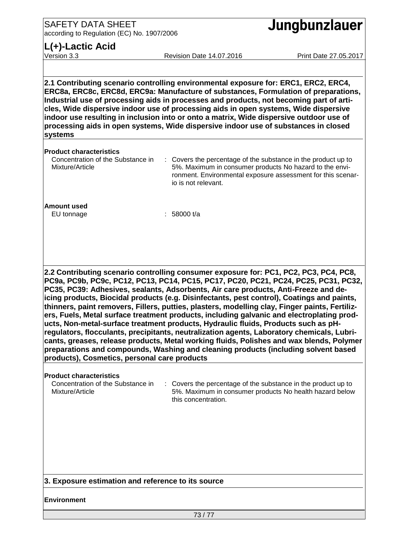**L(+)-Lactic Acid**

Revision Date 14.07.2016 Print Date 27.05.2017

**2.1 Contributing scenario controlling environmental exposure for: ERC1, ERC2, ERC4, ERC8a, ERC8c, ERC8d, ERC9a: Manufacture of substances, Formulation of preparations, Industrial use of processing aids in processes and products, not becoming part of articles, Wide dispersive indoor use of processing aids in open systems, Wide dispersive indoor use resulting in inclusion into or onto a matrix, Wide dispersive outdoor use of processing aids in open systems, Wide dispersive indoor use of substances in closed systems**

#### **Product characteristics**

| Concentration of the Substance in<br>Mixture/Article | : Covers the percentage of the substance in the product up to<br>5%. Maximum in consumer products No hazard to the envi-<br>ronment. Environmental exposure assessment for this scenar-<br>io is not relevant. |
|------------------------------------------------------|----------------------------------------------------------------------------------------------------------------------------------------------------------------------------------------------------------------|
|------------------------------------------------------|----------------------------------------------------------------------------------------------------------------------------------------------------------------------------------------------------------------|

#### **Amount used**

EU tonnage : 58000 t/a

**2.2 Contributing scenario controlling consumer exposure for: PC1, PC2, PC3, PC4, PC8, PC9a, PC9b, PC9c, PC12, PC13, PC14, PC15, PC17, PC20, PC21, PC24, PC25, PC31, PC32, PC35, PC39: Adhesives, sealants, Adsorbents, Air care products, Anti-Freeze and deicing products, Biocidal products (e.g. Disinfectants, pest control), Coatings and paints, thinners, paint removers, Fillers, putties, plasters, modelling clay, Finger paints, Fertilizers, Fuels, Metal surface treatment products, including galvanic and electroplating products, Non-metal-surface treatment products, Hydraulic fluids, Products such as pHregulators, flocculants, precipitants, neutralization agents, Laboratory chemicals, Lubricants, greases, release products, Metal working fluids, Polishes and wax blends, Polymer preparations and compounds, Washing and cleaning products (including solvent based products), Cosmetics, personal care products**

#### **Product characteristics**

Mixture/Article

Concentration of the Substance in : Covers the percentage of the substance in the product up to 5%. Maximum in consumer products No health hazard below this concentration.

#### **3. Exposure estimation and reference to its source**

#### **Environment**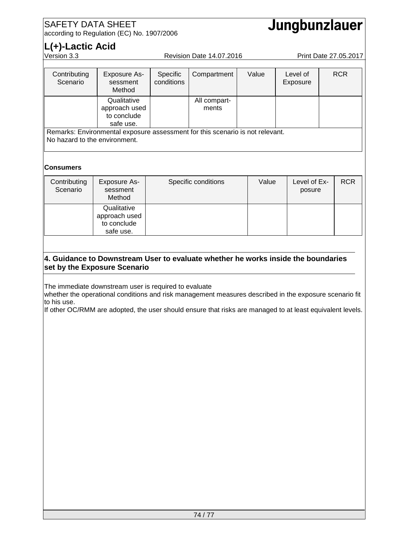# **L(+)-Lactic Acid**

Revision Date 14.07.2016 Print Date 27.05.2017

| Contributing<br>Scenario                                                      | <b>Exposure As-</b><br>sessment<br>Method                | <b>Specific</b><br>conditions | Compartment           | Value | Level of<br>Exposure | <b>RCR</b> |
|-------------------------------------------------------------------------------|----------------------------------------------------------|-------------------------------|-----------------------|-------|----------------------|------------|
|                                                                               | Qualitative<br>approach used<br>to conclude<br>safe use. |                               | All compart-<br>ments |       |                      |            |
| Remarks: Environmental exposure assessment for this scenario is not relevant. |                                                          |                               |                       |       |                      |            |
| No hazard to the environment.                                                 |                                                          |                               |                       |       |                      |            |

## **Consumers**

| Contributing<br>Scenario | <b>Exposure As-</b><br>sessment<br>Method                | Specific conditions | Value | Level of Ex-<br>posure | <b>RCR</b> |
|--------------------------|----------------------------------------------------------|---------------------|-------|------------------------|------------|
|                          | Qualitative<br>approach used<br>to conclude<br>safe use. |                     |       |                        |            |

#### **4. Guidance to Downstream User to evaluate whether he works inside the boundaries set by the Exposure Scenario**

The immediate downstream user is required to evaluate

whether the operational conditions and risk management measures described in the exposure scenario fit to his use.

If other OC/RMM are adopted, the user should ensure that risks are managed to at least equivalent levels.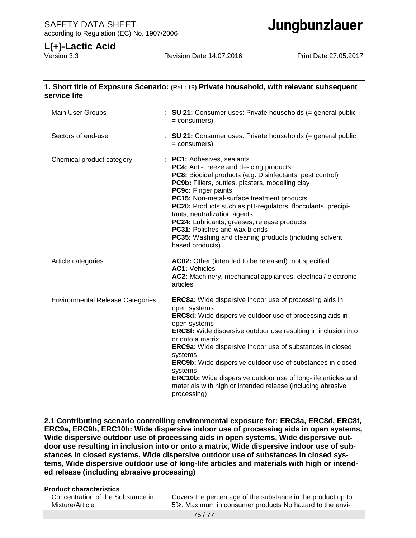## **L(+)-Lactic Acid**

Revision Date 14.07.2016 Print Date 27.05.2017

| service life                            | 1. Short title of Exposure Scenario: (Ref.: 19) Private household, with relevant subsequent                                                                                                                                                                                                                                                                                                                                                                                                                                                                    |  |
|-----------------------------------------|----------------------------------------------------------------------------------------------------------------------------------------------------------------------------------------------------------------------------------------------------------------------------------------------------------------------------------------------------------------------------------------------------------------------------------------------------------------------------------------------------------------------------------------------------------------|--|
| Main User Groups                        | : SU 21: Consumer uses: Private households $(=$ general public<br>$=$ consumers)                                                                                                                                                                                                                                                                                                                                                                                                                                                                               |  |
| Sectors of end-use                      | : SU 21: Consumer uses: Private households $(=$ general public<br>= consumers)                                                                                                                                                                                                                                                                                                                                                                                                                                                                                 |  |
| Chemical product category               | : PC1: Adhesives, sealants<br>PC4: Anti-Freeze and de-icing products<br>PC8: Biocidal products (e.g. Disinfectants, pest control)<br>PC9b: Fillers, putties, plasters, modelling clay<br>PC9c: Finger paints<br>PC15: Non-metal-surface treatment products<br>PC20: Products such as pH-regulators, flocculants, precipi-<br>tants, neutralization agents<br>PC24: Lubricants, greases, release products<br><b>PC31: Polishes and wax blends</b><br>PC35: Washing and cleaning products (including solvent<br>based products)                                  |  |
| Article categories                      | : AC02: Other (intended to be released): not specified<br><b>AC1: Vehicles</b><br>AC2: Machinery, mechanical appliances, electrical/electronic<br>articles                                                                                                                                                                                                                                                                                                                                                                                                     |  |
| <b>Environmental Release Categories</b> | ERC8a: Wide dispersive indoor use of processing aids in<br>open systems<br>ERC8d: Wide dispersive outdoor use of processing aids in<br>open systems<br>ERC8f: Wide dispersive outdoor use resulting in inclusion into<br>or onto a matrix<br><b>ERC9a:</b> Wide dispersive indoor use of substances in closed<br>systems<br><b>ERC9b:</b> Wide dispersive outdoor use of substances in closed<br>systems<br><b>ERC10b:</b> Wide dispersive outdoor use of long-life articles and<br>materials with high or intended release (including abrasive<br>processing) |  |

**2.1 Contributing scenario controlling environmental exposure for: ERC8a, ERC8d, ERC8f, ERC9a, ERC9b, ERC10b: Wide dispersive indoor use of processing aids in open systems, Wide dispersive outdoor use of processing aids in open systems, Wide dispersive outdoor use resulting in inclusion into or onto a matrix, Wide dispersive indoor use of substances in closed systems, Wide dispersive outdoor use of substances in closed systems, Wide dispersive outdoor use of long-life articles and materials with high or intended release (including abrasive processing)**

#### **Product characteristics**

| Concentration of the Substance in | Covers the percentage of the substance in the product up to |
|-----------------------------------|-------------------------------------------------------------|
| Mixture/Article                   | 5%. Maximum in consumer products No hazard to the envi-     |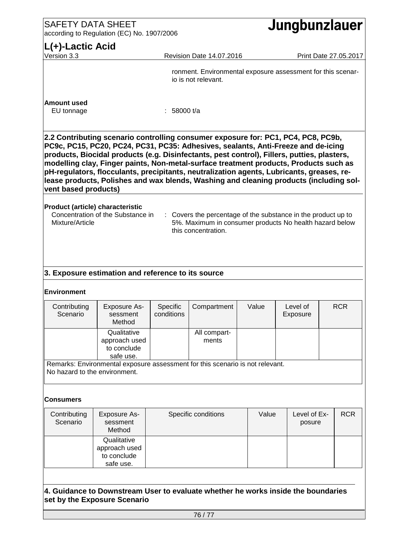| <b>SAFETY DATA SHEET</b>                                        | according to Regulation (EC) No. 1907/2006                                                                                                                                                                                                                                                                                                                                                                                                                                                                                                            |                        |                                                                                                                                                 |       |                      |                        |                       |  |
|-----------------------------------------------------------------|-------------------------------------------------------------------------------------------------------------------------------------------------------------------------------------------------------------------------------------------------------------------------------------------------------------------------------------------------------------------------------------------------------------------------------------------------------------------------------------------------------------------------------------------------------|------------------------|-------------------------------------------------------------------------------------------------------------------------------------------------|-------|----------------------|------------------------|-----------------------|--|
| $L(+)$ -Lactic Acid<br>Version 3.3                              |                                                                                                                                                                                                                                                                                                                                                                                                                                                                                                                                                       |                        | Revision Date 14.07.2016                                                                                                                        |       |                      |                        | Print Date 27.05.2017 |  |
|                                                                 |                                                                                                                                                                                                                                                                                                                                                                                                                                                                                                                                                       |                        | ronment. Environmental exposure assessment for this scenar-<br>io is not relevant.                                                              |       |                      |                        |                       |  |
| <b>Amount used</b><br>EU tonnage                                |                                                                                                                                                                                                                                                                                                                                                                                                                                                                                                                                                       | $: 58000$ t/a          |                                                                                                                                                 |       |                      |                        |                       |  |
| vent based products)<br><b>Product (article) characteristic</b> | 2.2 Contributing scenario controlling consumer exposure for: PC1, PC4, PC8, PC9b,<br>PC9c, PC15, PC20, PC24, PC31, PC35: Adhesives, sealants, Anti-Freeze and de-icing<br>products, Biocidal products (e.g. Disinfectants, pest control), Fillers, putties, plasters,<br>modelling clay, Finger paints, Non-metal-surface treatment products, Products such as<br>pH-regulators, flocculants, precipitants, neutralization agents, Lubricants, greases, re-<br>lease products, Polishes and wax blends, Washing and cleaning products (including sol- |                        |                                                                                                                                                 |       |                      |                        |                       |  |
| Mixture/Article                                                 | Concentration of the Substance in<br>3. Exposure estimation and reference to its source                                                                                                                                                                                                                                                                                                                                                                                                                                                               |                        | : Covers the percentage of the substance in the product up to<br>5%. Maximum in consumer products No health hazard below<br>this concentration. |       |                      |                        |                       |  |
| <b>Environment</b>                                              |                                                                                                                                                                                                                                                                                                                                                                                                                                                                                                                                                       |                        |                                                                                                                                                 |       |                      |                        |                       |  |
| Contributing<br>Scenario                                        | <b>Exposure As-</b><br>sessment<br>Method                                                                                                                                                                                                                                                                                                                                                                                                                                                                                                             | Specific<br>conditions | Compartment                                                                                                                                     | Value | Level of<br>Exposure |                        | <b>RCR</b>            |  |
|                                                                 | Qualitative<br>approach used<br>to conclude<br>safe use.                                                                                                                                                                                                                                                                                                                                                                                                                                                                                              |                        | All compart-<br>ments                                                                                                                           |       |                      |                        |                       |  |
| No hazard to the environment.                                   | Remarks: Environmental exposure assessment for this scenario is not relevant.                                                                                                                                                                                                                                                                                                                                                                                                                                                                         |                        |                                                                                                                                                 |       |                      |                        |                       |  |
| <b>Consumers</b>                                                |                                                                                                                                                                                                                                                                                                                                                                                                                                                                                                                                                       |                        |                                                                                                                                                 |       |                      |                        |                       |  |
| Contributing<br>Scenario                                        | <b>Exposure As-</b><br>sessment<br>Method                                                                                                                                                                                                                                                                                                                                                                                                                                                                                                             |                        | Specific conditions                                                                                                                             |       | Value                | Level of Ex-<br>posure |                       |  |
|                                                                 | Qualitative<br>approach used<br>to conclude<br>safe use.                                                                                                                                                                                                                                                                                                                                                                                                                                                                                              |                        |                                                                                                                                                 |       |                      |                        |                       |  |
|                                                                 | 4. Guidance to Downstream User to evaluate whether he works inside the boundaries<br>set by the Exposure Scenario                                                                                                                                                                                                                                                                                                                                                                                                                                     |                        |                                                                                                                                                 |       |                      |                        |                       |  |

 $\mathsf{l}$